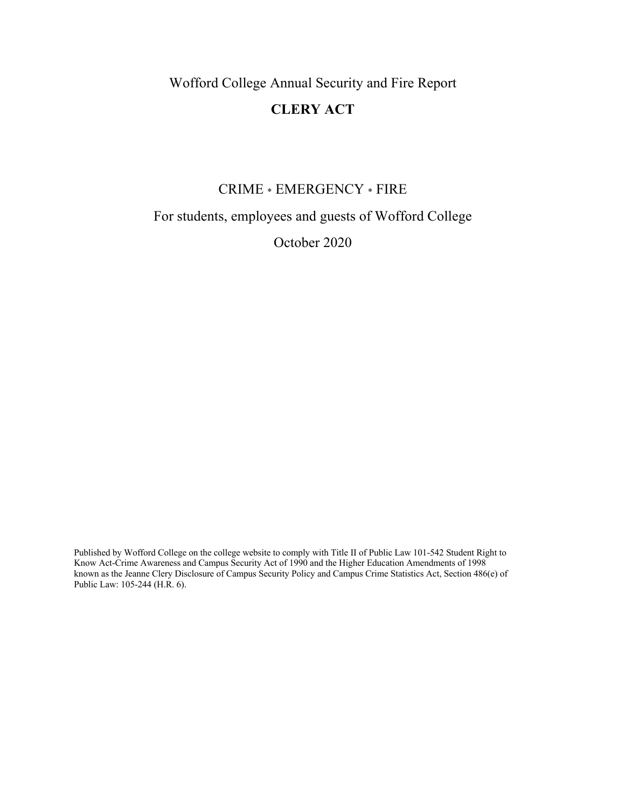Wofford College Annual Security and Fire Report

# **CLERY ACT**

# CRIME \* EMERGENCY \* FIRE

For students, employees and guests of Wofford College

October 2020

Published by Wofford College on the college website to comply with Title II of Public Law 101-542 Student Right to Know Act-Crime Awareness and Campus Security Act of 1990 and the Higher Education Amendments of 1998 known as the Jeanne Clery Disclosure of Campus Security Policy and Campus Crime Statistics Act, Section 486(e) of Public Law: 105-244 (H.R. 6).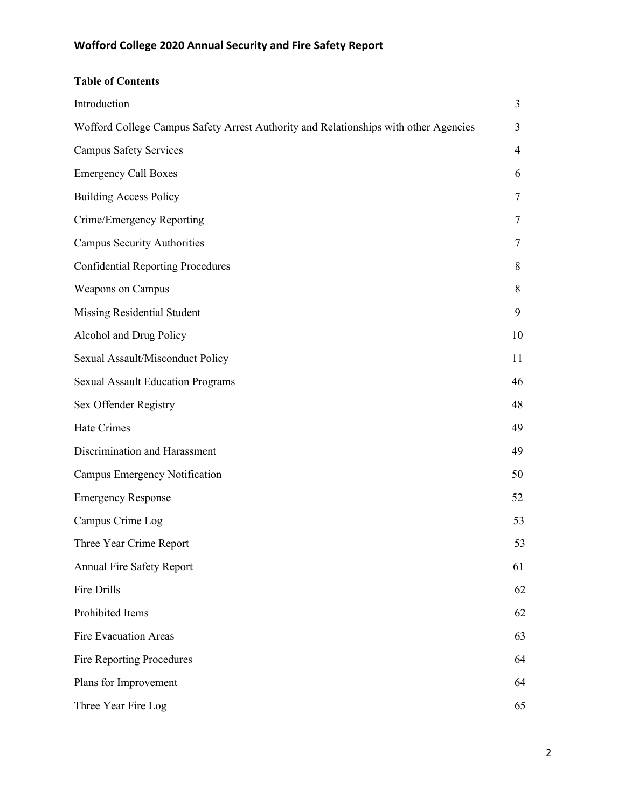# **Table of Contents**

| Introduction                                                                         | 3  |
|--------------------------------------------------------------------------------------|----|
| Wofford College Campus Safety Arrest Authority and Relationships with other Agencies | 3  |
| <b>Campus Safety Services</b>                                                        | 4  |
| <b>Emergency Call Boxes</b>                                                          | 6  |
| <b>Building Access Policy</b>                                                        | 7  |
| Crime/Emergency Reporting                                                            | 7  |
| <b>Campus Security Authorities</b>                                                   | 7  |
| <b>Confidential Reporting Procedures</b>                                             | 8  |
| Weapons on Campus                                                                    | 8  |
| Missing Residential Student                                                          | 9  |
| Alcohol and Drug Policy                                                              | 10 |
| Sexual Assault/Misconduct Policy                                                     | 11 |
| <b>Sexual Assault Education Programs</b>                                             | 46 |
| Sex Offender Registry                                                                | 48 |
| Hate Crimes                                                                          | 49 |
| Discrimination and Harassment                                                        | 49 |
| Campus Emergency Notification                                                        | 50 |
| <b>Emergency Response</b>                                                            | 52 |
| Campus Crime Log                                                                     | 53 |
| Three Year Crime Report                                                              | 53 |
| <b>Annual Fire Safety Report</b>                                                     | 61 |
| Fire Drills                                                                          | 62 |
| Prohibited Items                                                                     | 62 |
| <b>Fire Evacuation Areas</b>                                                         | 63 |
| Fire Reporting Procedures                                                            | 64 |
| Plans for Improvement                                                                | 64 |
| Three Year Fire Log                                                                  | 65 |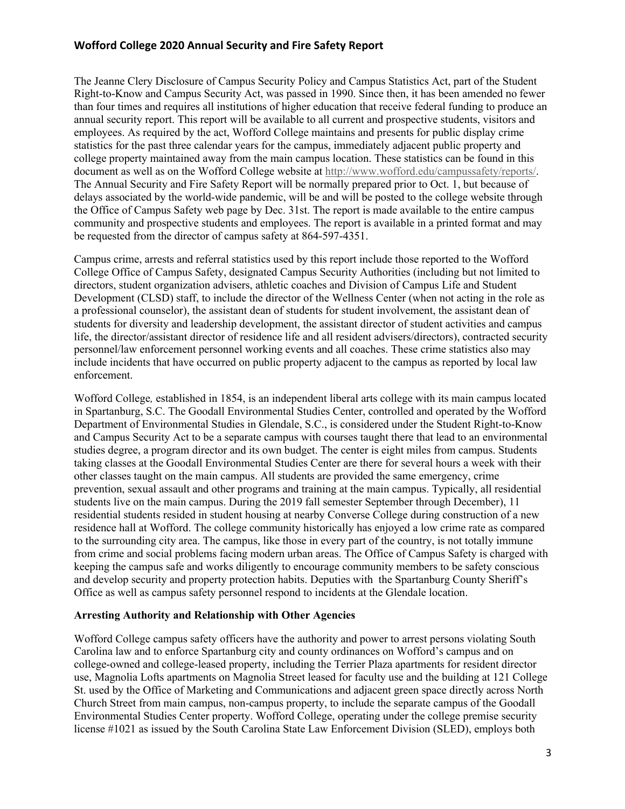The Jeanne Clery Disclosure of Campus Security Policy and Campus Statistics Act, part of the Student Right-to-Know and Campus Security Act, was passed in 1990. Since then, it has been amended no fewer than four times and requires all institutions of higher education that receive federal funding to produce an annual security report. This report will be available to all current and prospective students, visitors and employees. As required by the act, Wofford College maintains and presents for public display crime statistics for the past three calendar years for the campus, immediately adjacent public property and college property maintained away from the main campus location. These statistics can be found in this document as well as on the Wofford College website at http://www.wofford.edu/campussafety/reports/. The Annual Security and Fire Safety Report will be normally prepared prior to Oct. 1, but because of delays associated by the world-wide pandemic, will be and will be posted to the college website through the Office of Campus Safety web page by Dec. 31st. The report is made available to the entire campus community and prospective students and employees. The report is available in a printed format and may be requested from the director of campus safety at 864-597-4351.

Campus crime, arrests and referral statistics used by this report include those reported to the Wofford College Office of Campus Safety, designated Campus Security Authorities (including but not limited to directors, student organization advisers, athletic coaches and Division of Campus Life and Student Development (CLSD) staff, to include the director of the Wellness Center (when not acting in the role as a professional counselor), the assistant dean of students for student involvement, the assistant dean of students for diversity and leadership development, the assistant director of student activities and campus life, the director/assistant director of residence life and all resident advisers/directors), contracted security personnel/law enforcement personnel working events and all coaches. These crime statistics also may include incidents that have occurred on public property adjacent to the campus as reported by local law enforcement.

Wofford College*,* established in 1854, is an independent liberal arts college with its main campus located in Spartanburg, S.C. The Goodall Environmental Studies Center, controlled and operated by the Wofford Department of Environmental Studies in Glendale, S.C., is considered under the Student Right-to-Know and Campus Security Act to be a separate campus with courses taught there that lead to an environmental studies degree, a program director and its own budget. The center is eight miles from campus. Students taking classes at the Goodall Environmental Studies Center are there for several hours a week with their other classes taught on the main campus. All students are provided the same emergency, crime prevention, sexual assault and other programs and training at the main campus. Typically, all residential students live on the main campus. During the 2019 fall semester September through December), 11 residential students resided in student housing at nearby Converse College during construction of a new residence hall at Wofford. The college community historically has enjoyed a low crime rate as compared to the surrounding city area. The campus, like those in every part of the country, is not totally immune from crime and social problems facing modern urban areas. The Office of Campus Safety is charged with keeping the campus safe and works diligently to encourage community members to be safety conscious and develop security and property protection habits. Deputies with the Spartanburg County Sheriff's Office as well as campus safety personnel respond to incidents at the Glendale location.

#### **Arresting Authority and Relationship with Other Agencies**

Wofford College campus safety officers have the authority and power to arrest persons violating South Carolina law and to enforce Spartanburg city and county ordinances on Wofford's campus and on college-owned and college-leased property, including the Terrier Plaza apartments for resident director use, Magnolia Lofts apartments on Magnolia Street leased for faculty use and the building at 121 College St. used by the Office of Marketing and Communications and adjacent green space directly across North Church Street from main campus, non-campus property, to include the separate campus of the Goodall Environmental Studies Center property. Wofford College, operating under the college premise security license #1021 as issued by the South Carolina State Law Enforcement Division (SLED), employs both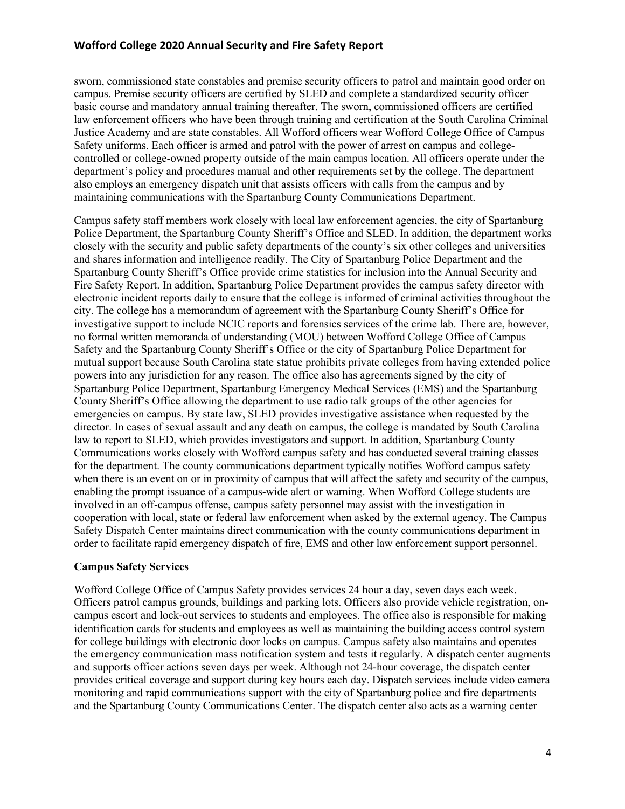sworn, commissioned state constables and premise security officers to patrol and maintain good order on campus. Premise security officers are certified by SLED and complete a standardized security officer basic course and mandatory annual training thereafter. The sworn, commissioned officers are certified law enforcement officers who have been through training and certification at the South Carolina Criminal Justice Academy and are state constables. All Wofford officers wear Wofford College Office of Campus Safety uniforms. Each officer is armed and patrol with the power of arrest on campus and collegecontrolled or college-owned property outside of the main campus location. All officers operate under the department's policy and procedures manual and other requirements set by the college. The department also employs an emergency dispatch unit that assists officers with calls from the campus and by maintaining communications with the Spartanburg County Communications Department.

Campus safety staff members work closely with local law enforcement agencies, the city of Spartanburg Police Department, the Spartanburg County Sheriff's Office and SLED. In addition, the department works closely with the security and public safety departments of the county's six other colleges and universities and shares information and intelligence readily. The City of Spartanburg Police Department and the Spartanburg County Sheriff's Office provide crime statistics for inclusion into the Annual Security and Fire Safety Report. In addition, Spartanburg Police Department provides the campus safety director with electronic incident reports daily to ensure that the college is informed of criminal activities throughout the city. The college has a memorandum of agreement with the Spartanburg County Sheriff's Office for investigative support to include NCIC reports and forensics services of the crime lab. There are, however, no formal written memoranda of understanding (MOU) between Wofford College Office of Campus Safety and the Spartanburg County Sheriff's Office or the city of Spartanburg Police Department for mutual support because South Carolina state statue prohibits private colleges from having extended police powers into any jurisdiction for any reason. The office also has agreements signed by the city of Spartanburg Police Department, Spartanburg Emergency Medical Services (EMS) and the Spartanburg County Sheriff's Office allowing the department to use radio talk groups of the other agencies for emergencies on campus. By state law, SLED provides investigative assistance when requested by the director. In cases of sexual assault and any death on campus, the college is mandated by South Carolina law to report to SLED, which provides investigators and support. In addition, Spartanburg County Communications works closely with Wofford campus safety and has conducted several training classes for the department. The county communications department typically notifies Wofford campus safety when there is an event on or in proximity of campus that will affect the safety and security of the campus, enabling the prompt issuance of a campus-wide alert or warning. When Wofford College students are involved in an off-campus offense, campus safety personnel may assist with the investigation in cooperation with local, state or federal law enforcement when asked by the external agency. The Campus Safety Dispatch Center maintains direct communication with the county communications department in order to facilitate rapid emergency dispatch of fire, EMS and other law enforcement support personnel.

#### **Campus Safety Services**

Wofford College Office of Campus Safety provides services 24 hour a day, seven days each week. Officers patrol campus grounds, buildings and parking lots. Officers also provide vehicle registration, oncampus escort and lock-out services to students and employees. The office also is responsible for making identification cards for students and employees as well as maintaining the building access control system for college buildings with electronic door locks on campus. Campus safety also maintains and operates the emergency communication mass notification system and tests it regularly. A dispatch center augments and supports officer actions seven days per week. Although not 24-hour coverage, the dispatch center provides critical coverage and support during key hours each day. Dispatch services include video camera monitoring and rapid communications support with the city of Spartanburg police and fire departments and the Spartanburg County Communications Center. The dispatch center also acts as a warning center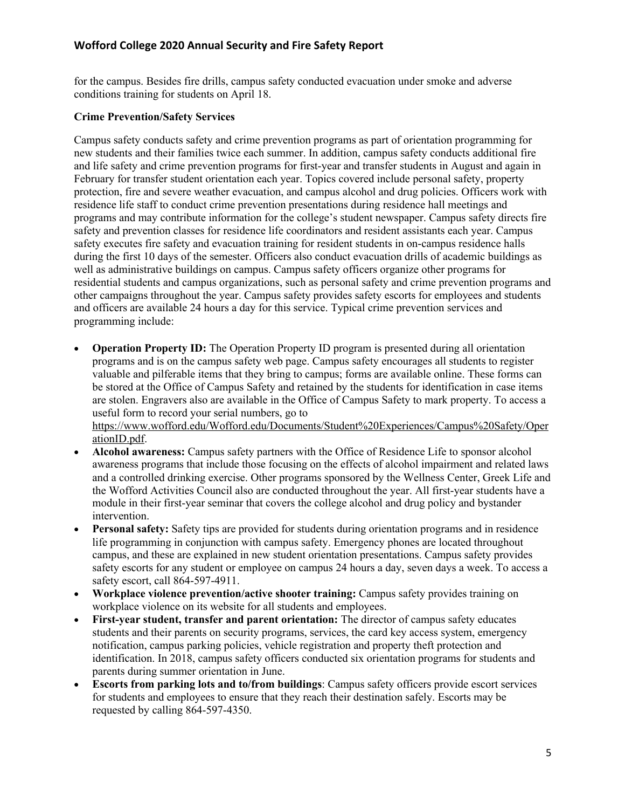for the campus. Besides fire drills, campus safety conducted evacuation under smoke and adverse conditions training for students on April 18.

#### **Crime Prevention/Safety Services**

Campus safety conducts safety and crime prevention programs as part of orientation programming for new students and their families twice each summer. In addition, campus safety conducts additional fire and life safety and crime prevention programs for first-year and transfer students in August and again in February for transfer student orientation each year. Topics covered include personal safety, property protection, fire and severe weather evacuation, and campus alcohol and drug policies. Officers work with residence life staff to conduct crime prevention presentations during residence hall meetings and programs and may contribute information for the college's student newspaper. Campus safety directs fire safety and prevention classes for residence life coordinators and resident assistants each year. Campus safety executes fire safety and evacuation training for resident students in on-campus residence halls during the first 10 days of the semester. Officers also conduct evacuation drills of academic buildings as well as administrative buildings on campus. Campus safety officers organize other programs for residential students and campus organizations, such as personal safety and crime prevention programs and other campaigns throughout the year. Campus safety provides safety escorts for employees and students and officers are available 24 hours a day for this service. Typical crime prevention services and programming include:

- **Operation Property ID:** The Operation Property ID program is presented during all orientation programs and is on the campus safety web page. Campus safety encourages all students to register valuable and pilferable items that they bring to campus; forms are available online. These forms can be stored at the Office of Campus Safety and retained by the students for identification in case items are stolen. Engravers also are available in the Office of Campus Safety to mark property. To access a useful form to record your serial numbers, go to https://www.wofford.edu/Wofford.edu/Documents/Student%20Experiences/Campus%20Safety/Oper ationID.pdf.
- **Alcohol awareness:** Campus safety partners with the Office of Residence Life to sponsor alcohol awareness programs that include those focusing on the effects of alcohol impairment and related laws and a controlled drinking exercise. Other programs sponsored by the Wellness Center, Greek Life and the Wofford Activities Council also are conducted throughout the year. All first-year students have a module in their first-year seminar that covers the college alcohol and drug policy and bystander intervention.
- **Personal safety:** Safety tips are provided for students during orientation programs and in residence life programming in conjunction with campus safety. Emergency phones are located throughout campus, and these are explained in new student orientation presentations. Campus safety provides safety escorts for any student or employee on campus 24 hours a day, seven days a week. To access a safety escort, call 864-597-4911.
- **Workplace violence prevention/active shooter training:** Campus safety provides training on workplace violence on its website for all students and employees.
- **First-year student, transfer and parent orientation:** The director of campus safety educates students and their parents on security programs, services, the card key access system, emergency notification, campus parking policies, vehicle registration and property theft protection and identification. In 2018, campus safety officers conducted six orientation programs for students and parents during summer orientation in June.
- **Escorts from parking lots and to/from buildings**: Campus safety officers provide escort services for students and employees to ensure that they reach their destination safely. Escorts may be requested by calling 864-597-4350.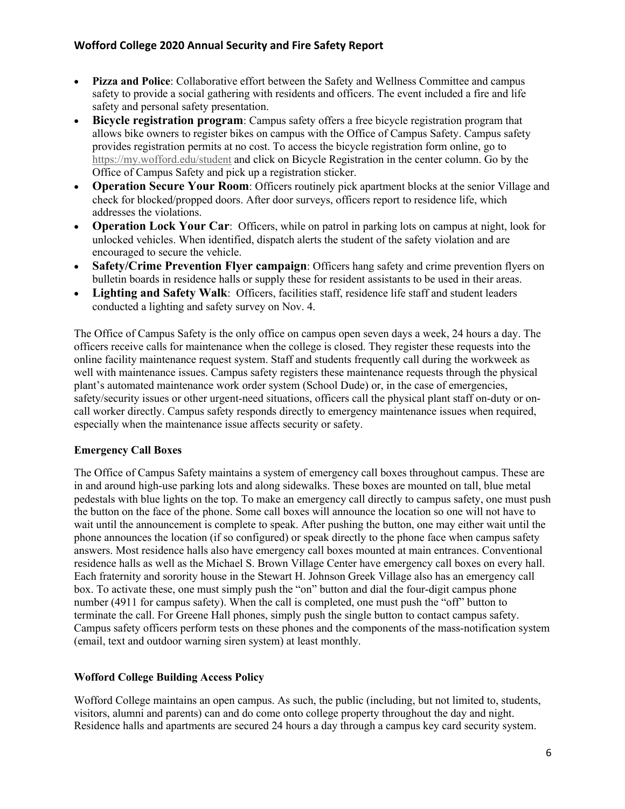- **Pizza and Police**: Collaborative effort between the Safety and Wellness Committee and campus safety to provide a social gathering with residents and officers. The event included a fire and life safety and personal safety presentation.
- **Bicycle registration program**: Campus safety offers a free bicycle registration program that allows bike owners to register bikes on campus with the Office of Campus Safety. Campus safety provides registration permits at no cost. To access the bicycle registration form online, go to https://my.wofford.edu/student and click on Bicycle Registration in the center column. Go by the Office of Campus Safety and pick up a registration sticker.
- **Operation Secure Your Room**: Officers routinely pick apartment blocks at the senior Village and check for blocked/propped doors. After door surveys, officers report to residence life, which addresses the violations.
- **Operation Lock Your Car**: Officers, while on patrol in parking lots on campus at night, look for unlocked vehicles. When identified, dispatch alerts the student of the safety violation and are encouraged to secure the vehicle.
- **Safety/Crime Prevention Flyer campaign**: Officers hang safety and crime prevention flyers on bulletin boards in residence halls or supply these for resident assistants to be used in their areas.
- **Lighting and Safety Walk:** Officers, facilities staff, residence life staff and student leaders conducted a lighting and safety survey on Nov. 4.

The Office of Campus Safety is the only office on campus open seven days a week, 24 hours a day. The officers receive calls for maintenance when the college is closed. They register these requests into the online facility maintenance request system. Staff and students frequently call during the workweek as well with maintenance issues. Campus safety registers these maintenance requests through the physical plant's automated maintenance work order system (School Dude) or, in the case of emergencies, safety/security issues or other urgent-need situations, officers call the physical plant staff on-duty or oncall worker directly. Campus safety responds directly to emergency maintenance issues when required, especially when the maintenance issue affects security or safety.

## **Emergency Call Boxes**

The Office of Campus Safety maintains a system of emergency call boxes throughout campus. These are in and around high-use parking lots and along sidewalks. These boxes are mounted on tall, blue metal pedestals with blue lights on the top. To make an emergency call directly to campus safety, one must push the button on the face of the phone. Some call boxes will announce the location so one will not have to wait until the announcement is complete to speak. After pushing the button, one may either wait until the phone announces the location (if so configured) or speak directly to the phone face when campus safety answers. Most residence halls also have emergency call boxes mounted at main entrances. Conventional residence halls as well as the Michael S. Brown Village Center have emergency call boxes on every hall. Each fraternity and sorority house in the Stewart H. Johnson Greek Village also has an emergency call box. To activate these, one must simply push the "on" button and dial the four-digit campus phone number (4911 for campus safety). When the call is completed, one must push the "off" button to terminate the call. For Greene Hall phones, simply push the single button to contact campus safety. Campus safety officers perform tests on these phones and the components of the mass-notification system (email, text and outdoor warning siren system) at least monthly.

## **Wofford College Building Access Policy**

Wofford College maintains an open campus. As such, the public (including, but not limited to, students, visitors, alumni and parents) can and do come onto college property throughout the day and night. Residence halls and apartments are secured 24 hours a day through a campus key card security system.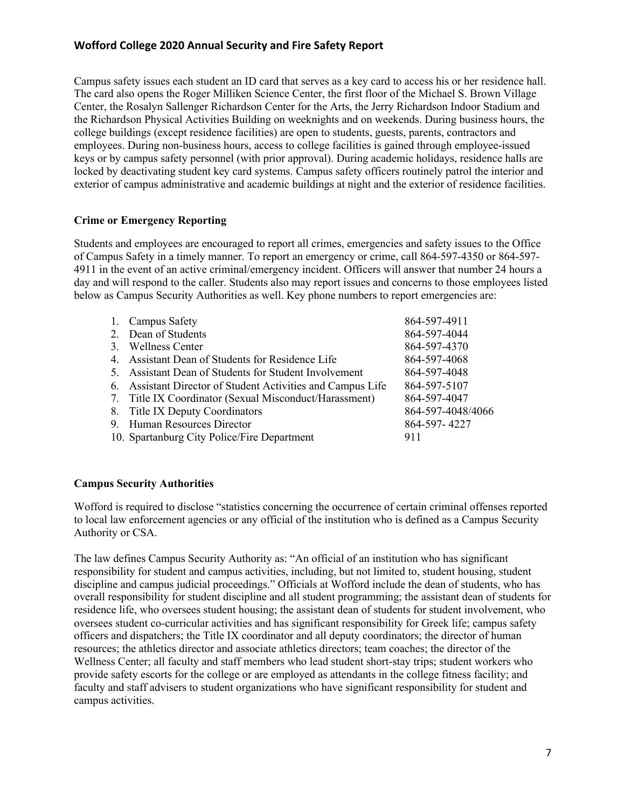Campus safety issues each student an ID card that serves as a key card to access his or her residence hall. The card also opens the Roger Milliken Science Center, the first floor of the Michael S. Brown Village Center, the Rosalyn Sallenger Richardson Center for the Arts, the Jerry Richardson Indoor Stadium and the Richardson Physical Activities Building on weeknights and on weekends. During business hours, the college buildings (except residence facilities) are open to students, guests, parents, contractors and employees. During non-business hours, access to college facilities is gained through employee-issued keys or by campus safety personnel (with prior approval). During academic holidays, residence halls are locked by deactivating student key card systems. Campus safety officers routinely patrol the interior and exterior of campus administrative and academic buildings at night and the exterior of residence facilities.

#### **Crime or Emergency Reporting**

Students and employees are encouraged to report all crimes, emergencies and safety issues to the Office of Campus Safety in a timely manner. To report an emergency or crime, call 864-597-4350 or 864-597- 4911 in the event of an active criminal/emergency incident. Officers will answer that number 24 hours a day and will respond to the caller. Students also may report issues and concerns to those employees listed below as Campus Security Authorities as well. Key phone numbers to report emergencies are:

| 864-597-4911                                                                                                                                                                                                                                                                                                                                                                                                         |
|----------------------------------------------------------------------------------------------------------------------------------------------------------------------------------------------------------------------------------------------------------------------------------------------------------------------------------------------------------------------------------------------------------------------|
| 864-597-4044                                                                                                                                                                                                                                                                                                                                                                                                         |
| 864-597-4370                                                                                                                                                                                                                                                                                                                                                                                                         |
| 864-597-4068                                                                                                                                                                                                                                                                                                                                                                                                         |
| 864-597-4048                                                                                                                                                                                                                                                                                                                                                                                                         |
| 864-597-5107                                                                                                                                                                                                                                                                                                                                                                                                         |
| 864-597-4047                                                                                                                                                                                                                                                                                                                                                                                                         |
| 864-597-4048/4066                                                                                                                                                                                                                                                                                                                                                                                                    |
| 864-597-4227                                                                                                                                                                                                                                                                                                                                                                                                         |
| 911                                                                                                                                                                                                                                                                                                                                                                                                                  |
| 1. Campus Safety<br>2. Dean of Students<br>3. Wellness Center<br>4. Assistant Dean of Students for Residence Life<br>5. Assistant Dean of Students for Student Involvement<br>6. Assistant Director of Student Activities and Campus Life<br>7. Title IX Coordinator (Sexual Misconduct/Harassment)<br>8. Title IX Deputy Coordinators<br>9. Human Resources Director<br>10. Spartanburg City Police/Fire Department |

## **Campus Security Authorities**

Wofford is required to disclose "statistics concerning the occurrence of certain criminal offenses reported to local law enforcement agencies or any official of the institution who is defined as a Campus Security Authority or CSA.

The law defines Campus Security Authority as: "An official of an institution who has significant responsibility for student and campus activities, including, but not limited to, student housing, student discipline and campus judicial proceedings." Officials at Wofford include the dean of students, who has overall responsibility for student discipline and all student programming; the assistant dean of students for residence life, who oversees student housing; the assistant dean of students for student involvement, who oversees student co-curricular activities and has significant responsibility for Greek life; campus safety officers and dispatchers; the Title IX coordinator and all deputy coordinators; the director of human resources; the athletics director and associate athletics directors; team coaches; the director of the Wellness Center; all faculty and staff members who lead student short-stay trips; student workers who provide safety escorts for the college or are employed as attendants in the college fitness facility; and faculty and staff advisers to student organizations who have significant responsibility for student and campus activities.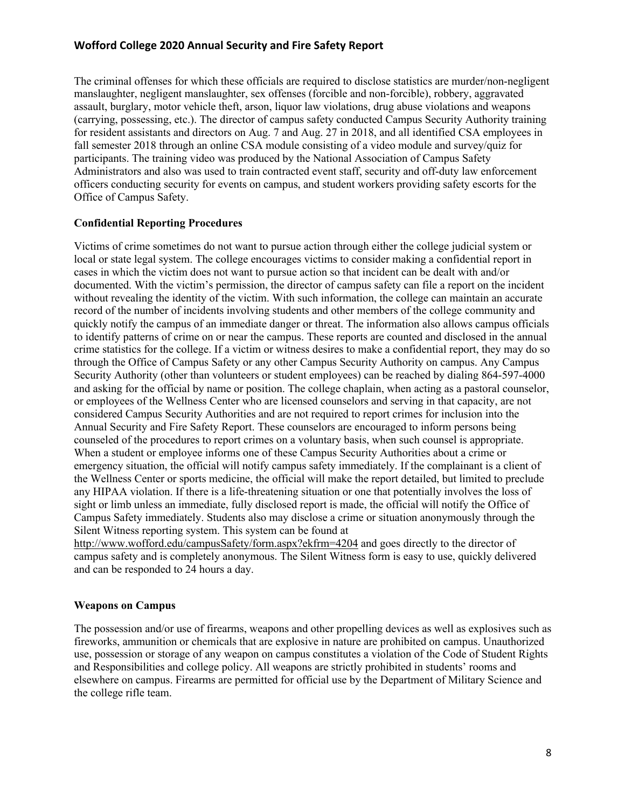The criminal offenses for which these officials are required to disclose statistics are murder/non-negligent manslaughter, negligent manslaughter, sex offenses (forcible and non-forcible), robbery, aggravated assault, burglary, motor vehicle theft, arson, liquor law violations, drug abuse violations and weapons (carrying, possessing, etc.). The director of campus safety conducted Campus Security Authority training for resident assistants and directors on Aug. 7 and Aug. 27 in 2018, and all identified CSA employees in fall semester 2018 through an online CSA module consisting of a video module and survey/quiz for participants. The training video was produced by the National Association of Campus Safety Administrators and also was used to train contracted event staff, security and off-duty law enforcement officers conducting security for events on campus, and student workers providing safety escorts for the Office of Campus Safety.

#### **Confidential Reporting Procedures**

Victims of crime sometimes do not want to pursue action through either the college judicial system or local or state legal system. The college encourages victims to consider making a confidential report in cases in which the victim does not want to pursue action so that incident can be dealt with and/or documented. With the victim's permission, the director of campus safety can file a report on the incident without revealing the identity of the victim. With such information, the college can maintain an accurate record of the number of incidents involving students and other members of the college community and quickly notify the campus of an immediate danger or threat. The information also allows campus officials to identify patterns of crime on or near the campus. These reports are counted and disclosed in the annual crime statistics for the college. If a victim or witness desires to make a confidential report, they may do so through the Office of Campus Safety or any other Campus Security Authority on campus. Any Campus Security Authority (other than volunteers or student employees) can be reached by dialing 864-597-4000 and asking for the official by name or position. The college chaplain, when acting as a pastoral counselor, or employees of the Wellness Center who are licensed counselors and serving in that capacity, are not considered Campus Security Authorities and are not required to report crimes for inclusion into the Annual Security and Fire Safety Report. These counselors are encouraged to inform persons being counseled of the procedures to report crimes on a voluntary basis, when such counsel is appropriate. When a student or employee informs one of these Campus Security Authorities about a crime or emergency situation, the official will notify campus safety immediately. If the complainant is a client of the Wellness Center or sports medicine, the official will make the report detailed, but limited to preclude any HIPAA violation. If there is a life-threatening situation or one that potentially involves the loss of sight or limb unless an immediate, fully disclosed report is made, the official will notify the Office of Campus Safety immediately. Students also may disclose a crime or situation anonymously through the Silent Witness reporting system. This system can be found at

http://www.wofford.edu/campusSafety/form.aspx?ekfrm=4204 and goes directly to the director of campus safety and is completely anonymous. The Silent Witness form is easy to use, quickly delivered and can be responded to 24 hours a day.

## **Weapons on Campus**

The possession and/or use of firearms, weapons and other propelling devices as well as explosives such as fireworks, ammunition or chemicals that are explosive in nature are prohibited on campus. Unauthorized use, possession or storage of any weapon on campus constitutes a violation of the Code of Student Rights and Responsibilities and college policy. All weapons are strictly prohibited in students' rooms and elsewhere on campus. Firearms are permitted for official use by the Department of Military Science and the college rifle team.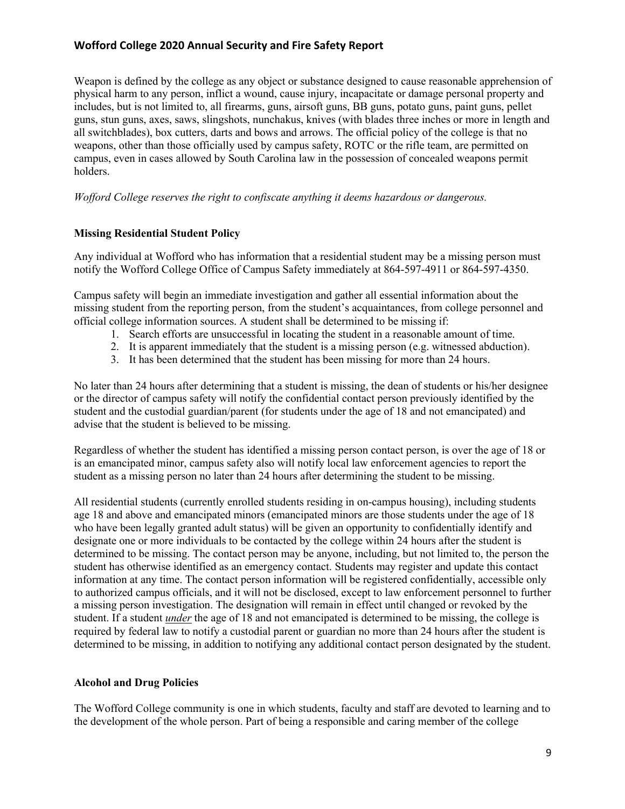Weapon is defined by the college as any object or substance designed to cause reasonable apprehension of physical harm to any person, inflict a wound, cause injury, incapacitate or damage personal property and includes, but is not limited to, all firearms, guns, airsoft guns, BB guns, potato guns, paint guns, pellet guns, stun guns, axes, saws, slingshots, nunchakus, knives (with blades three inches or more in length and all switchblades), box cutters, darts and bows and arrows. The official policy of the college is that no weapons, other than those officially used by campus safety, ROTC or the rifle team, are permitted on campus, even in cases allowed by South Carolina law in the possession of concealed weapons permit holders.

*Wofford College reserves the right to confiscate anything it deems hazardous or dangerous.* 

## **Missing Residential Student Policy**

Any individual at Wofford who has information that a residential student may be a missing person must notify the Wofford College Office of Campus Safety immediately at 864-597-4911 or 864-597-4350.

Campus safety will begin an immediate investigation and gather all essential information about the missing student from the reporting person, from the student's acquaintances, from college personnel and official college information sources. A student shall be determined to be missing if:

- 1. Search efforts are unsuccessful in locating the student in a reasonable amount of time.
- 2. It is apparent immediately that the student is a missing person (e.g. witnessed abduction).
- 3. It has been determined that the student has been missing for more than 24 hours.

No later than 24 hours after determining that a student is missing, the dean of students or his/her designee or the director of campus safety will notify the confidential contact person previously identified by the student and the custodial guardian/parent (for students under the age of 18 and not emancipated) and advise that the student is believed to be missing.

Regardless of whether the student has identified a missing person contact person, is over the age of 18 or is an emancipated minor, campus safety also will notify local law enforcement agencies to report the student as a missing person no later than 24 hours after determining the student to be missing.

All residential students (currently enrolled students residing in on-campus housing), including students age 18 and above and emancipated minors (emancipated minors are those students under the age of 18 who have been legally granted adult status) will be given an opportunity to confidentially identify and designate one or more individuals to be contacted by the college within 24 hours after the student is determined to be missing. The contact person may be anyone, including, but not limited to, the person the student has otherwise identified as an emergency contact. Students may register and update this contact information at any time. The contact person information will be registered confidentially, accessible only to authorized campus officials, and it will not be disclosed, except to law enforcement personnel to further a missing person investigation. The designation will remain in effect until changed or revoked by the student. If a student *under* the age of 18 and not emancipated is determined to be missing, the college is required by federal law to notify a custodial parent or guardian no more than 24 hours after the student is determined to be missing, in addition to notifying any additional contact person designated by the student.

## **Alcohol and Drug Policies**

The Wofford College community is one in which students, faculty and staff are devoted to learning and to the development of the whole person. Part of being a responsible and caring member of the college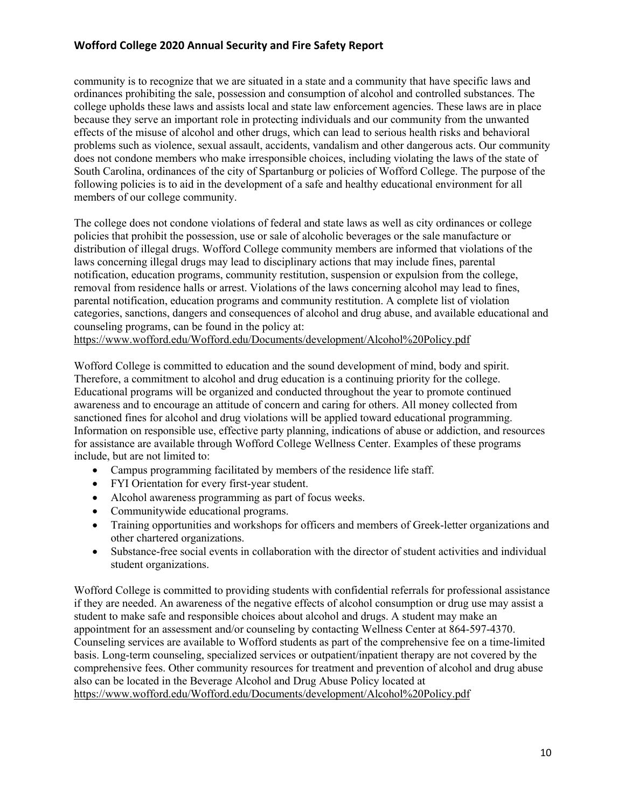community is to recognize that we are situated in a state and a community that have specific laws and ordinances prohibiting the sale, possession and consumption of alcohol and controlled substances. The college upholds these laws and assists local and state law enforcement agencies. These laws are in place because they serve an important role in protecting individuals and our community from the unwanted effects of the misuse of alcohol and other drugs, which can lead to serious health risks and behavioral problems such as violence, sexual assault, accidents, vandalism and other dangerous acts. Our community does not condone members who make irresponsible choices, including violating the laws of the state of South Carolina, ordinances of the city of Spartanburg or policies of Wofford College. The purpose of the following policies is to aid in the development of a safe and healthy educational environment for all members of our college community.

The college does not condone violations of federal and state laws as well as city ordinances or college policies that prohibit the possession, use or sale of alcoholic beverages or the sale manufacture or distribution of illegal drugs. Wofford College community members are informed that violations of the laws concerning illegal drugs may lead to disciplinary actions that may include fines, parental notification, education programs, community restitution, suspension or expulsion from the college, removal from residence halls or arrest. Violations of the laws concerning alcohol may lead to fines, parental notification, education programs and community restitution. A complete list of violation categories, sanctions, dangers and consequences of alcohol and drug abuse, and available educational and counseling programs, can be found in the policy at:

https://www.wofford.edu/Wofford.edu/Documents/development/Alcohol%20Policy.pdf

Wofford College is committed to education and the sound development of mind, body and spirit. Therefore, a commitment to alcohol and drug education is a continuing priority for the college. Educational programs will be organized and conducted throughout the year to promote continued awareness and to encourage an attitude of concern and caring for others. All money collected from sanctioned fines for alcohol and drug violations will be applied toward educational programming. Information on responsible use, effective party planning, indications of abuse or addiction, and resources for assistance are available through Wofford College Wellness Center. Examples of these programs include, but are not limited to:

- Campus programming facilitated by members of the residence life staff.
- FYI Orientation for every first-year student.
- Alcohol awareness programming as part of focus weeks.
- Communitywide educational programs.
- Training opportunities and workshops for officers and members of Greek-letter organizations and other chartered organizations.
- Substance-free social events in collaboration with the director of student activities and individual student organizations.

Wofford College is committed to providing students with confidential referrals for professional assistance if they are needed. An awareness of the negative effects of alcohol consumption or drug use may assist a student to make safe and responsible choices about alcohol and drugs. A student may make an appointment for an assessment and/or counseling by contacting Wellness Center at 864-597-4370. Counseling services are available to Wofford students as part of the comprehensive fee on a time-limited basis. Long-term counseling, specialized services or outpatient/inpatient therapy are not covered by the comprehensive fees. Other community resources for treatment and prevention of alcohol and drug abuse also can be located in the Beverage Alcohol and Drug Abuse Policy located at https://www.wofford.edu/Wofford.edu/Documents/development/Alcohol%20Policy.pdf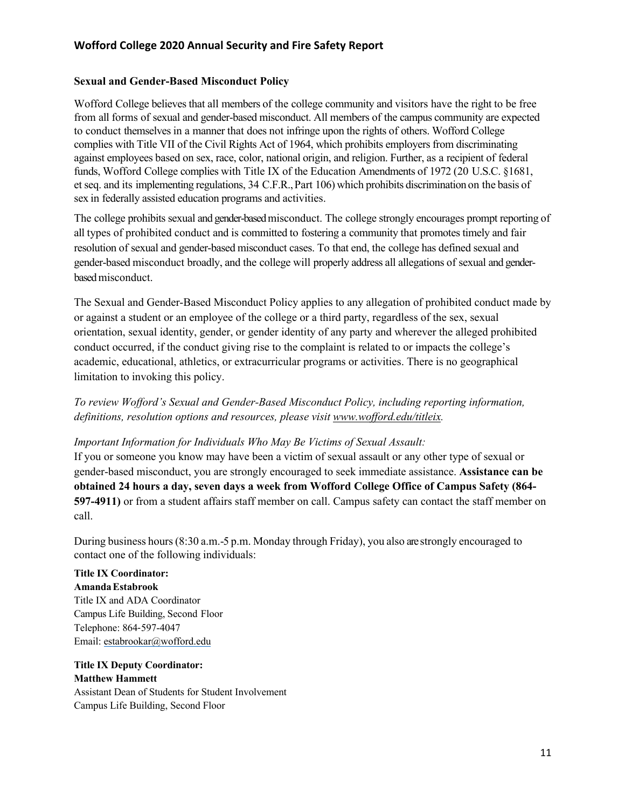#### **Sexual and Gender-Based Misconduct Policy**

Wofford College believes that all members of the college community and visitors have the right to be free from all forms of sexual and gender-based misconduct. All members of the campus community are expected to conduct themselves in a manner that does not infringe upon the rights of others. Wofford College complies with Title VII of the Civil Rights Act of 1964, which prohibits employers from discriminating against employees based on sex, race, color, national origin, and religion. Further, as a recipient of federal funds, Wofford College complies with Title IX of the Education Amendments of 1972 (20 U.S.C. §1681, et seq. and its implementing regulations, 34 C.F.R.,Part 106) which prohibits discrimination on the basis of sex in federally assisted education programs and activities.

The college prohibits sexual and gender-based misconduct. The college strongly encourages prompt reporting of all types of prohibited conduct and is committed to fostering a community that promotes timely and fair resolution of sexual and gender-based misconduct cases. To that end, the college has defined sexual and gender-based misconduct broadly, and the college will properly address all allegations of sexual and genderbased misconduct.

The Sexual and Gender-Based Misconduct Policy applies to any allegation of prohibited conduct made by or against a student or an employee of the college or a third party, regardless of the sex, sexual orientation, sexual identity, gender, or gender identity of any party and wherever the alleged prohibited conduct occurred, if the conduct giving rise to the complaint is related to or impacts the college's academic, educational, athletics, or extracurricular programs or activities. There is no geographical limitation to invoking this policy.

# *To review Wofford's Sexual and Gender-Based Misconduct Policy, including reporting information, definitions, resolution options and resources, please visit www.wofford.edu/titleix.*

#### *Important Information for Individuals Who May Be Victims of Sexual Assault:*

If you or someone you know may have been a victim of sexual assault or any other type of sexual or gender-based misconduct, you are strongly encouraged to seek immediate assistance. **Assistance can be obtained 24 hours a day, seven days a week from Wofford College Office of Campus Safety (864- 597-4911)** or from a student affairs staff member on call. Campus safety can contact the staff member on call.

During business hours(8:30 a.m.-5 p.m. Monday through Friday), you also are strongly encouraged to contact one of the following individuals:

# **Title IX Coordinator:**

**AmandaEstabrook**  Title IX and ADA Coordinator Campus Life Building, Second Floor Telephone: 864-597-4047 Email: estabrookar@wofford.edu

#### **Title IX Deputy Coordinator: Matthew Hammett**

Assistant Dean of Students for Student Involvement Campus Life Building, Second Floor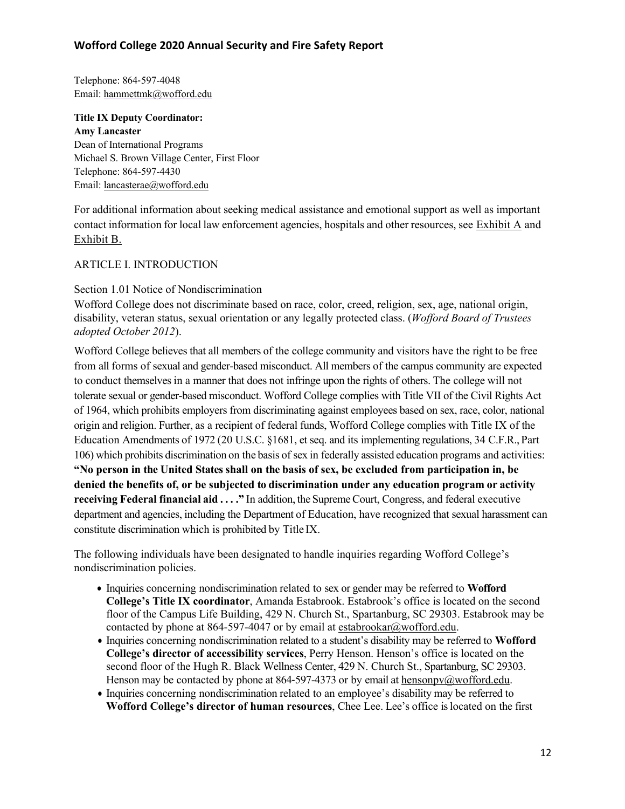Telephone: 864-597-4048 Email: hammettmk@wofford.edu

**Title IX Deputy Coordinator: Amy Lancaster** Dean of International Programs Michael S. Brown Village Center, First Floor Telephone: 864-597-4430 Email: lancasterae@wofford.edu

For additional information about seeking medical assistance and emotional support as well as important contact information for local law enforcement agencies, hospitals and other resources, see Exhibit A and Exhibit B.

#### ARTICLE I. INTRODUCTION

#### Section 1.01 Notice of Nondiscrimination

Wofford College does not discriminate based on race, color, creed, religion, sex, age, national origin, disability, veteran status, sexual orientation or any legally protected class. (*Wofford Board of Trustees adopted October 2012*).

Wofford College believes that all members of the college community and visitors have the right to be free from all forms of sexual and gender-based misconduct. All members of the campus community are expected to conduct themselves in a manner that does not infringe upon the rights of others. The college will not tolerate sexual or gender-based misconduct. Wofford College complies with Title VII of the Civil Rights Act of 1964, which prohibits employers from discriminating against employees based on sex, race, color, national origin and religion. Further, as a recipient of federal funds, Wofford College complies with Title IX of the Education Amendments of 1972 (20 U.S.C. §1681, et seq. and its implementing regulations, 34 C.F.R., Part 106) which prohibits discrimination on the basis of sex in federally assisted education programs and activities: **"No person in the United States shall on the basis of sex, be excluded from participation in, be denied the benefits of, or be subjected to discrimination under any education program or activity receiving Federal financial aid . . . ."** In addition, the SupremeCourt, Congress, and federal executive department and agencies, including the Department of Education, have recognized that sexual harassment can constitute discrimination which is prohibited by Title IX.

The following individuals have been designated to handle inquiries regarding Wofford College's nondiscrimination policies.

- Inquiries concerning nondiscrimination related to sex or gender may be referred to **Wofford College's Title IX coordinator**, Amanda Estabrook. Estabrook's office is located on the second floor of the Campus Life Building, 429 N. Church St., Spartanburg, SC 29303. Estabrook may be contacted by phone at 864-597-4047 or by email at estabrookar@wofford.edu.
- Inquiries concerning nondiscrimination related to a student's disability may be referred to **Wofford College's director of accessibility services**, Perry Henson. Henson's office is located on the second floor of the Hugh R. Black Wellness Center, 429 N. Church St., Spartanburg, SC 29303. Henson may be contacted by phone at 864-597-4373 or by email at hensonpv@wofford.edu.
- Inquiries concerning nondiscrimination related to an employee's disability may be referred to **Wofford College's director of human resources**, Chee Lee. Lee's office is located on the first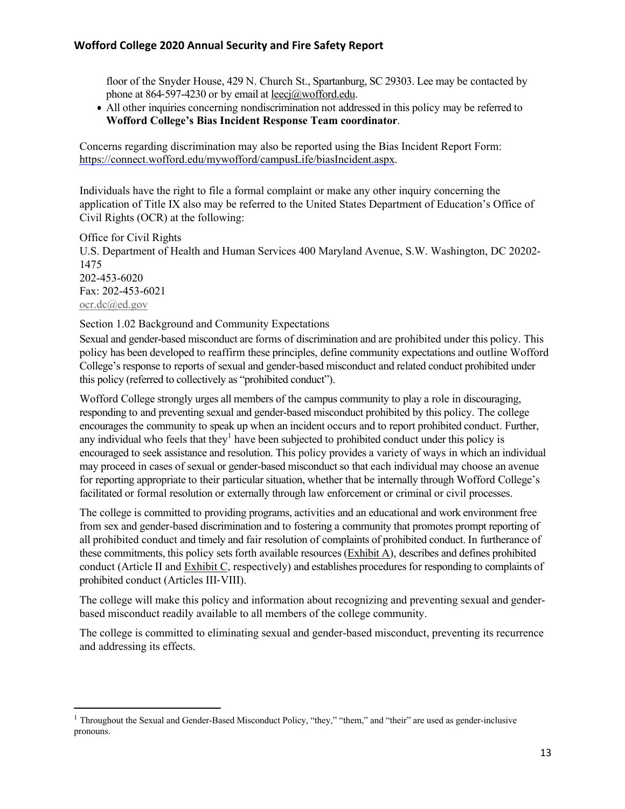floor of the Snyder House, 429 N. Church St., Spartanburg, SC 29303. Lee may be contacted by phone at 864-597-4230 or by email at leecj@wofford.edu.

• All other inquiries concerning nondiscrimination not addressed in this policy may be referred to **Wofford College's Bias Incident Response Team coordinator**.

Concerns regarding discrimination may also be reported using the Bias Incident Report Form: https://connect.wofford.edu/mywofford/campusLife/biasIncident.aspx.

Individuals have the right to file a formal complaint or make any other inquiry concerning the application of Title IX also may be referred to the United States Department of Education's Office of Civil Rights (OCR) at the following:

Office for Civil Rights U.S. Department of Health and Human Services 400 Maryland Avenue, S.W. Washington, DC 20202- 1475 202-453-6020 Fax: 202-453-6021 ocr.dc@ed.gov

Section 1.02 Background and Community Expectations

Sexual and gender-based misconduct are forms of discrimination and are prohibited under this policy. This policy has been developed to reaffirm these principles, define community expectations and outline Wofford College's response to reports of sexual and gender-based misconduct and related conduct prohibited under this policy (referred to collectively as "prohibited conduct").

Wofford College strongly urges all members of the campus community to play a role in discouraging, responding to and preventing sexual and gender-based misconduct prohibited by this policy. The college encourages the community to speak up when an incident occurs and to report prohibited conduct. Further, any individual who feels that they<sup>1</sup> have been subjected to prohibited conduct under this policy is encouraged to seek assistance and resolution. This policy provides a variety of ways in which an individual may proceed in cases of sexual or gender-based misconduct so that each individual may choose an avenue for reporting appropriate to their particular situation, whether that be internally through Wofford College's facilitated or formal resolution or externally through law enforcement or criminal or civil processes.

The college is committed to providing programs, activities and an educational and work environment free from sex and gender-based discrimination and to fostering a community that promotes prompt reporting of all prohibited conduct and timely and fair resolution of complaints of prohibited conduct. In furtherance of these commitments, this policy sets forth available resources (Exhibit A), describes and defines prohibited conduct (Article II and Exhibit C, respectively) and establishes procedures for responding to complaints of prohibited conduct (Articles III-VIII).

The college will make this policy and information about recognizing and preventing sexual and genderbased misconduct readily available to all members of the college community.

The college is committed to eliminating sexual and gender-based misconduct, preventing its recurrence and addressing its effects.

<sup>&</sup>lt;sup>1</sup> Throughout the Sexual and Gender-Based Misconduct Policy, "they," "them," and "their" are used as gender-inclusive pronouns.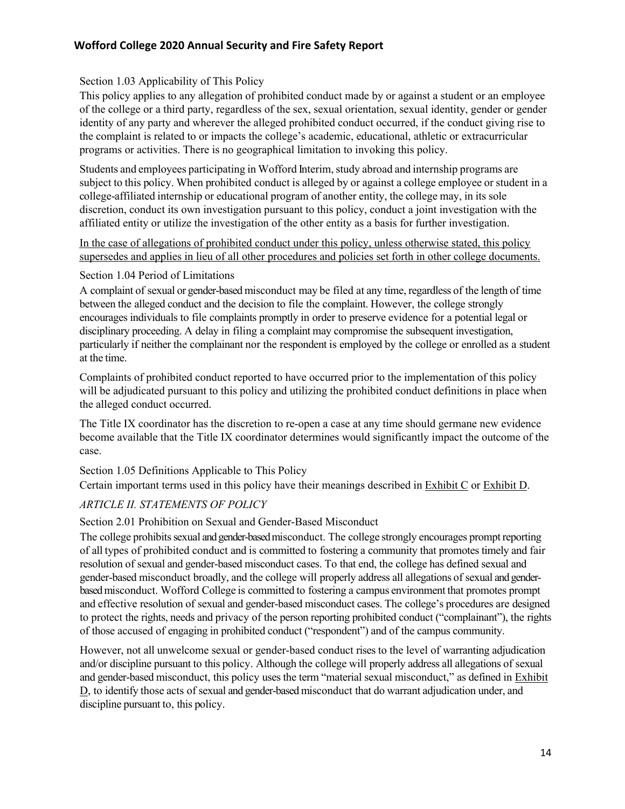## Section 1.03 Applicability of This Policy

This policy applies to any allegation of prohibited conduct made by or against a student or an employee of the college or a third party, regardless of the sex, sexual orientation, sexual identity, gender or gender identity of any party and wherever the alleged prohibited conduct occurred, if the conduct giving rise to the complaint is related to or impacts the college's academic, educational, athletic or extracurricular programs or activities. There is no geographical limitation to invoking this policy.

Students and employees participating in Wofford Interim, study abroad and internship programs are subject to this policy. When prohibited conduct is alleged by or against a college employee or student in a college-affiliated internship or educational program of another entity, the college may, in its sole discretion, conduct its own investigation pursuant to this policy, conduct a joint investigation with the affiliated entity or utilize the investigation of the other entity as a basis for further investigation.

In the case of allegations of prohibited conduct under this policy, unless otherwise stated, this policy supersedes and applies in lieu of all other procedures and policies set forth in other college documents.

#### Section 1.04 Period of Limitations

A complaint of sexual or gender-based misconduct may be filed at any time, regardless of the length of time between the alleged conduct and the decision to file the complaint. However, the college strongly encourages individuals to file complaints promptly in order to preserve evidence for a potential legal or disciplinary proceeding. A delay in filing a complaint may compromise the subsequent investigation, particularly if neither the complainant nor the respondent is employed by the college or enrolled as a student at the time.

Complaints of prohibited conduct reported to have occurred prior to the implementation of this policy will be adjudicated pursuant to this policy and utilizing the prohibited conduct definitions in place when the alleged conduct occurred.

The Title IX coordinator has the discretion to re-open a case at any time should germane new evidence become available that the Title IX coordinator determines would significantly impact the outcome of the case.

Section 1.05 Definitions Applicable to This Policy

Certain important terms used in this policy have their meanings described in Exhibit C or Exhibit D.

## *ARTICLE II. STATEMENTS OF POLICY*

#### Section 2.01 Prohibition on Sexual and Gender-Based Misconduct

The college prohibits sexual and gender-based misconduct. The college strongly encourages prompt reporting of all types of prohibited conduct and is committed to fostering a community that promotes timely and fair resolution of sexual and gender-based misconduct cases. To that end, the college has defined sexual and gender-based misconduct broadly, and the college will properly address all allegations of sexual and genderbased misconduct. Wofford College is committed to fostering a campus environment that promotes prompt and effective resolution of sexual and gender-based misconduct cases. The college's procedures are designed to protect the rights, needs and privacy of the person reporting prohibited conduct ("complainant"), the rights of those accused of engaging in prohibited conduct ("respondent") and of the campus community.

However, not all unwelcome sexual or gender-based conduct rises to the level of warranting adjudication and/or discipline pursuant to this policy. Although the college will properly address all allegations of sexual and gender-based misconduct, this policy uses the term "material sexual misconduct," as defined in Exhibit D, to identify those acts of sexual and gender-based misconduct that do warrant adjudication under, and discipline pursuant to, this policy.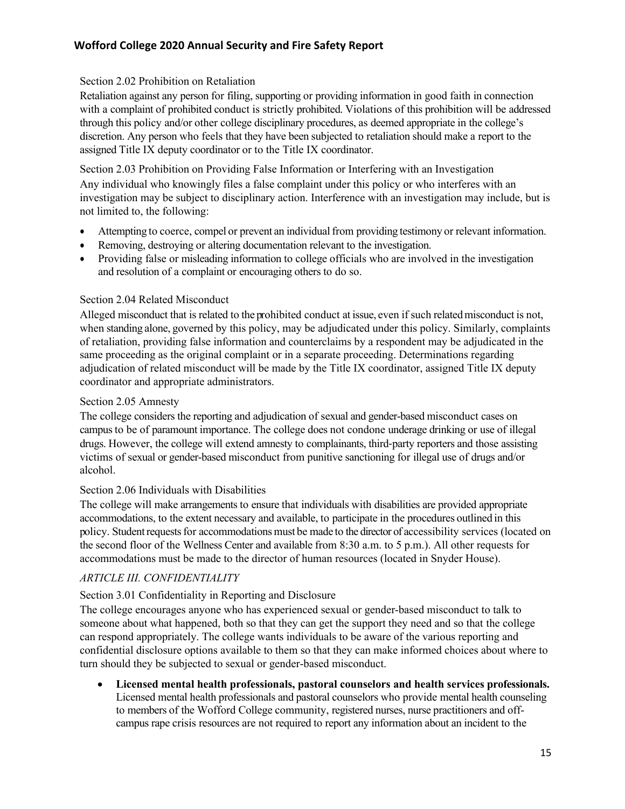## Section 2.02 Prohibition on Retaliation

Retaliation against any person for filing, supporting or providing information in good faith in connection with a complaint of prohibited conduct is strictly prohibited. Violations of this prohibition will be addressed through this policy and/or other college disciplinary procedures, as deemed appropriate in the college's discretion. Any person who feels that they have been subjected to retaliation should make a report to the assigned Title IX deputy coordinator or to the Title IX coordinator.

Section 2.03 Prohibition on Providing False Information or Interfering with an Investigation Any individual who knowingly files a false complaint under this policy or who interferes with an investigation may be subject to disciplinary action. Interference with an investigation may include, but is not limited to, the following:

- Attempting to coerce, compel or prevent an individual from providing testimony or relevant information.
- Removing, destroying or altering documentation relevant to the investigation.
- Providing false or misleading information to college officials who are involved in the investigation and resolution of a complaint or encouraging others to do so.

#### Section 2.04 Related Misconduct

Alleged misconduct that is related to the prohibited conduct at issue, even if such relatedmisconduct is not, when standing alone, governed by this policy, may be adjudicated under this policy. Similarly, complaints of retaliation, providing false information and counterclaims by a respondent may be adjudicated in the same proceeding as the original complaint or in a separate proceeding. Determinations regarding adjudication of related misconduct will be made by the Title IX coordinator, assigned Title IX deputy coordinator and appropriate administrators.

#### Section 2.05 Amnesty

The college considers the reporting and adjudication of sexual and gender-based misconduct cases on campus to be of paramount importance. The college does not condone underage drinking or use of illegal drugs. However, the college will extend amnesty to complainants, third-party reporters and those assisting victims of sexual or gender-based misconduct from punitive sanctioning for illegal use of drugs and/or alcohol.

#### Section 2.06 Individuals with Disabilities

The college will make arrangements to ensure that individuals with disabilities are provided appropriate accommodations, to the extent necessary and available, to participate in the procedures outlined in this policy. Student requests for accommodations must be made to the director of accessibility services (located on the second floor of the Wellness Center and available from 8:30 a.m. to 5 p.m.). All other requests for accommodations must be made to the director of human resources (located in Snyder House).

## *ARTICLE III. CONFIDENTIALITY*

## Section 3.01 Confidentiality in Reporting and Disclosure

The college encourages anyone who has experienced sexual or gender-based misconduct to talk to someone about what happened, both so that they can get the support they need and so that the college can respond appropriately. The college wants individuals to be aware of the various reporting and confidential disclosure options available to them so that they can make informed choices about where to turn should they be subjected to sexual or gender-based misconduct.

• **Licensed mental health professionals, pastoral counselors and health services professionals.**  Licensed mental health professionals and pastoral counselors who provide mental health counseling to members of the Wofford College community, registered nurses, nurse practitioners and offcampus rape crisis resources are not required to report any information about an incident to the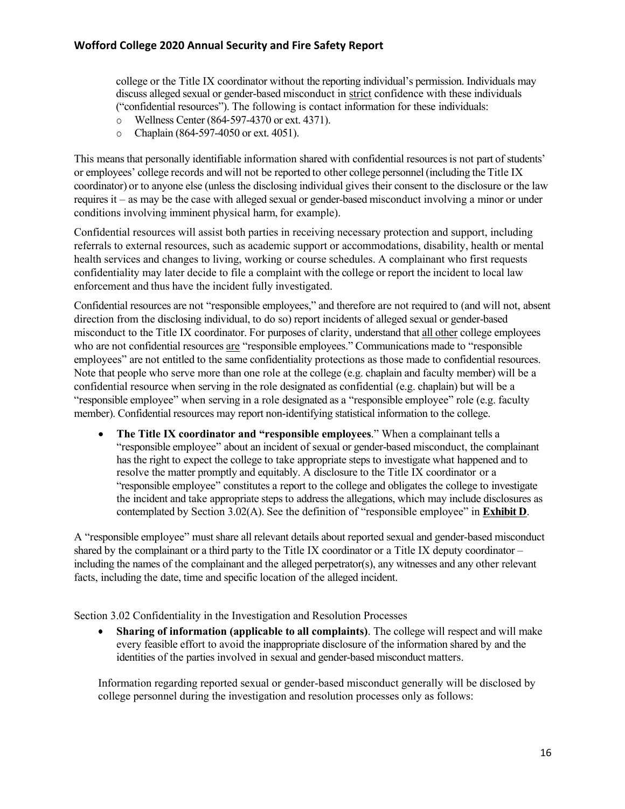college or the Title IX coordinator without the reporting individual's permission. Individuals may discuss alleged sexual or gender-based misconduct in strict confidence with these individuals ("confidential resources"). The following is contact information for these individuals:

- o Wellness Center (864-597-4370 or ext. 4371).
- o Chaplain (864-597-4050 or ext. 4051).

This means that personally identifiable information shared with confidential resourcesis not part of students' or employees' college records and will not be reported to other college personnel(including the Title IX coordinator) or to anyone else (unless the disclosing individual gives their consent to the disclosure or the law requires it – as may be the case with alleged sexual or gender-based misconduct involving a minor or under conditions involving imminent physical harm, for example).

Confidential resources will assist both parties in receiving necessary protection and support, including referrals to external resources, such as academic support or accommodations, disability, health or mental health services and changes to living, working or course schedules. A complainant who first requests confidentiality may later decide to file a complaint with the college or report the incident to local law enforcement and thus have the incident fully investigated.

Confidential resources are not "responsible employees," and therefore are not required to (and will not, absent direction from the disclosing individual, to do so) report incidents of alleged sexual or gender-based misconduct to the Title IX coordinator. For purposes of clarity, understand that all other college employees who are not confidential resources are "responsible employees." Communications made to "responsible employees" are not entitled to the same confidentiality protections as those made to confidential resources. Note that people who serve more than one role at the college (e.g. chaplain and faculty member) will be a confidential resource when serving in the role designated as confidential (e.g. chaplain) but will be a "responsible employee" when serving in a role designated as a "responsible employee" role (e.g. faculty member). Confidential resources may report non-identifying statistical information to the college.

• **The Title IX coordinator and "responsible employees**." When a complainant tells a "responsible employee" about an incident of sexual or gender-based misconduct, the complainant has the right to expect the college to take appropriate steps to investigate what happened and to resolve the matter promptly and equitably. A disclosure to the Title IX coordinator or a "responsible employee" constitutes a report to the college and obligates the college to investigate the incident and take appropriate steps to address the allegations, which may include disclosures as contemplated by Section 3.02(A). See the definition of "responsible employee" in **Exhibit D**.

A "responsible employee" must share all relevant details about reported sexual and gender-based misconduct shared by the complainant or a third party to the Title IX coordinator or a Title IX deputy coordinator – including the names of the complainant and the alleged perpetrator(s), any witnesses and any other relevant facts, including the date, time and specific location of the alleged incident.

Section 3.02 Confidentiality in the Investigation and Resolution Processes

• **Sharing of information (applicable to all complaints)**. The college will respect and will make every feasible effort to avoid the inappropriate disclosure of the information shared by and the identities of the parties involved in sexual and gender-based misconduct matters.

Information regarding reported sexual or gender-based misconduct generally will be disclosed by college personnel during the investigation and resolution processes only as follows: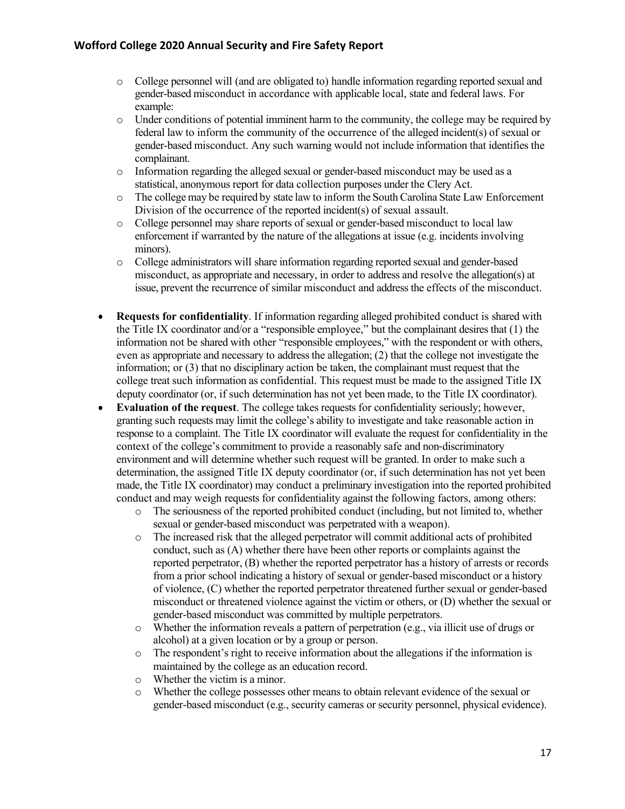- o College personnel will (and are obligated to) handle information regarding reported sexual and gender-based misconduct in accordance with applicable local, state and federal laws. For example:
- $\circ$  Under conditions of potential imminent harm to the community, the college may be required by federal law to inform the community of the occurrence of the alleged incident(s) of sexual or gender-based misconduct. Any such warning would not include information that identifies the complainant.
- o Information regarding the alleged sexual or gender-based misconduct may be used as a statistical, anonymous report for data collection purposes under the Clery Act.
- $\circ$  The college may be required by state law to inform the South Carolina State Law Enforcement Division of the occurrence of the reported incident(s) of sexual assault.
- o College personnel may share reports of sexual or gender-based misconduct to local law enforcement if warranted by the nature of the allegations at issue (e.g. incidents involving minors).
- o College administrators will share information regarding reported sexual and gender-based misconduct, as appropriate and necessary, in order to address and resolve the allegation(s) at issue, prevent the recurrence of similar misconduct and address the effects of the misconduct.
- **Requests for confidentiality**. If information regarding alleged prohibited conduct is shared with the Title IX coordinator and/or a "responsible employee," but the complainant desires that (1) the information not be shared with other "responsible employees," with the respondent or with others, even as appropriate and necessary to address the allegation; (2) that the college not investigate the information; or (3) that no disciplinary action be taken, the complainant must request that the college treat such information as confidential. This request must be made to the assigned Title IX deputy coordinator (or, if such determination has not yet been made, to the Title IX coordinator).
- **Evaluation of the request**. The college takes requests for confidentiality seriously; however, granting such requests may limit the college's ability to investigate and take reasonable action in response to a complaint. The Title IX coordinator will evaluate the request for confidentiality in the context of the college's commitment to provide a reasonably safe and non-discriminatory environment and will determine whether such request will be granted. In order to make such a determination, the assigned Title IX deputy coordinator (or, if such determination has not yet been made, the Title IX coordinator) may conduct a preliminary investigation into the reported prohibited conduct and may weigh requests for confidentiality against the following factors, among others:
	- o The seriousness of the reported prohibited conduct (including, but not limited to, whether sexual or gender-based misconduct was perpetrated with a weapon).
	- o The increased risk that the alleged perpetrator will commit additional acts of prohibited conduct, such as (A) whether there have been other reports or complaints against the reported perpetrator, (B) whether the reported perpetrator has a history of arrests or records from a prior school indicating a history of sexual or gender-based misconduct or a history of violence, (C) whether the reported perpetrator threatened further sexual or gender-based misconduct or threatened violence against the victim or others, or (D) whether the sexual or gender-based misconduct was committed by multiple perpetrators.
	- $\circ$  Whether the information reveals a pattern of perpetration (e.g., via illicit use of drugs or alcohol) at a given location or by a group or person.
	- o The respondent's right to receive information about the allegations if the information is maintained by the college as an education record.
	- o Whether the victim is a minor.
	- o Whether the college possesses other means to obtain relevant evidence of the sexual or gender-based misconduct (e.g., security cameras or security personnel, physical evidence).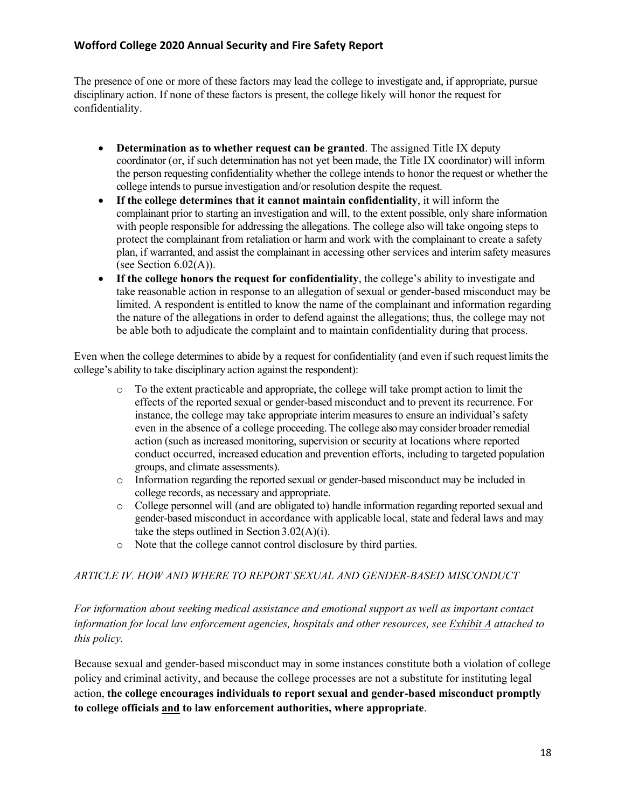The presence of one or more of these factors may lead the college to investigate and, if appropriate, pursue disciplinary action. If none of these factors is present, the college likely will honor the request for confidentiality.

- **Determination as to whether request can be granted**. The assigned Title IX deputy coordinator (or, if such determination has not yet been made, the Title IX coordinator) will inform the person requesting confidentiality whether the college intendsto honor the request or whetherthe college intends to pursue investigation and/or resolution despite the request.
- **If the college determines that it cannot maintain confidentiality**, it will inform the complainant prior to starting an investigation and will, to the extent possible, only share information with people responsible for addressing the allegations. The college also will take ongoing steps to protect the complainant from retaliation or harm and work with the complainant to create a safety plan, if warranted, and assist the complainant in accessing other services and interim safety measures (see Section  $6.02(A)$ ).
- **If the college honors the request for confidentiality**, the college's ability to investigate and take reasonable action in response to an allegation of sexual or gender-based misconduct may be limited. A respondent is entitled to know the name of the complainant and information regarding the nature of the allegations in order to defend against the allegations; thus, the college may not be able both to adjudicate the complaint and to maintain confidentiality during that process.

Even when the college determines to abide by a request for confidentiality (and even if such request limits the college's ability to take disciplinary action against the respondent):

- $\circ$  To the extent practicable and appropriate, the college will take prompt action to limit the effects of the reported sexual or gender-based misconduct and to prevent its recurrence. For instance, the college may take appropriate interim measures to ensure an individual's safety even in the absence of a college proceeding. The college also may consider broader remedial action (such as increased monitoring, supervision or security at locations where reported conduct occurred, increased education and prevention efforts, including to targeted population groups, and climate assessments).
- o Information regarding the reported sexual or gender-based misconduct may be included in college records, as necessary and appropriate.
- o College personnel will (and are obligated to) handle information regarding reported sexual and gender-based misconduct in accordance with applicable local, state and federal laws and may take the steps outlined in Section  $3.02(A)(i)$ .
- o Note that the college cannot control disclosure by third parties.

## *ARTICLE IV. HOW AND WHERE TO REPORT SEXUAL AND GENDER-BASED MISCONDUCT*

*For information about seeking medical assistance and emotional support as well as important contact information for local law enforcement agencies, hospitals and other resources, see Exhibit A attached to this policy.*

Because sexual and gender-based misconduct may in some instances constitute both a violation of college policy and criminal activity, and because the college processes are not a substitute for instituting legal action, **the college encourages individuals to report sexual and gender-based misconduct promptly to college officials and to law enforcement authorities, where appropriate**.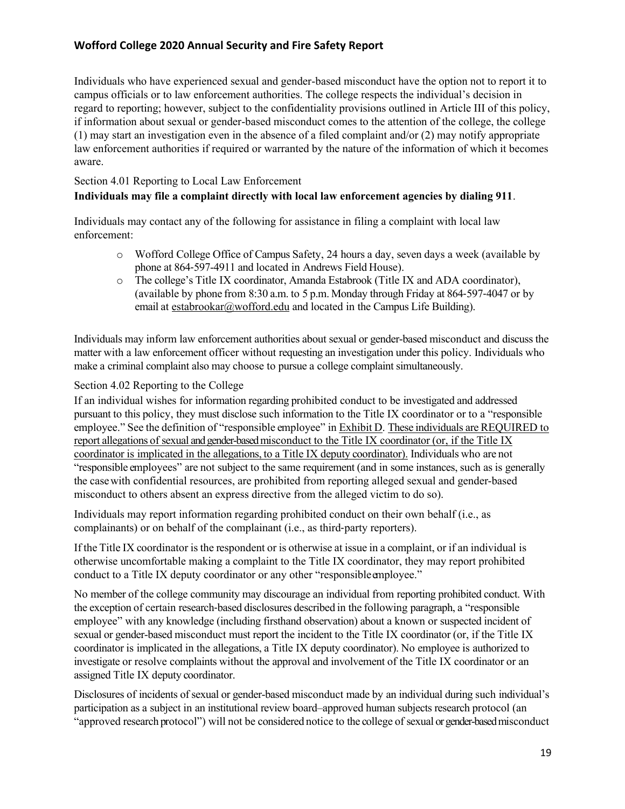Individuals who have experienced sexual and gender-based misconduct have the option not to report it to campus officials or to law enforcement authorities. The college respects the individual's decision in regard to reporting; however, subject to the confidentiality provisions outlined in Article III of this policy, if information about sexual or gender-based misconduct comes to the attention of the college, the college (1) may start an investigation even in the absence of a filed complaint and/or (2) may notify appropriate law enforcement authorities if required or warranted by the nature of the information of which it becomes aware.

#### Section 4.01 Reporting to Local Law Enforcement

#### **Individuals may file a complaint directly with local law enforcement agencies by dialing 911**.

Individuals may contact any of the following for assistance in filing a complaint with local law enforcement:

- o Wofford College Office of Campus Safety, 24 hours a day, seven days a week (available by phone at 864-597-4911 and located in Andrews Field House).
- o The college's Title IX coordinator, Amanda Estabrook (Title IX and ADA coordinator), (available by phone from 8:30 a.m. to 5 p.m. Monday through Friday at 864-597-4047 or by email at estabrookar@wofford.edu and located in the Campus Life Building).

Individuals may inform law enforcement authorities about sexual or gender-based misconduct and discuss the matter with a law enforcement officer without requesting an investigation under this policy. Individuals who make a criminal complaint also may choose to pursue a college complaint simultaneously.

#### Section 4.02 Reporting to the College

If an individual wishes for information regarding prohibited conduct to be investigated and addressed pursuant to this policy, they must disclose such information to the Title IX coordinator or to a "responsible employee." See the definition of "responsible employee" in Exhibit D. These individuals are REQUIRED to report allegations of sexual and gender-based misconduct to the Title IX coordinator (or, if the Title IX coordinator is implicated in the allegations, to a Title IX deputy coordinator). Individuals who are not "responsible employees" are not subject to the same requirement (and in some instances, such as is generally the casewith confidential resources, are prohibited from reporting alleged sexual and gender-based misconduct to others absent an express directive from the alleged victim to do so).

Individuals may report information regarding prohibited conduct on their own behalf (i.e., as complainants) or on behalf of the complainant (i.e., as third-party reporters).

If the Title IX coordinator is the respondent or is otherwise at issue in a complaint, or if an individual is otherwise uncomfortable making a complaint to the Title IX coordinator, they may report prohibited conduct to a Title IX deputy coordinator or any other "responsible employee."

No member of the college community may discourage an individual from reporting prohibited conduct. With the exception of certain research-based disclosures described in the following paragraph, a "responsible employee" with any knowledge (including firsthand observation) about a known or suspected incident of sexual or gender-based misconduct must report the incident to the Title IX coordinator (or, if the Title IX coordinator is implicated in the allegations, a Title IX deputy coordinator). No employee is authorized to investigate or resolve complaints without the approval and involvement of the Title IX coordinator or an assigned Title IX deputy coordinator.

Disclosures of incidents of sexual or gender-based misconduct made by an individual during such individual's participation as a subject in an institutional review board–approved human subjects research protocol (an "approved research protocol") will not be considered notice to the college of sexual or gender-based misconduct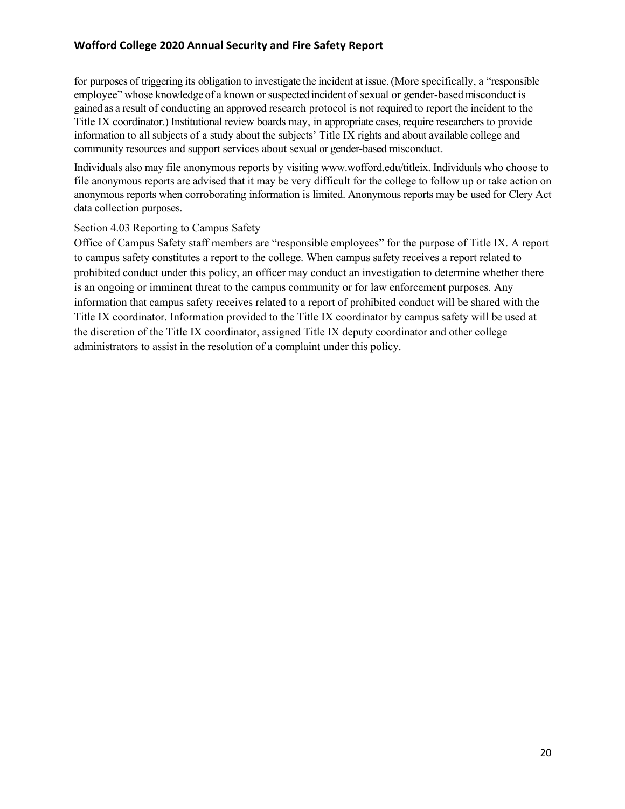for purposes of triggering its obligation to investigate the incident at issue. (More specifically, a "responsible employee" whose knowledge of a known or suspected incident of sexual or gender-based misconduct is gainedas a result of conducting an approved research protocol is not required to report the incident to the Title IX coordinator.) Institutional review boards may, in appropriate cases, require researchers to provide information to all subjects of a study about the subjects' Title IX rights and about available college and community resources and support services about sexual or gender-based misconduct.

Individuals also may file anonymous reports by visiting www.wofford.edu/titleix. Individuals who choose to file anonymous reports are advised that it may be very difficult for the college to follow up or take action on anonymous reports when corroborating information is limited. Anonymous reports may be used for Clery Act data collection purposes.

#### Section 4.03 Reporting to Campus Safety

Office of Campus Safety staff members are "responsible employees" for the purpose of Title IX. A report to campus safety constitutes a report to the college. When campus safety receives a report related to prohibited conduct under this policy, an officer may conduct an investigation to determine whether there is an ongoing or imminent threat to the campus community or for law enforcement purposes. Any information that campus safety receives related to a report of prohibited conduct will be shared with the Title IX coordinator. Information provided to the Title IX coordinator by campus safety will be used at the discretion of the Title IX coordinator, assigned Title IX deputy coordinator and other college administrators to assist in the resolution of a complaint under this policy.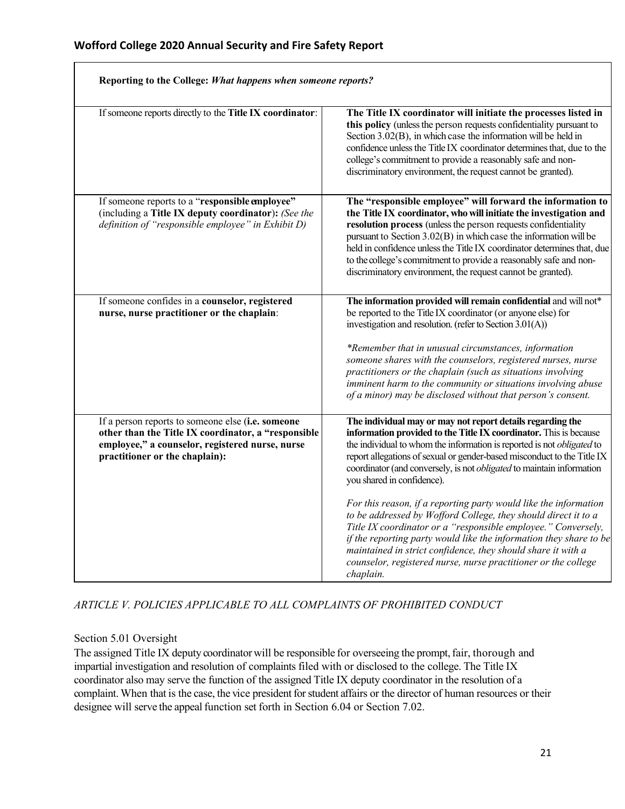$\Gamma$ 

| Reporting to the College: What happens when someone reports?                                                                                                                                  |                                                                                                                                                                                                                                                                                                                                                                                                                                                                                                                      |
|-----------------------------------------------------------------------------------------------------------------------------------------------------------------------------------------------|----------------------------------------------------------------------------------------------------------------------------------------------------------------------------------------------------------------------------------------------------------------------------------------------------------------------------------------------------------------------------------------------------------------------------------------------------------------------------------------------------------------------|
| If someone reports directly to the Title IX coordinator:                                                                                                                                      | The Title IX coordinator will initiate the processes listed in<br>this policy (unless the person requests confidentiality pursuant to<br>Section 3.02(B), in which case the information will be held in<br>confidence unless the Title IX coordinator determines that, due to the<br>college's commitment to provide a reasonably safe and non-<br>discriminatory environment, the request cannot be granted).                                                                                                       |
| If someone reports to a "responsible employee"<br>(including a Title IX deputy coordinator): (See the<br>definition of "responsible employee" in Exhibit D)                                   | The "responsible employee" will forward the information to<br>the Title IX coordinator, who will initiate the investigation and<br>resolution process (unless the person requests confidentiality<br>pursuant to Section 3.02(B) in which case the information will be<br>held in confidence unless the Title IX coordinator determines that, due<br>to the college's commitment to provide a reasonably safe and non-<br>discriminatory environment, the request cannot be granted).                                |
| If someone confides in a counselor, registered<br>nurse, nurse practitioner or the chaplain:                                                                                                  | The information provided will remain confidential and will not*<br>be reported to the Title IX coordinator (or anyone else) for<br>investigation and resolution. (refer to Section $3.01(A)$ )<br>*Remember that in unusual circumstances, information<br>someone shares with the counselors, registered nurses, nurse<br>practitioners or the chaplain (such as situations involving<br>imminent harm to the community or situations involving abuse<br>of a minor) may be disclosed without that person's consent. |
| If a person reports to someone else (i.e. someone<br>other than the Title IX coordinator, a "responsible<br>employee," a counselor, registered nurse, nurse<br>practitioner or the chaplain): | The individual may or may not report details regarding the<br>information provided to the Title IX coordinator. This is because<br>the individual to whom the information is reported is not <i>obligated</i> to<br>report allegations of sexual or gender-based misconduct to the Title IX<br>coordinator (and conversely, is not <i>obligated</i> to maintain information<br>you shared in confidence).                                                                                                            |
|                                                                                                                                                                                               | For this reason, if a reporting party would like the information<br>to be addressed by Wofford College, they should direct it to a<br>Title IX coordinator or a "responsible employee." Conversely,<br>if the reporting party would like the information they share to be<br>maintained in strict confidence, they should share it with a<br>counselor, registered nurse, nurse practitioner or the college<br>chaplain.                                                                                             |

## *ARTICLE V. POLICIES APPLICABLE TO ALL COMPLAINTS OF PROHIBITED CONDUCT*

#### Section 5.01 Oversight

The assigned Title IX deputy coordinator will be responsible for overseeing the prompt, fair, thorough and impartial investigation and resolution of complaints filed with or disclosed to the college. The Title IX coordinator also may serve the function of the assigned Title IX deputy coordinator in the resolution of a complaint. When that is the case, the vice president for student affairs or the director of human resources or their designee will serve the appeal function set forth in Section 6.04 or Section 7.02.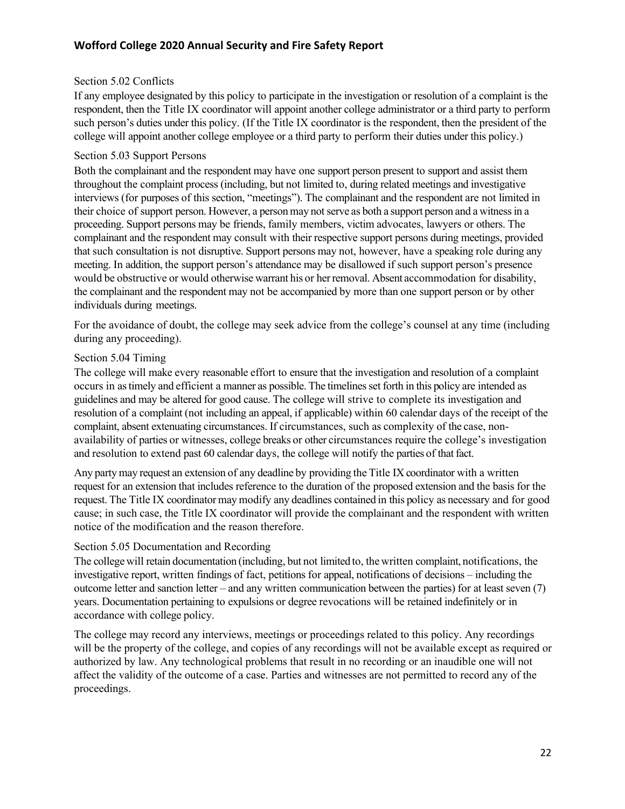#### Section 5.02 Conflicts

If any employee designated by this policy to participate in the investigation or resolution of a complaint is the respondent, then the Title IX coordinator will appoint another college administrator or a third party to perform such person's duties under this policy. (If the Title IX coordinator is the respondent, then the president of the college will appoint another college employee or a third party to perform their duties under this policy.)

#### Section 5.03 Support Persons

Both the complainant and the respondent may have one support person present to support and assist them throughout the complaint process (including, but not limited to, during related meetings and investigative interviews (for purposes of this section, "meetings"). The complainant and the respondent are not limited in their choice of support person. However, a person may not serve as both a support person and a witness in a proceeding. Support persons may be friends, family members, victim advocates, lawyers or others. The complainant and the respondent may consult with their respective support persons during meetings, provided that such consultation is not disruptive. Support persons may not, however, have a speaking role during any meeting. In addition, the support person's attendance may be disallowed if such support person's presence would be obstructive or would otherwise warrant his or herremoval. Absent accommodation for disability, the complainant and the respondent may not be accompanied by more than one support person or by other individuals during meetings.

For the avoidance of doubt, the college may seek advice from the college's counsel at any time (including during any proceeding).

#### Section 5.04 Timing

The college will make every reasonable effort to ensure that the investigation and resolution of a complaint occurs in astimely and efficient a manner as possible. The timelinesset forth in this policy are intended as guidelines and may be altered for good cause. The college will strive to complete its investigation and resolution of a complaint (not including an appeal, if applicable) within 60 calendar days of the receipt of the complaint, absent extenuating circumstances. If circumstances, such as complexity of the case, nonavailability of parties or witnesses, college breaks or other circumstances require the college's investigation and resolution to extend past 60 calendar days, the college will notify the parties of that fact.

Any party may request an extension of any deadline by providing the Title IX coordinator with a written request for an extension that includes reference to the duration of the proposed extension and the basis for the request. The Title IX coordinator may modify any deadlines contained in this policy as necessary and for good cause; in such case, the Title IX coordinator will provide the complainant and the respondent with written notice of the modification and the reason therefore.

#### Section 5.05 Documentation and Recording

The collegewill retain documentation (including, but not limited to, the written complaint, notifications, the investigative report, written findings of fact, petitions for appeal, notifications of decisions – including the outcome letter and sanction letter – and any written communication between the parties) for at least seven (7) years. Documentation pertaining to expulsions or degree revocations will be retained indefinitely or in accordance with college policy.

The college may record any interviews, meetings or proceedings related to this policy. Any recordings will be the property of the college, and copies of any recordings will not be available except as required or authorized by law. Any technological problems that result in no recording or an inaudible one will not affect the validity of the outcome of a case. Parties and witnesses are not permitted to record any of the proceedings.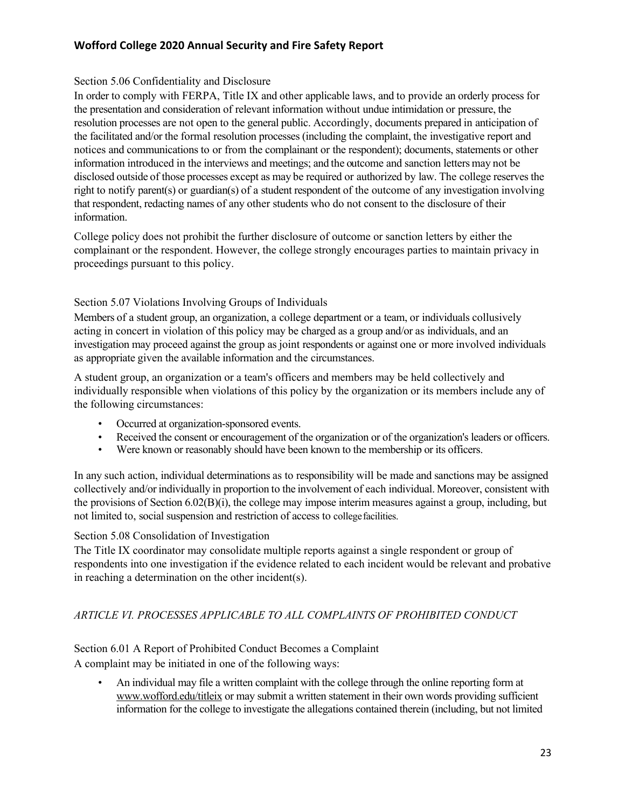## Section 5.06 Confidentiality and Disclosure

In order to comply with FERPA, Title IX and other applicable laws, and to provide an orderly process for the presentation and consideration of relevant information without undue intimidation or pressure, the resolution processes are not open to the general public. Accordingly, documents prepared in anticipation of the facilitated and/or the formal resolution processes (including the complaint, the investigative report and notices and communications to or from the complainant or the respondent); documents, statements or other information introduced in the interviews and meetings; and the outcome and sanction letters may not be disclosed outside of those processes except as may be required or authorized by law. The college reserves the right to notify parent(s) or guardian(s) of a student respondent of the outcome of any investigation involving that respondent, redacting names of any other students who do not consent to the disclosure of their information.

College policy does not prohibit the further disclosure of outcome or sanction letters by either the complainant or the respondent. However, the college strongly encourages parties to maintain privacy in proceedings pursuant to this policy.

## Section 5.07 Violations Involving Groups of Individuals

Members of a student group, an organization, a college department or a team, or individuals collusively acting in concert in violation of this policy may be charged as a group and/or as individuals, and an investigation may proceed against the group as joint respondents or against one or more involved individuals as appropriate given the available information and the circumstances.

A student group, an organization or a team's officers and members may be held collectively and individually responsible when violations of this policy by the organization or its members include any of the following circumstances:

- Occurred at organization-sponsored events.
- Received the consent or encouragement of the organization or of the organization's leaders or officers.
- Were known or reasonably should have been known to the membership or its officers.

In any such action, individual determinations as to responsibility will be made and sanctions may be assigned collectively and/or individually in proportion to the involvement of each individual. Moreover, consistent with the provisions of Section 6.02(B)(i), the college may impose interim measures against a group, including, but not limited to, social suspension and restriction of access to collegefacilities.

## Section 5.08 Consolidation of Investigation

The Title IX coordinator may consolidate multiple reports against a single respondent or group of respondents into one investigation if the evidence related to each incident would be relevant and probative in reaching a determination on the other incident(s).

# *ARTICLE VI. PROCESSES APPLICABLE TO ALL COMPLAINTS OF PROHIBITED CONDUCT*

# Section 6.01 A Report of Prohibited Conduct Becomes a Complaint

A complaint may be initiated in one of the following ways:

• An individual may file a written complaint with the college through the online reporting form at www.wofford.edu/titleix or may submit a written statement in their own words providing sufficient information for the college to investigate the allegations contained therein (including, but not limited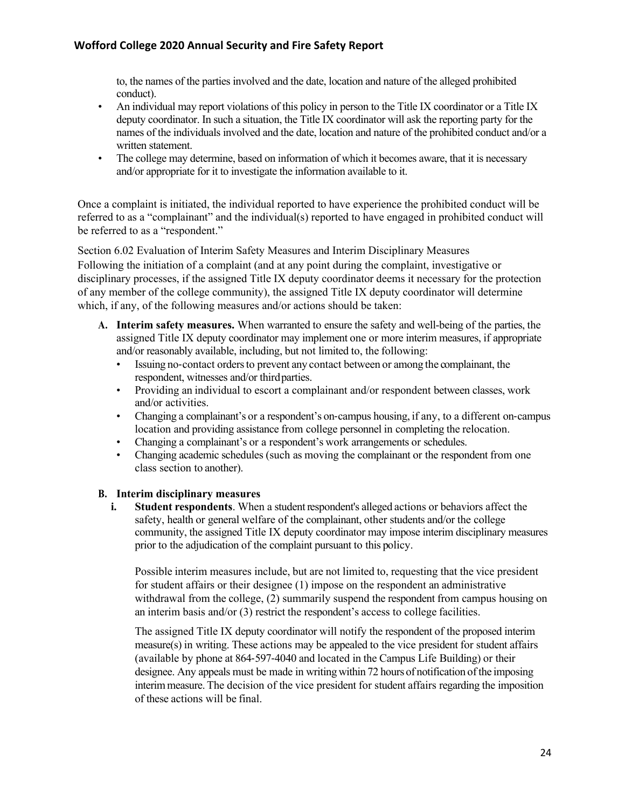to, the names of the parties involved and the date, location and nature of the alleged prohibited conduct).

- An individual may report violations of this policy in person to the Title IX coordinator or a Title IX deputy coordinator. In such a situation, the Title IX coordinator will ask the reporting party for the names of the individuals involved and the date, location and nature of the prohibited conduct and/or a written statement.
- The college may determine, based on information of which it becomes aware, that it is necessary and/or appropriate for it to investigate the information available to it.

Once a complaint is initiated, the individual reported to have experience the prohibited conduct will be referred to as a "complainant" and the individual(s) reported to have engaged in prohibited conduct will be referred to as a "respondent."

Section 6.02 Evaluation of Interim Safety Measures and Interim Disciplinary Measures Following the initiation of a complaint (and at any point during the complaint, investigative or disciplinary processes, if the assigned Title IX deputy coordinator deems it necessary for the protection of any member of the college community), the assigned Title IX deputy coordinator will determine which, if any, of the following measures and/or actions should be taken:

- **A. Interim safety measures.** When warranted to ensure the safety and well-being of the parties, the assigned Title IX deputy coordinator may implement one or more interim measures, if appropriate and/or reasonably available, including, but not limited to, the following:
	- Issuing no-contact ordersto prevent any contact between or among the complainant, the respondent, witnesses and/or thirdparties.
	- Providing an individual to escort a complainant and/or respondent between classes, work and/or activities.
	- Changing a complainant's or a respondent's on-campus housing, if any, to a different on-campus location and providing assistance from college personnel in completing the relocation.
	- Changing a complainant's or a respondent's work arrangements or schedules.
	- Changing academic schedules (such as moving the complainant or the respondent from one class section to another).

#### **B. Interim disciplinary measures**

**i. Student respondents**. When a student respondent's alleged actions or behaviors affect the safety, health or general welfare of the complainant, other students and/or the college community, the assigned Title IX deputy coordinator may impose interim disciplinary measures prior to the adjudication of the complaint pursuant to this policy.

Possible interim measures include, but are not limited to, requesting that the vice president for student affairs or their designee (1) impose on the respondent an administrative withdrawal from the college, (2) summarily suspend the respondent from campus housing on an interim basis and/or (3) restrict the respondent's access to college facilities.

The assigned Title IX deputy coordinator will notify the respondent of the proposed interim measure(s) in writing. These actions may be appealed to the vice president for student affairs (available by phone at 864-597-4040 and located in the Campus Life Building) or their designee. Any appeals must be made in writing within 72 hours of notification ofthe imposing interimmeasure. The decision of the vice president for student affairs regarding the imposition of these actions will be final.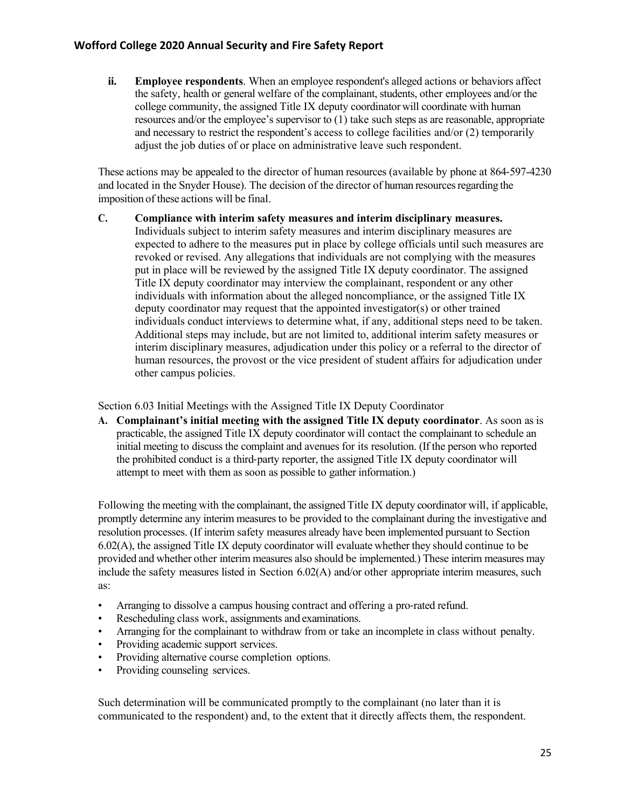**ii. Employee respondents**. When an employee respondent's alleged actions or behaviors affect the safety, health or general welfare of the complainant, students, other employees and/or the college community, the assigned Title IX deputy coordinator will coordinate with human resources and/or the employee's supervisor to (1) take such steps as are reasonable, appropriate and necessary to restrict the respondent's access to college facilities and/or (2) temporarily adjust the job duties of or place on administrative leave such respondent.

These actions may be appealed to the director of human resources (available by phone at 864-597-4230 and located in the Snyder House). The decision of the director of human resources regarding the imposition of these actions will be final.

**C. Compliance with interim safety measures and interim disciplinary measures.**  Individuals subject to interim safety measures and interim disciplinary measures are expected to adhere to the measures put in place by college officials until such measures are revoked or revised. Any allegations that individuals are not complying with the measures put in place will be reviewed by the assigned Title IX deputy coordinator. The assigned Title IX deputy coordinator may interview the complainant, respondent or any other individuals with information about the alleged noncompliance, or the assigned Title IX deputy coordinator may request that the appointed investigator(s) or other trained individuals conduct interviews to determine what, if any, additional steps need to be taken. Additional steps may include, but are not limited to, additional interim safety measures or interim disciplinary measures, adjudication under this policy or a referral to the director of human resources, the provost or the vice president of student affairs for adjudication under other campus policies.

Section 6.03 Initial Meetings with the Assigned Title IX Deputy Coordinator

**A. Complainant's initial meeting with the assigned Title IX deputy coordinator**. As soon as is practicable, the assigned Title IX deputy coordinator will contact the complainant to schedule an initial meeting to discuss the complaint and avenues for its resolution. (If the person who reported the prohibited conduct is a third-party reporter, the assigned Title IX deputy coordinator will attempt to meet with them as soon as possible to gather information.)

Following the meeting with the complainant, the assigned Title IX deputy coordinator will, if applicable, promptly determine any interim measures to be provided to the complainant during the investigative and resolution processes. (If interim safety measures already have been implemented pursuant to Section 6.02(A), the assigned Title IX deputy coordinator will evaluate whether they should continue to be provided and whether other interim measures also should be implemented.) These interim measures may include the safety measures listed in Section 6.02(A) and/or other appropriate interim measures, such as:

- Arranging to dissolve a campus housing contract and offering a pro-rated refund.
- Rescheduling class work, assignments and examinations.
- Arranging for the complainant to withdraw from or take an incomplete in class without penalty.
- Providing academic support services.
- Providing alternative course completion options.
- Providing counseling services.

Such determination will be communicated promptly to the complainant (no later than it is communicated to the respondent) and, to the extent that it directly affects them, the respondent.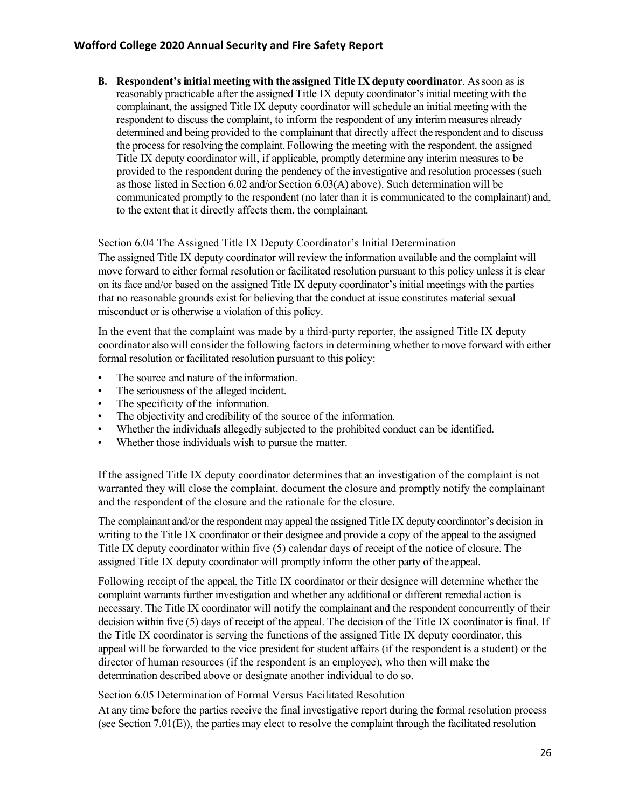**B. Respondent'sinitial meeting with theassigned Title IX deputy coordinator**. Assoon as is reasonably practicable after the assigned Title IX deputy coordinator's initial meeting with the complainant, the assigned Title IX deputy coordinator will schedule an initial meeting with the respondent to discuss the complaint, to inform the respondent of any interim measures already determined and being provided to the complainant that directly affect the respondent and to discuss the processfor resolving the complaint. Following the meeting with the respondent, the assigned Title IX deputy coordinator will, if applicable, promptly determine any interim measures to be provided to the respondent during the pendency of the investigative and resolution processes (such as those listed in Section 6.02 and/or Section 6.03(A) above). Such determination will be communicated promptly to the respondent (no later than it is communicated to the complainant) and, to the extent that it directly affects them, the complainant.

Section 6.04 The Assigned Title IX Deputy Coordinator's Initial Determination

The assigned Title IX deputy coordinator will review the information available and the complaint will move forward to either formal resolution or facilitated resolution pursuant to this policy unless it is clear on its face and/or based on the assigned Title IX deputy coordinator's initial meetings with the parties that no reasonable grounds exist for believing that the conduct at issue constitutes material sexual misconduct or is otherwise a violation of this policy.

In the event that the complaint was made by a third-party reporter, the assigned Title IX deputy coordinator also will consider the following factors in determining whether to move forward with either formal resolution or facilitated resolution pursuant to this policy:

- **•** The source and nature of the information.
- **•** The seriousness of the alleged incident.
- **•** The specificity of the information.
- The objectivity and credibility of the source of the information.
- **•** Whether the individuals allegedly subjected to the prohibited conduct can be identified.
- **•** Whether those individuals wish to pursue the matter.

If the assigned Title IX deputy coordinator determines that an investigation of the complaint is not warranted they will close the complaint, document the closure and promptly notify the complainant and the respondent of the closure and the rationale for the closure.

The complainant and/or the respondent may appeal the assigned Title IX deputy coordinator's decision in writing to the Title IX coordinator or their designee and provide a copy of the appeal to the assigned Title IX deputy coordinator within five (5) calendar days of receipt of the notice of closure. The assigned Title IX deputy coordinator will promptly inform the other party of the appeal.

Following receipt of the appeal, the Title IX coordinator or their designee will determine whether the complaint warrants further investigation and whether any additional or different remedial action is necessary. The Title IX coordinator will notify the complainant and the respondent concurrently of their decision within five (5) days of receipt of the appeal. The decision of the Title IX coordinator is final. If the Title IX coordinator is serving the functions of the assigned Title IX deputy coordinator, this appeal will be forwarded to the vice president for student affairs (if the respondent is a student) or the director of human resources (if the respondent is an employee), who then will make the determination described above or designate another individual to do so.

Section 6.05 Determination of Formal Versus Facilitated Resolution

At any time before the parties receive the final investigative report during the formal resolution process (see Section  $7.01(E)$ ), the parties may elect to resolve the complaint through the facilitated resolution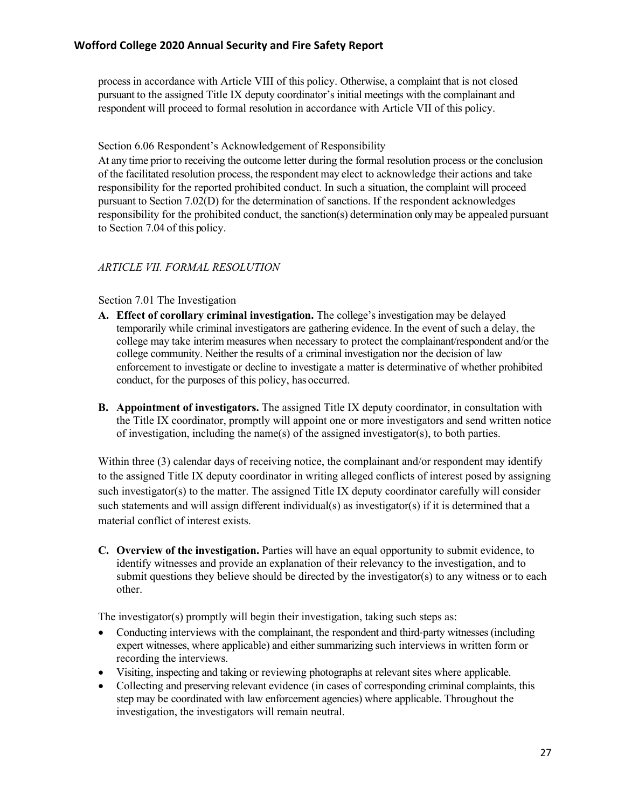process in accordance with Article VIII of this policy. Otherwise, a complaint that is not closed pursuant to the assigned Title IX deputy coordinator's initial meetings with the complainant and respondent will proceed to formal resolution in accordance with Article VII of this policy.

#### Section 6.06 Respondent's Acknowledgement of Responsibility

At any time priorto receiving the outcome letter during the formal resolution process or the conclusion of the facilitated resolution process, the respondent may elect to acknowledge their actions and take responsibility for the reported prohibited conduct. In such a situation, the complaint will proceed pursuant to Section 7.02(D) for the determination of sanctions. If the respondent acknowledges responsibility for the prohibited conduct, the sanction(s) determination only may be appealed pursuant to Section 7.04 of this policy.

#### *ARTICLE VII. FORMAL RESOLUTION*

#### Section 7.01 The Investigation

- **A. Effect of corollary criminal investigation.** The college's investigation may be delayed temporarily while criminal investigators are gathering evidence. In the event of such a delay, the college may take interim measures when necessary to protect the complainant/respondent and/or the college community. Neither the results of a criminal investigation nor the decision of law enforcement to investigate or decline to investigate a matter is determinative of whether prohibited conduct, for the purposes of this policy, has occurred.
- **B. Appointment of investigators.** The assigned Title IX deputy coordinator, in consultation with the Title IX coordinator, promptly will appoint one or more investigators and send written notice of investigation, including the name(s) of the assigned investigator(s), to both parties.

Within three (3) calendar days of receiving notice, the complainant and/or respondent may identify to the assigned Title IX deputy coordinator in writing alleged conflicts of interest posed by assigning such investigator(s) to the matter. The assigned Title IX deputy coordinator carefully will consider such statements and will assign different individual(s) as investigator(s) if it is determined that a material conflict of interest exists.

**C. Overview of the investigation.** Parties will have an equal opportunity to submit evidence, to identify witnesses and provide an explanation of their relevancy to the investigation, and to submit questions they believe should be directed by the investigator(s) to any witness or to each other.

The investigator(s) promptly will begin their investigation, taking such steps as:

- Conducting interviews with the complainant, the respondent and third-party witnesses (including expert witnesses, where applicable) and either summarizing such interviews in written form or recording the interviews.
- Visiting, inspecting and taking or reviewing photographs at relevant sites where applicable.
- Collecting and preserving relevant evidence (in cases of corresponding criminal complaints, this step may be coordinated with law enforcement agencies) where applicable. Throughout the investigation, the investigators will remain neutral.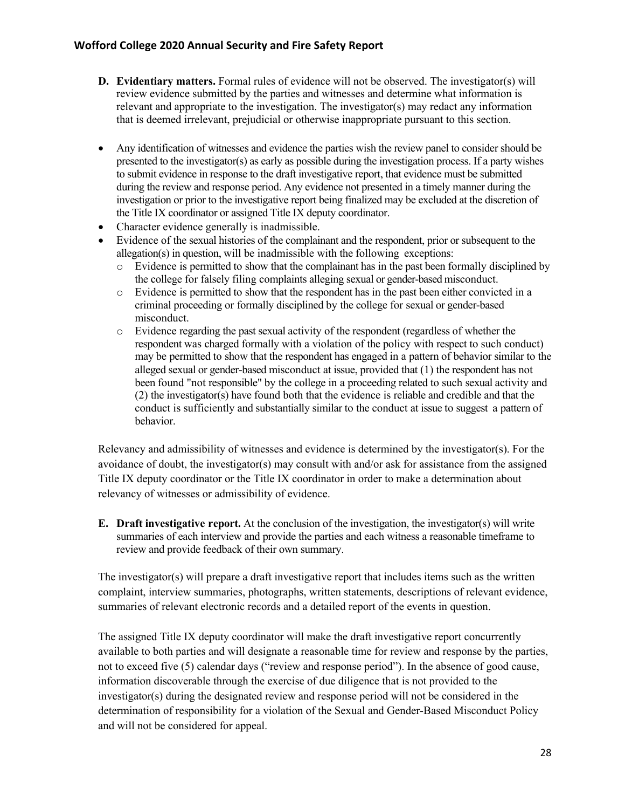- **D. Evidentiary matters.** Formal rules of evidence will not be observed. The investigator(s) will review evidence submitted by the parties and witnesses and determine what information is relevant and appropriate to the investigation. The investigator(s) may redact any information that is deemed irrelevant, prejudicial or otherwise inappropriate pursuant to this section.
- Any identification of witnesses and evidence the parties wish the review panel to consider should be presented to the investigator(s) as early as possible during the investigation process. If a party wishes to submit evidence in response to the draft investigative report, that evidence must be submitted during the review and response period. Any evidence not presented in a timely manner during the investigation or prior to the investigative report being finalized may be excluded at the discretion of the Title IX coordinator or assigned Title IX deputy coordinator.
- Character evidence generally is inadmissible.
- Evidence of the sexual histories of the complainant and the respondent, prior or subsequent to the allegation(s) in question, will be inadmissible with the following exceptions:
	- o Evidence is permitted to show that the complainant has in the past been formally disciplined by the college for falsely filing complaints alleging sexual or gender-based misconduct.
	- o Evidence is permitted to show that the respondent has in the past been either convicted in a criminal proceeding or formally disciplined by the college for sexual or gender-based misconduct.
	- o Evidence regarding the past sexual activity of the respondent (regardless of whether the respondent was charged formally with a violation of the policy with respect to such conduct) may be permitted to show that the respondent has engaged in a pattern of behavior similar to the alleged sexual or gender-based misconduct at issue, provided that (1) the respondent has not been found "not responsible" by the college in a proceeding related to such sexual activity and (2) the investigator(s) have found both that the evidence is reliable and credible and that the conduct is sufficiently and substantially similar to the conduct at issue to suggest a pattern of behavior.

Relevancy and admissibility of witnesses and evidence is determined by the investigator(s). For the avoidance of doubt, the investigator(s) may consult with and/or ask for assistance from the assigned Title IX deputy coordinator or the Title IX coordinator in order to make a determination about relevancy of witnesses or admissibility of evidence.

**E. Draft investigative report.** At the conclusion of the investigation, the investigator(s) will write summaries of each interview and provide the parties and each witness a reasonable timeframe to review and provide feedback of their own summary.

The investigator(s) will prepare a draft investigative report that includes items such as the written complaint, interview summaries, photographs, written statements, descriptions of relevant evidence, summaries of relevant electronic records and a detailed report of the events in question.

The assigned Title IX deputy coordinator will make the draft investigative report concurrently available to both parties and will designate a reasonable time for review and response by the parties, not to exceed five (5) calendar days ("review and response period"). In the absence of good cause, information discoverable through the exercise of due diligence that is not provided to the investigator(s) during the designated review and response period will not be considered in the determination of responsibility for a violation of the Sexual and Gender-Based Misconduct Policy and will not be considered for appeal.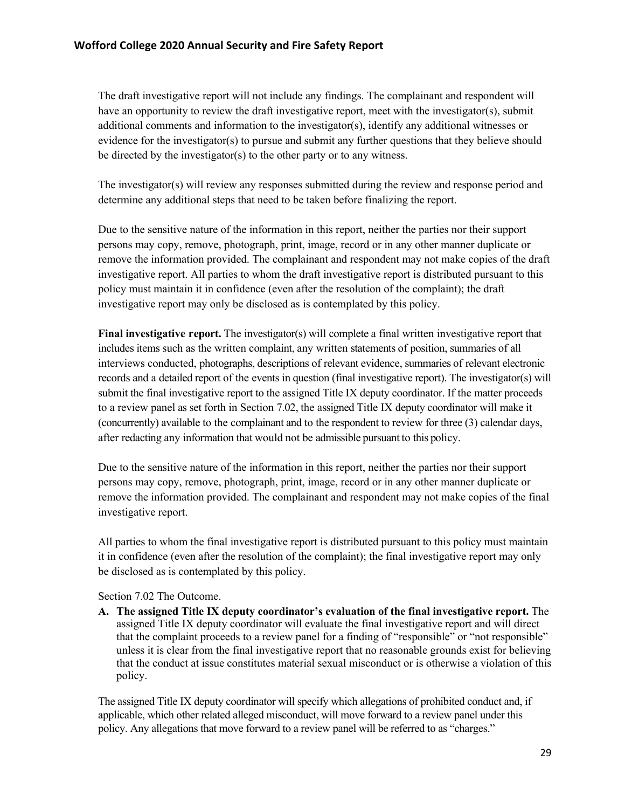The draft investigative report will not include any findings. The complainant and respondent will have an opportunity to review the draft investigative report, meet with the investigator(s), submit additional comments and information to the investigator(s), identify any additional witnesses or evidence for the investigator(s) to pursue and submit any further questions that they believe should be directed by the investigator(s) to the other party or to any witness.

The investigator(s) will review any responses submitted during the review and response period and determine any additional steps that need to be taken before finalizing the report.

Due to the sensitive nature of the information in this report, neither the parties nor their support persons may copy, remove, photograph, print, image, record or in any other manner duplicate or remove the information provided. The complainant and respondent may not make copies of the draft investigative report. All parties to whom the draft investigative report is distributed pursuant to this policy must maintain it in confidence (even after the resolution of the complaint); the draft investigative report may only be disclosed as is contemplated by this policy.

**Final investigative report.** The investigator(s) will complete a final written investigative report that includes items such as the written complaint, any written statements of position, summaries of all interviews conducted, photographs, descriptions of relevant evidence, summaries of relevant electronic records and a detailed report of the events in question (final investigative report). The investigator(s) will submit the final investigative report to the assigned Title IX deputy coordinator. If the matter proceeds to a review panel as set forth in Section 7.02, the assigned Title IX deputy coordinator will make it (concurrently) available to the complainant and to the respondent to review for three (3) calendar days, after redacting any information that would not be admissible pursuant to this policy.

Due to the sensitive nature of the information in this report, neither the parties nor their support persons may copy, remove, photograph, print, image, record or in any other manner duplicate or remove the information provided. The complainant and respondent may not make copies of the final investigative report.

All parties to whom the final investigative report is distributed pursuant to this policy must maintain it in confidence (even after the resolution of the complaint); the final investigative report may only be disclosed as is contemplated by this policy.

Section 7.02 The Outcome.

**A. The assigned Title IX deputy coordinator's evaluation of the final investigative report.** The assigned Title IX deputy coordinator will evaluate the final investigative report and will direct that the complaint proceeds to a review panel for a finding of "responsible" or "not responsible" unless it is clear from the final investigative report that no reasonable grounds exist for believing that the conduct at issue constitutes material sexual misconduct or is otherwise a violation of this policy.

The assigned Title IX deputy coordinator will specify which allegations of prohibited conduct and, if applicable, which other related alleged misconduct, will move forward to a review panel under this policy. Any allegations that move forward to a review panel will be referred to as "charges."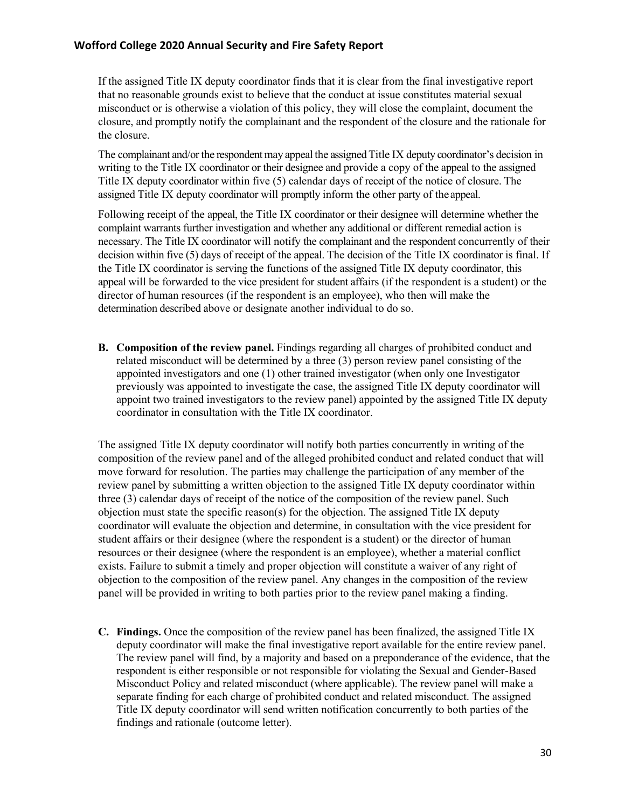If the assigned Title IX deputy coordinator finds that it is clear from the final investigative report that no reasonable grounds exist to believe that the conduct at issue constitutes material sexual misconduct or is otherwise a violation of this policy, they will close the complaint, document the closure, and promptly notify the complainant and the respondent of the closure and the rationale for the closure.

The complainant and/or the respondent may appeal the assigned Title IX deputy coordinator's decision in writing to the Title IX coordinator or their designee and provide a copy of the appeal to the assigned Title IX deputy coordinator within five (5) calendar days of receipt of the notice of closure. The assigned Title IX deputy coordinator will promptly inform the other party of the appeal.

Following receipt of the appeal, the Title IX coordinator or their designee will determine whether the complaint warrants further investigation and whether any additional or different remedial action is necessary. The Title IX coordinator will notify the complainant and the respondent concurrently of their decision within five (5) days of receipt of the appeal. The decision of the Title IX coordinator is final. If the Title IX coordinator is serving the functions of the assigned Title IX deputy coordinator, this appeal will be forwarded to the vice president for student affairs (if the respondent is a student) or the director of human resources (if the respondent is an employee), who then will make the determination described above or designate another individual to do so.

**B. Composition of the review panel.** Findings regarding all charges of prohibited conduct and related misconduct will be determined by a three (3) person review panel consisting of the appointed investigators and one (1) other trained investigator (when only one Investigator previously was appointed to investigate the case, the assigned Title IX deputy coordinator will appoint two trained investigators to the review panel) appointed by the assigned Title IX deputy coordinator in consultation with the Title IX coordinator.

The assigned Title IX deputy coordinator will notify both parties concurrently in writing of the composition of the review panel and of the alleged prohibited conduct and related conduct that will move forward for resolution. The parties may challenge the participation of any member of the review panel by submitting a written objection to the assigned Title IX deputy coordinator within three (3) calendar days of receipt of the notice of the composition of the review panel. Such objection must state the specific reason(s) for the objection. The assigned Title IX deputy coordinator will evaluate the objection and determine, in consultation with the vice president for student affairs or their designee (where the respondent is a student) or the director of human resources or their designee (where the respondent is an employee), whether a material conflict exists. Failure to submit a timely and proper objection will constitute a waiver of any right of objection to the composition of the review panel. Any changes in the composition of the review panel will be provided in writing to both parties prior to the review panel making a finding.

**C. Findings.** Once the composition of the review panel has been finalized, the assigned Title IX deputy coordinator will make the final investigative report available for the entire review panel. The review panel will find, by a majority and based on a preponderance of the evidence, that the respondent is either responsible or not responsible for violating the Sexual and Gender-Based Misconduct Policy and related misconduct (where applicable). The review panel will make a separate finding for each charge of prohibited conduct and related misconduct. The assigned Title IX deputy coordinator will send written notification concurrently to both parties of the findings and rationale (outcome letter).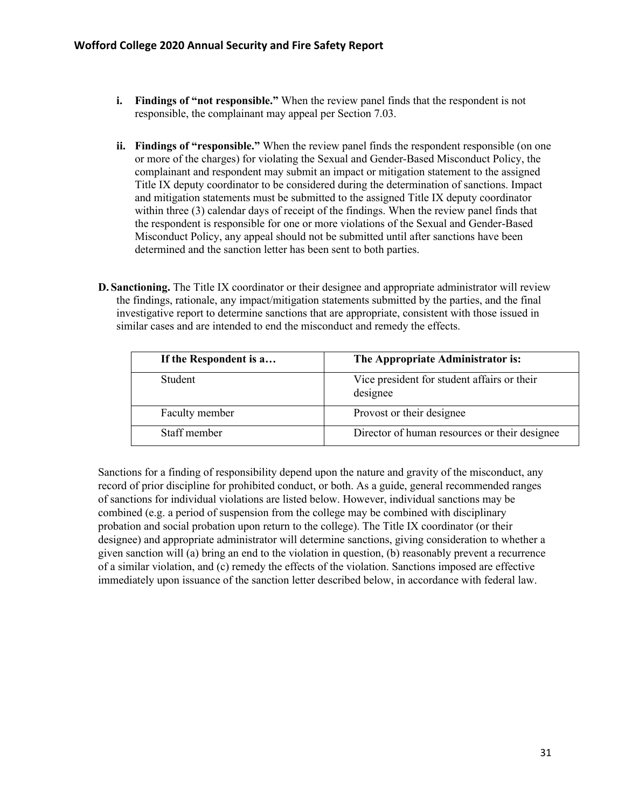- **i. Findings of "not responsible."** When the review panel finds that the respondent is not responsible, the complainant may appeal per Section 7.03.
- **ii. Findings of "responsible."** When the review panel finds the respondent responsible (on one or more of the charges) for violating the Sexual and Gender-Based Misconduct Policy, the complainant and respondent may submit an impact or mitigation statement to the assigned Title IX deputy coordinator to be considered during the determination of sanctions. Impact and mitigation statements must be submitted to the assigned Title IX deputy coordinator within three (3) calendar days of receipt of the findings. When the review panel finds that the respondent is responsible for one or more violations of the Sexual and Gender-Based Misconduct Policy, any appeal should not be submitted until after sanctions have been determined and the sanction letter has been sent to both parties.
- **D. Sanctioning.** The Title IX coordinator or their designee and appropriate administrator will review the findings, rationale, any impact/mitigation statements submitted by the parties, and the final investigative report to determine sanctions that are appropriate, consistent with those issued in similar cases and are intended to end the misconduct and remedy the effects.

| If the Respondent is a | The Appropriate Administrator is:                       |
|------------------------|---------------------------------------------------------|
| <b>Student</b>         | Vice president for student affairs or their<br>designee |
| Faculty member         | Provost or their designee                               |
| Staff member           | Director of human resources or their designee           |

Sanctions for a finding of responsibility depend upon the nature and gravity of the misconduct, any record of prior discipline for prohibited conduct, or both. As a guide, general recommended ranges of sanctions for individual violations are listed below. However, individual sanctions may be combined (e.g. a period of suspension from the college may be combined with disciplinary probation and social probation upon return to the college). The Title IX coordinator (or their designee) and appropriate administrator will determine sanctions, giving consideration to whether a given sanction will (a) bring an end to the violation in question, (b) reasonably prevent a recurrence of a similar violation, and (c) remedy the effects of the violation. Sanctions imposed are effective immediately upon issuance of the sanction letter described below, in accordance with federal law.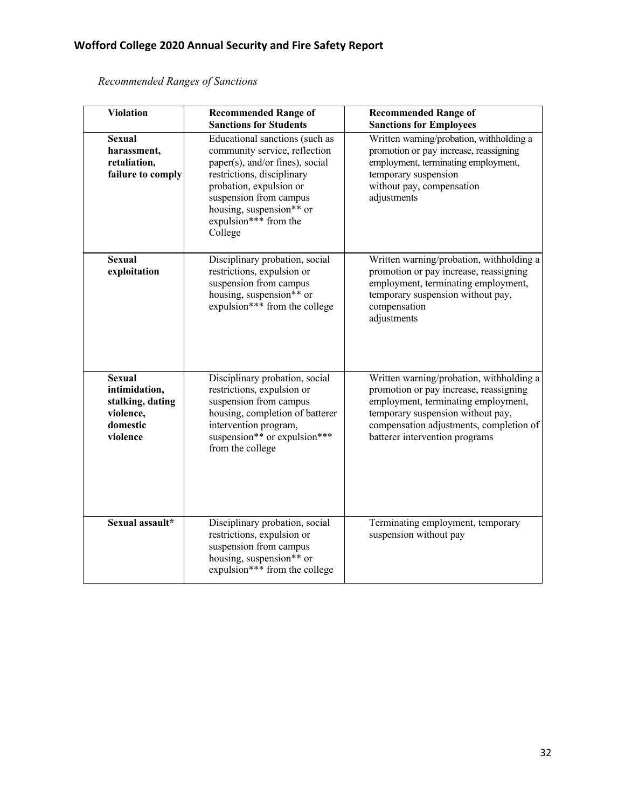| <b>Violation</b>                                                                        | <b>Recommended Range of</b><br><b>Sanctions for Students</b>                                                                                                                                                                                          | <b>Recommended Range of</b><br><b>Sanctions for Employees</b>                                                                                                                                                                               |
|-----------------------------------------------------------------------------------------|-------------------------------------------------------------------------------------------------------------------------------------------------------------------------------------------------------------------------------------------------------|---------------------------------------------------------------------------------------------------------------------------------------------------------------------------------------------------------------------------------------------|
| <b>Sexual</b><br>harassment,<br>retaliation,<br>failure to comply                       | Educational sanctions (such as<br>community service, reflection<br>paper(s), and/or fines), social<br>restrictions, disciplinary<br>probation, expulsion or<br>suspension from campus<br>housing, suspension** or<br>expulsion*** from the<br>College | Written warning/probation, withholding a<br>promotion or pay increase, reassigning<br>employment, terminating employment,<br>temporary suspension<br>without pay, compensation<br>adjustments                                               |
| <b>Sexual</b><br>exploitation                                                           | Disciplinary probation, social<br>restrictions, expulsion or<br>suspension from campus<br>housing, suspension** or<br>expulsion*** from the college                                                                                                   | Written warning/probation, withholding a<br>promotion or pay increase, reassigning<br>employment, terminating employment,<br>temporary suspension without pay,<br>compensation<br>adjustments                                               |
| <b>Sexual</b><br>intimidation,<br>stalking, dating<br>violence,<br>domestic<br>violence | Disciplinary probation, social<br>restrictions, expulsion or<br>suspension from campus<br>housing, completion of batterer<br>intervention program,<br>suspension** or expulsion***<br>from the college                                                | Written warning/probation, withholding a<br>promotion or pay increase, reassigning<br>employment, terminating employment,<br>temporary suspension without pay,<br>compensation adjustments, completion of<br>batterer intervention programs |
| Sexual assault*                                                                         | Disciplinary probation, social<br>restrictions, expulsion or<br>suspension from campus<br>housing, suspension** or<br>expulsion*** from the college                                                                                                   | Terminating employment, temporary<br>suspension without pay                                                                                                                                                                                 |

*Recommended Ranges of Sanctions*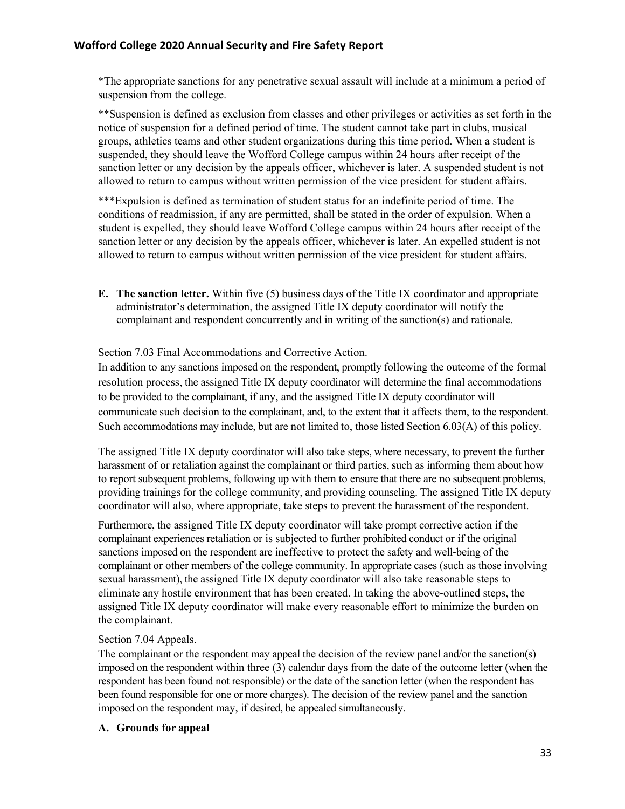\*The appropriate sanctions for any penetrative sexual assault will include at a minimum a period of suspension from the college.

\*\*Suspension is defined as exclusion from classes and other privileges or activities as set forth in the notice of suspension for a defined period of time. The student cannot take part in clubs, musical groups, athletics teams and other student organizations during this time period. When a student is suspended, they should leave the Wofford College campus within 24 hours after receipt of the sanction letter or any decision by the appeals officer, whichever is later. A suspended student is not allowed to return to campus without written permission of the vice president for student affairs.

\*\*\*Expulsion is defined as termination of student status for an indefinite period of time. The conditions of readmission, if any are permitted, shall be stated in the order of expulsion. When a student is expelled, they should leave Wofford College campus within 24 hours after receipt of the sanction letter or any decision by the appeals officer, whichever is later. An expelled student is not allowed to return to campus without written permission of the vice president for student affairs.

**E. The sanction letter.** Within five (5) business days of the Title IX coordinator and appropriate administrator's determination, the assigned Title IX deputy coordinator will notify the complainant and respondent concurrently and in writing of the sanction(s) and rationale.

Section 7.03 Final Accommodations and Corrective Action.

In addition to any sanctions imposed on the respondent, promptly following the outcome of the formal resolution process, the assigned Title IX deputy coordinator will determine the final accommodations to be provided to the complainant, if any, and the assigned Title IX deputy coordinator will communicate such decision to the complainant, and, to the extent that it affects them, to the respondent. Such accommodations may include, but are not limited to, those listed Section 6.03(A) of this policy.

The assigned Title IX deputy coordinator will also take steps, where necessary, to prevent the further harassment of or retaliation against the complainant or third parties, such as informing them about how to report subsequent problems, following up with them to ensure that there are no subsequent problems, providing trainings for the college community, and providing counseling. The assigned Title IX deputy coordinator will also, where appropriate, take steps to prevent the harassment of the respondent.

Furthermore, the assigned Title IX deputy coordinator will take prompt corrective action if the complainant experiences retaliation or is subjected to further prohibited conduct or if the original sanctions imposed on the respondent are ineffective to protect the safety and well-being of the complainant or other members of the college community. In appropriate cases (such as those involving sexual harassment), the assigned Title IX deputy coordinator will also take reasonable steps to eliminate any hostile environment that has been created. In taking the above-outlined steps, the assigned Title IX deputy coordinator will make every reasonable effort to minimize the burden on the complainant.

## Section 7.04 Appeals.

The complainant or the respondent may appeal the decision of the review panel and/or the sanction(s) imposed on the respondent within three (3) calendar days from the date of the outcome letter (when the respondent has been found not responsible) or the date of the sanction letter (when the respondent has been found responsible for one or more charges). The decision of the review panel and the sanction imposed on the respondent may, if desired, be appealed simultaneously.

## **A. Grounds for appeal**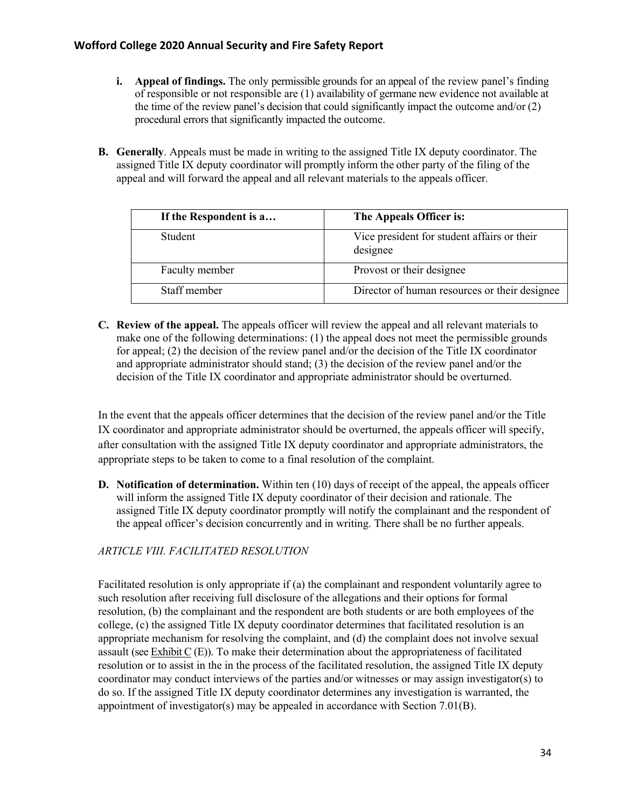- **i. Appeal of findings.** The only permissible grounds for an appeal of the review panel's finding of responsible or not responsible are (1) availability of germane new evidence not available at the time of the review panel's decision that could significantly impact the outcome and/or (2) procedural errors that significantly impacted the outcome.
- **B. Generally**. Appeals must be made in writing to the assigned Title IX deputy coordinator. The assigned Title IX deputy coordinator will promptly inform the other party of the filing of the appeal and will forward the appeal and all relevant materials to the appeals officer.

| If the Respondent is a | The Appeals Officer is:                                 |
|------------------------|---------------------------------------------------------|
| <b>Student</b>         | Vice president for student affairs or their<br>designee |
| Faculty member         | Provost or their designee                               |
| Staff member           | Director of human resources or their designee           |

**C. Review of the appeal.** The appeals officer will review the appeal and all relevant materials to make one of the following determinations: (1) the appeal does not meet the permissible grounds for appeal; (2) the decision of the review panel and/or the decision of the Title IX coordinator and appropriate administrator should stand; (3) the decision of the review panel and/or the decision of the Title IX coordinator and appropriate administrator should be overturned.

In the event that the appeals officer determines that the decision of the review panel and/or the Title IX coordinator and appropriate administrator should be overturned, the appeals officer will specify, after consultation with the assigned Title IX deputy coordinator and appropriate administrators, the appropriate steps to be taken to come to a final resolution of the complaint.

**D. Notification of determination.** Within ten (10) days of receipt of the appeal, the appeals officer will inform the assigned Title IX deputy coordinator of their decision and rationale. The assigned Title IX deputy coordinator promptly will notify the complainant and the respondent of the appeal officer's decision concurrently and in writing. There shall be no further appeals.

# *ARTICLE VIII. FACILITATED RESOLUTION*

Facilitated resolution is only appropriate if (a) the complainant and respondent voluntarily agree to such resolution after receiving full disclosure of the allegations and their options for formal resolution, (b) the complainant and the respondent are both students or are both employees of the college, (c) the assigned Title IX deputy coordinator determines that facilitated resolution is an appropriate mechanism for resolving the complaint, and (d) the complaint does not involve sexual assault (see Exhibit C (E)). To make their determination about the appropriateness of facilitated resolution or to assist in the in the process of the facilitated resolution, the assigned Title IX deputy coordinator may conduct interviews of the parties and/or witnesses or may assign investigator(s) to do so. If the assigned Title IX deputy coordinator determines any investigation is warranted, the appointment of investigator(s) may be appealed in accordance with Section 7.01(B).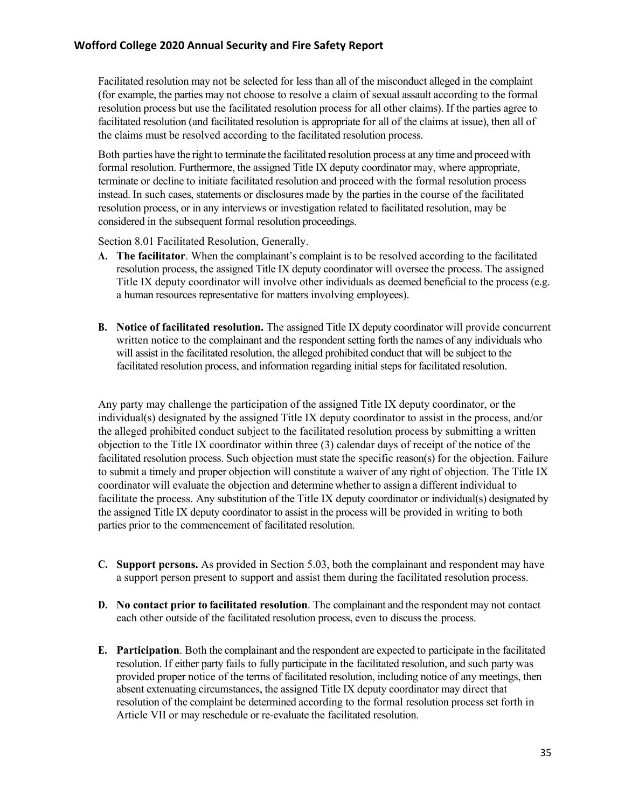Facilitated resolution may not be selected for less than all of the misconduct alleged in the complaint (for example, the parties may not choose to resolve a claim of sexual assault according to the formal resolution process but use the facilitated resolution process for all other claims). If the parties agree to facilitated resolution (and facilitated resolution is appropriate for all of the claims at issue), then all of the claims must be resolved according to the facilitated resolution process.

Both parties have the right to terminate the facilitated resolution process at any time and proceed with formal resolution. Furthermore, the assigned Title IX deputy coordinator may, where appropriate, terminate or decline to initiate facilitated resolution and proceed with the formal resolution process instead. In such cases, statements or disclosures made by the parties in the course of the facilitated resolution process, or in any interviews or investigation related to facilitated resolution, may be considered in the subsequent formal resolution proceedings.

Section 8.01 Facilitated Resolution, Generally.

- **A. The facilitator**. When the complainant's complaint is to be resolved according to the facilitated resolution process, the assigned Title IX deputy coordinator will oversee the process. The assigned Title IX deputy coordinator will involve other individuals as deemed beneficial to the process (e.g. a human resources representative for matters involving employees).
- **B. Notice of facilitated resolution.** The assigned Title IX deputy coordinator will provide concurrent written notice to the complainant and the respondent setting forth the names of any individuals who will assist in the facilitated resolution, the alleged prohibited conduct that will be subject to the facilitated resolution process, and information regarding initial steps for facilitated resolution.

Any party may challenge the participation of the assigned Title IX deputy coordinator, or the individual(s) designated by the assigned Title IX deputy coordinator to assist in the process, and/or the alleged prohibited conduct subject to the facilitated resolution process by submitting a written objection to the Title IX coordinator within three (3) calendar days of receipt of the notice of the facilitated resolution process. Such objection must state the specific reason(s) for the objection. Failure to submit a timely and proper objection will constitute a waiver of any right of objection. The Title IX coordinator will evaluate the objection and determine whether to assign a different individual to facilitate the process. Any substitution of the Title IX deputy coordinator or individual(s) designated by the assigned Title IX deputy coordinator to assist in the process will be provided in writing to both parties prior to the commencement of facilitated resolution.

- **C. Support persons.** As provided in Section 5.03, both the complainant and respondent may have a support person present to support and assist them during the facilitated resolution process.
- **D. No contact prior to facilitated resolution**. The complainant and the respondent may not contact each other outside of the facilitated resolution process, even to discuss the process.
- **E. Participation**. Both the complainant and the respondent are expected to participate in the facilitated resolution. If either party fails to fully participate in the facilitated resolution, and such party was provided proper notice of the terms of facilitated resolution, including notice of any meetings, then absent extenuating circumstances, the assigned Title IX deputy coordinator may direct that resolution of the complaint be determined according to the formal resolution process set forth in Article VII or may reschedule or re-evaluate the facilitated resolution.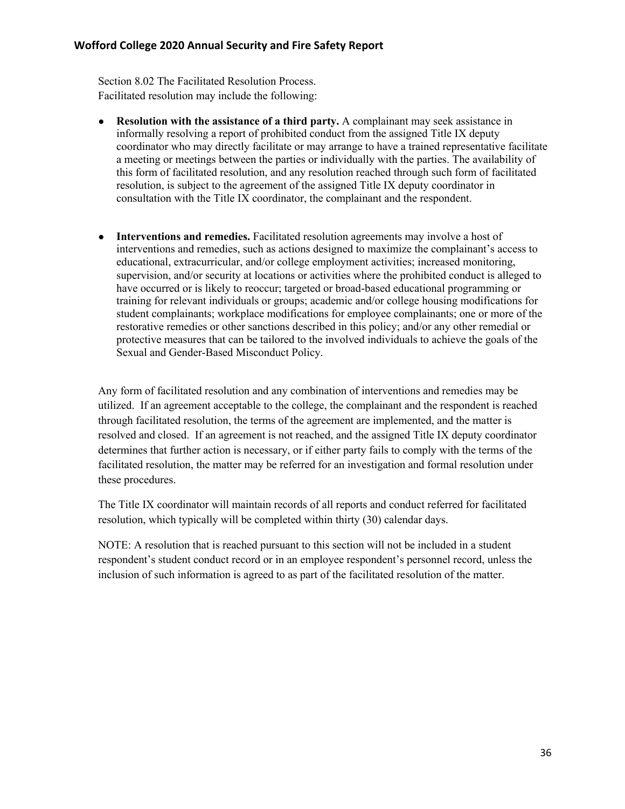Section 8.02 The Facilitated Resolution Process. Facilitated resolution may include the following:

- **Resolution with the assistance of a third party.** A complainant may seek assistance in informally resolving a report of prohibited conduct from the assigned Title IX deputy coordinator who may directly facilitate or may arrange to have a trained representative facilitate a meeting or meetings between the parties or individually with the parties. The availability of this form of facilitated resolution, and any resolution reached through such form of facilitated resolution, is subject to the agreement of the assigned Title IX deputy coordinator in consultation with the Title IX coordinator, the complainant and the respondent.
- Interventions and remedies. Facilitated resolution agreements may involve a host of interventions and remedies, such as actions designed to maximize the complainant's access to educational, extracurricular, and/or college employment activities; increased monitoring, supervision, and/or security at locations or activities where the prohibited conduct is alleged to have occurred or is likely to reoccur; targeted or broad-based educational programming or training for relevant individuals or groups; academic and/or college housing modifications for student complainants; workplace modifications for employee complainants; one or more of the restorative remedies or other sanctions described in this policy; and/or any other remedial or protective measures that can be tailored to the involved individuals to achieve the goals of the Sexual and Gender-Based Misconduct Policy.

Any form of facilitated resolution and any combination of interventions and remedies may be utilized. If an agreement acceptable to the college, the complainant and the respondent is reached through facilitated resolution, the terms of the agreement are implemented, and the matter is resolved and closed. If an agreement is not reached, and the assigned Title IX deputy coordinator determines that further action is necessary, or if either party fails to comply with the terms of the facilitated resolution, the matter may be referred for an investigation and formal resolution under these procedures.

The Title IX coordinator will maintain records of all reports and conduct referred for facilitated resolution, which typically will be completed within thirty (30) calendar days.

NOTE: A resolution that is reached pursuant to this section will not be included in a student respondent's student conduct record or in an employee respondent's personnel record, unless the inclusion of such information is agreed to as part of the facilitated resolution of the matter.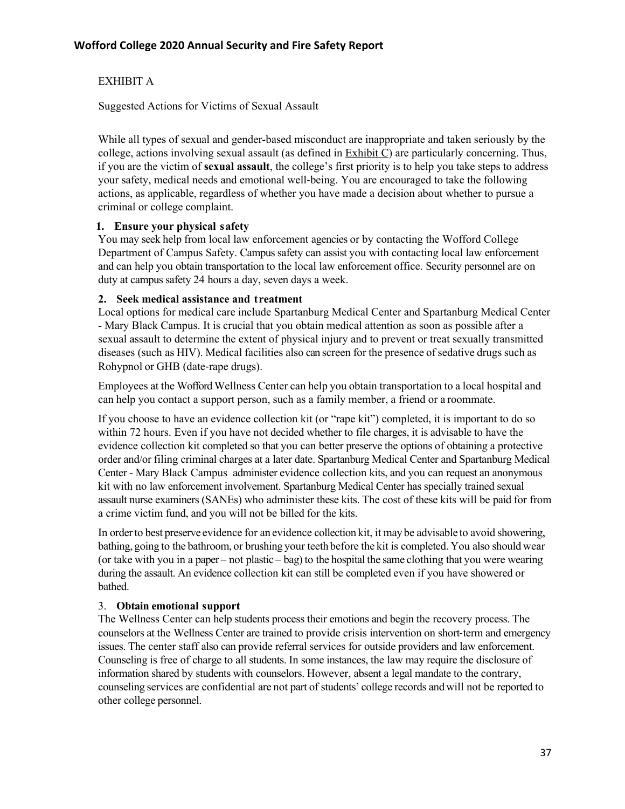# EXHIBIT A

Suggested Actions for Victims of Sexual Assault

While all types of sexual and gender-based misconduct are inappropriate and taken seriously by the college, actions involving sexual assault (as defined in Exhibit C) are particularly concerning. Thus, if you are the victim of **sexual assault**, the college's first priority is to help you take steps to address your safety, medical needs and emotional well-being. You are encouraged to take the following actions, as applicable, regardless of whether you have made a decision about whether to pursue a criminal or college complaint.

## **1. Ensure your physical safety**

You may seek help from local law enforcement agencies or by contacting the Wofford College Department of Campus Safety. Campus safety can assist you with contacting local law enforcement and can help you obtain transportation to the local law enforcement office. Security personnel are on duty at campus safety 24 hours a day, seven days a week.

#### **2. Seek medical assistance and treatment**

Local options for medical care include Spartanburg Medical Center and Spartanburg Medical Center - Mary Black Campus. It is crucial that you obtain medical attention as soon as possible after a sexual assault to determine the extent of physical injury and to prevent or treat sexually transmitted diseases (such as HIV). Medical facilities also can screen for the presence of sedative drugs such as Rohypnol or GHB (date-rape drugs).

Employees at the Wofford Wellness Center can help you obtain transportation to a local hospital and can help you contact a support person, such as a family member, a friend or a roommate.

If you choose to have an evidence collection kit (or "rape kit") completed, it is important to do so within 72 hours. Even if you have not decided whether to file charges, it is advisable to have the evidence collection kit completed so that you can better preserve the options of obtaining a protective order and/or filing criminal charges at a later date. Spartanburg Medical Center and Spartanburg Medical Center - Mary Black Campus administer evidence collection kits, and you can request an anonymous kit with no law enforcement involvement. Spartanburg Medical Center has specially trained sexual assault nurse examiners (SANEs) who administer these kits. The cost of these kits will be paid for from a crime victim fund, and you will not be billed for the kits.

In orderto best preserve evidence for an evidence collection kit, it may be advisable to avoid showering, bathing, going to the bathroom, or brushing your teeth before the kit is completed. You also should wear (or take with you in a paper – not plastic – bag) to the hospital the same clothing that you were wearing during the assault. An evidence collection kit can still be completed even if you have showered or bathed.

## 3. **Obtain emotional support**

The Wellness Center can help students process their emotions and begin the recovery process. The counselors at the Wellness Center are trained to provide crisis intervention on short-term and emergency issues. The center staff also can provide referral services for outside providers and law enforcement. Counseling is free of charge to all students. In some instances, the law may require the disclosure of information shared by students with counselors. However, absent a legal mandate to the contrary, counseling services are confidential are not part of students' college records and will not be reported to other college personnel.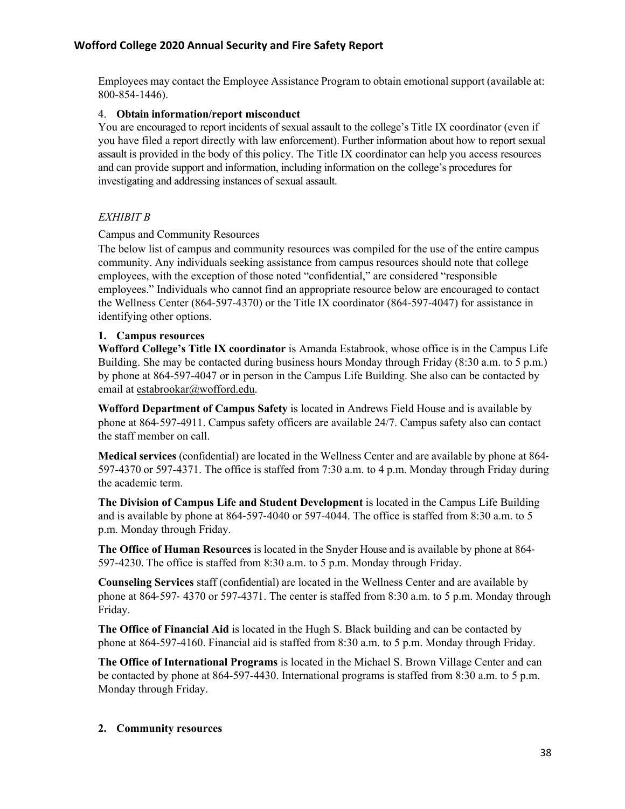Employees may contact the Employee Assistance Program to obtain emotional support (available at: 800-854-1446).

#### 4. **Obtain information/report misconduct**

You are encouraged to report incidents of sexual assault to the college's Title IX coordinator (even if you have filed a report directly with law enforcement). Further information about how to report sexual assault is provided in the body of this policy. The Title IX coordinator can help you access resources and can provide support and information, including information on the college's procedures for investigating and addressing instances of sexual assault.

## *EXHIBIT B*

#### Campus and Community Resources

The below list of campus and community resources was compiled for the use of the entire campus community. Any individuals seeking assistance from campus resources should note that college employees, with the exception of those noted "confidential," are considered "responsible employees." Individuals who cannot find an appropriate resource below are encouraged to contact the Wellness Center (864-597-4370) or the Title IX coordinator (864-597-4047) for assistance in identifying other options.

#### **1. Campus resources**

**Wofford College's Title IX coordinator** is Amanda Estabrook, whose office is in the Campus Life Building. She may be contacted during business hours Monday through Friday (8:30 a.m. to 5 p.m.) by phone at 864-597-4047 or in person in the Campus Life Building. She also can be contacted by email at estabrookar@wofford.edu.

**Wofford Department of Campus Safety** is located in Andrews Field House and is available by phone at 864-597-4911. Campus safety officers are available 24/7. Campus safety also can contact the staff member on call.

**Medical services** (confidential) are located in the Wellness Center and are available by phone at 864- 597-4370 or 597-4371. The office is staffed from 7:30 a.m. to 4 p.m. Monday through Friday during the academic term.

**The Division of Campus Life and Student Development** is located in the Campus Life Building and is available by phone at 864-597-4040 or 597-4044. The office is staffed from 8:30 a.m. to 5 p.m. Monday through Friday.

**The Office of Human Resources** is located in the Snyder House and is available by phone at 864- 597-4230. The office is staffed from 8:30 a.m. to 5 p.m. Monday through Friday.

**Counseling Services** staff (confidential) are located in the Wellness Center and are available by phone at 864-597- 4370 or 597-4371. The center is staffed from 8:30 a.m. to 5 p.m. Monday through Friday.

**The Office of Financial Aid** is located in the Hugh S. Black building and can be contacted by phone at 864-597-4160. Financial aid is staffed from 8:30 a.m. to 5 p.m. Monday through Friday.

**The Office of International Programs** is located in the Michael S. Brown Village Center and can be contacted by phone at 864-597-4430. International programs is staffed from 8:30 a.m. to 5 p.m. Monday through Friday.

#### **2. Community resources**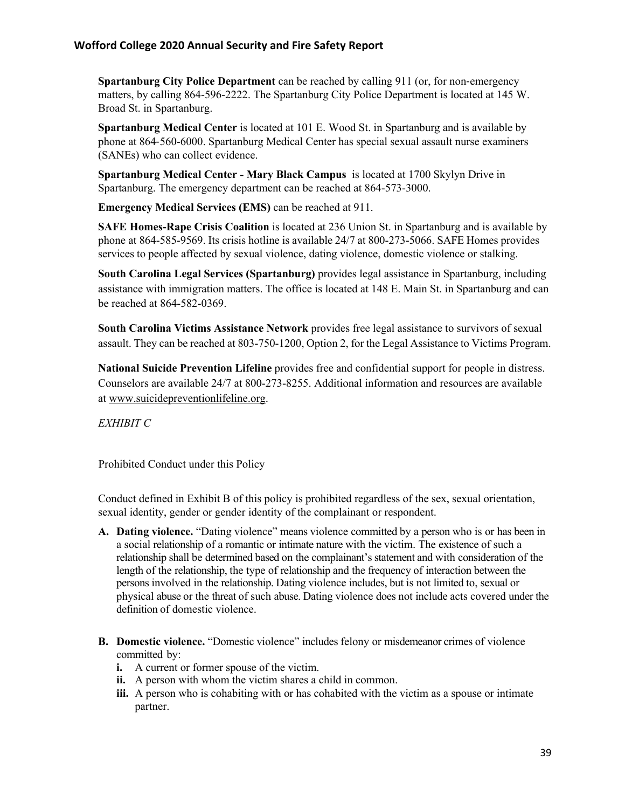**Spartanburg City Police Department** can be reached by calling 911 (or, for non-emergency matters, by calling 864-596-2222. The Spartanburg City Police Department is located at 145 W. Broad St. in Spartanburg.

**Spartanburg Medical Center** is located at 101 E. Wood St. in Spartanburg and is available by phone at 864-560-6000. Spartanburg Medical Center has special sexual assault nurse examiners (SANEs) who can collect evidence.

**Spartanburg Medical Center - Mary Black Campus** is located at 1700 Skylyn Drive in Spartanburg. The emergency department can be reached at 864-573-3000.

**Emergency Medical Services (EMS)** can be reached at 911.

**SAFE Homes-Rape Crisis Coalition** is located at 236 Union St. in Spartanburg and is available by phone at 864-585-9569. Its crisis hotline is available 24/7 at 800-273-5066. SAFE Homes provides services to people affected by sexual violence, dating violence, domestic violence or stalking.

**South Carolina Legal Services (Spartanburg)** provides legal assistance in Spartanburg, including assistance with immigration matters. The office is located at 148 E. Main St. in Spartanburg and can be reached at 864-582-0369.

**South Carolina Victims Assistance Network** provides free legal assistance to survivors of sexual assault. They can be reached at 803-750-1200, Option 2, for the Legal Assistance to Victims Program.

**National Suicide Prevention Lifeline** provides free and confidential support for people in distress. Counselors are available 24/7 at 800-273-8255. Additional information and resources are available at www.suicidepreventionlifeline.org.

*EXHIBIT C*

Prohibited Conduct under this Policy

Conduct defined in Exhibit B of this policy is prohibited regardless of the sex, sexual orientation, sexual identity, gender or gender identity of the complainant or respondent.

- **A. Dating violence.** "Dating violence" means violence committed by a person who is or has been in a social relationship of a romantic or intimate nature with the victim. The existence of such a relationship shall be determined based on the complainant's statement and with consideration of the length of the relationship, the type of relationship and the frequency of interaction between the persons involved in the relationship. Dating violence includes, but is not limited to, sexual or physical abuse or the threat of such abuse. Dating violence does not include acts covered under the definition of domestic violence.
- **B. Domestic violence.** "Domestic violence" includes felony or misdemeanor crimes of violence committed by:
	- **i.** A current or former spouse of the victim.
	- **ii.** A person with whom the victim shares a child in common.
	- **iii.** A person who is cohabiting with or has cohabited with the victim as a spouse or intimate partner.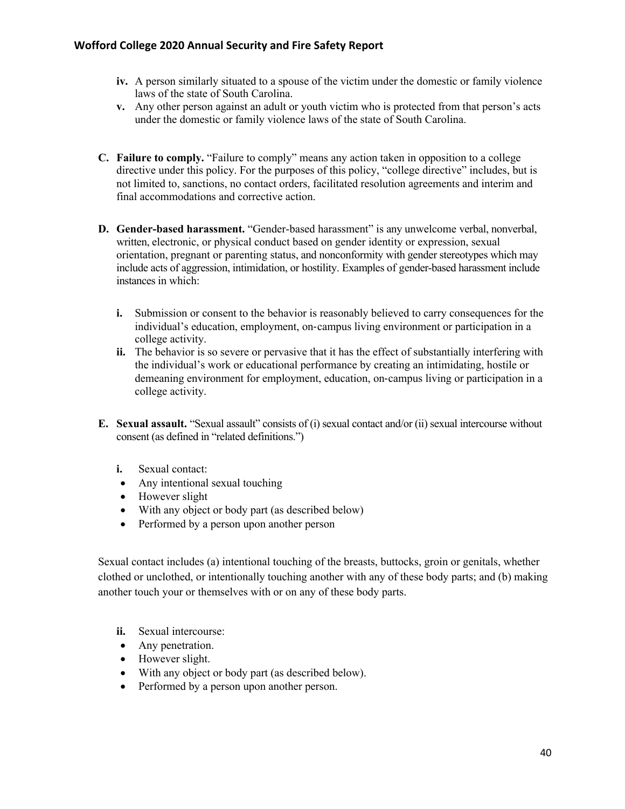- **iv.** A person similarly situated to a spouse of the victim under the domestic or family violence laws of the state of South Carolina.
- **v.** Any other person against an adult or youth victim who is protected from that person's acts under the domestic or family violence laws of the state of South Carolina.
- **C. Failure to comply.** "Failure to comply" means any action taken in opposition to a college directive under this policy. For the purposes of this policy, "college directive" includes, but is not limited to, sanctions, no contact orders, facilitated resolution agreements and interim and final accommodations and corrective action.
- **D. Gender-based harassment.** "Gender-based harassment" is any unwelcome verbal, nonverbal, written, electronic, or physical conduct based on gender identity or expression, sexual orientation, pregnant or parenting status, and nonconformity with gender stereotypes which may include acts of aggression, intimidation, or hostility. Examples of gender-based harassment include instances in which:
	- **i.** Submission or consent to the behavior is reasonably believed to carry consequences for the individual's education, employment, on-campus living environment or participation in a college activity.
	- **ii.** The behavior is so severe or pervasive that it has the effect of substantially interfering with the individual's work or educational performance by creating an intimidating, hostile or demeaning environment for employment, education, on-campus living or participation in a college activity.
- **E. Sexual assault.** "Sexual assault" consists of (i) sexual contact and/or (ii) sexual intercourse without consent (as defined in "related definitions.")
	- **i.** Sexual contact:
	- Any intentional sexual touching
	- However slight
	- With any object or body part (as described below)
	- Performed by a person upon another person

Sexual contact includes (a) intentional touching of the breasts, buttocks, groin or genitals, whether clothed or unclothed, or intentionally touching another with any of these body parts; and (b) making another touch your or themselves with or on any of these body parts.

- **ii.** Sexual intercourse:
- Any penetration.
- However slight.
- With any object or body part (as described below).
- Performed by a person upon another person.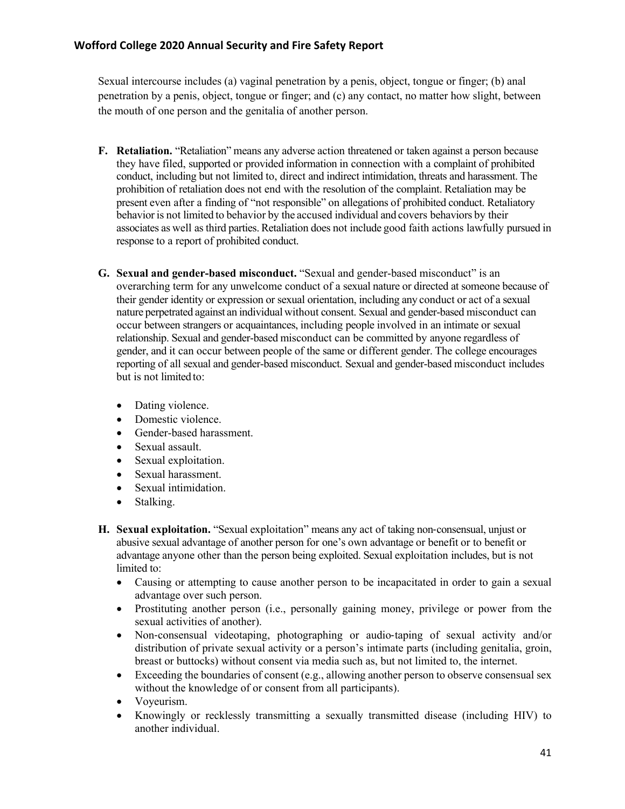Sexual intercourse includes (a) vaginal penetration by a penis, object, tongue or finger; (b) anal penetration by a penis, object, tongue or finger; and (c) any contact, no matter how slight, between the mouth of one person and the genitalia of another person.

- **F. Retaliation.** "Retaliation" means any adverse action threatened or taken against a person because they have filed, supported or provided information in connection with a complaint of prohibited conduct, including but not limited to, direct and indirect intimidation, threats and harassment. The prohibition of retaliation does not end with the resolution of the complaint. Retaliation may be present even after a finding of "not responsible" on allegations of prohibited conduct. Retaliatory behavior is not limited to behavior by the accused individual and covers behaviors by their associates as well as third parties.Retaliation does not include good faith actions lawfully pursued in response to a report of prohibited conduct.
- **G. Sexual and gender-based misconduct.** "Sexual and gender-based misconduct" is an overarching term for any unwelcome conduct of a sexual nature or directed at someone because of their gender identity or expression or sexual orientation, including any conduct or act of a sexual nature perpetrated against an individual without consent. Sexual and gender-based misconduct can occur between strangers or acquaintances, including people involved in an intimate or sexual relationship. Sexual and gender-based misconduct can be committed by anyone regardless of gender, and it can occur between people of the same or different gender. The college encourages reporting of all sexual and gender-based misconduct. Sexual and gender-based misconduct includes but is not limited to:
	- Dating violence.
	- Domestic violence.
	- Gender-based harassment.
	- Sexual assault.
	- Sexual exploitation.
	- Sexual harassment.
	- Sexual intimidation.
	- Stalking.
- **H. Sexual exploitation.** "Sexual exploitation" means any act of taking non-consensual, unjust or abusive sexual advantage of another person for one's own advantage or benefit or to benefit or advantage anyone other than the person being exploited. Sexual exploitation includes, but is not limited to:
	- Causing or attempting to cause another person to be incapacitated in order to gain a sexual advantage over such person.
	- Prostituting another person (i.e., personally gaining money, privilege or power from the sexual activities of another).
	- Non-consensual videotaping, photographing or audio-taping of sexual activity and/or distribution of private sexual activity or a person's intimate parts (including genitalia, groin, breast or buttocks) without consent via media such as, but not limited to, the internet.
	- Exceeding the boundaries of consent  $(e.g.,$  allowing another person to observe consensual sex without the knowledge of or consent from all participants).
	- Voyeurism.
	- Knowingly or recklessly transmitting a sexually transmitted disease (including HIV) to another individual.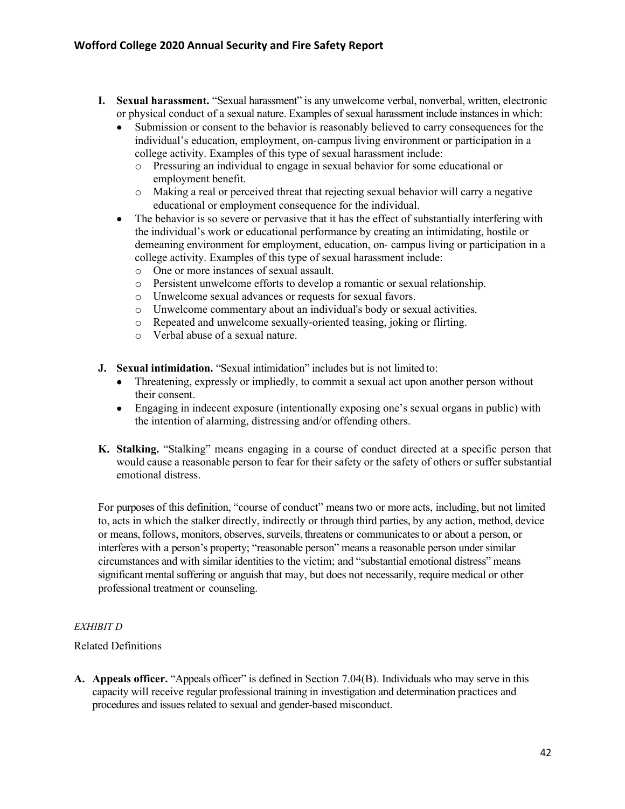- **I. Sexual harassment.** "Sexual harassment" is any unwelcome verbal, nonverbal, written, electronic or physical conduct of a sexual nature. Examples of sexual harassment include instances in which:
	- Submission or consent to the behavior is reasonably believed to carry consequences for the individual's education, employment, on-campus living environment or participation in a college activity. Examples of this type of sexual harassment include:
		- o Pressuring an individual to engage in sexual behavior for some educational or employment benefit.
		- o Making a real or perceived threat that rejecting sexual behavior will carry a negative educational or employment consequence for the individual.
	- The behavior is so severe or pervasive that it has the effect of substantially interfering with the individual's work or educational performance by creating an intimidating, hostile or demeaning environment for employment, education, on- campus living or participation in a college activity. Examples of this type of sexual harassment include:
		- o One or more instances of sexual assault.
		- o Persistent unwelcome efforts to develop a romantic or sexual relationship.
		- o Unwelcome sexual advances or requests for sexual favors.
		- o Unwelcome commentary about an individual's body or sexual activities.
		- o Repeated and unwelcome sexually-oriented teasing, joking or flirting.
		- o Verbal abuse of a sexual nature.
- **J. Sexual intimidation.** "Sexual intimidation" includes but is not limited to:
	- Threatening, expressly or impliedly, to commit a sexual act upon another person without their consent.
	- Engaging in indecent exposure (intentionally exposing one's sexual organs in public) with the intention of alarming, distressing and/or offending others.
- **K. Stalking.** "Stalking" means engaging in a course of conduct directed at a specific person that would cause a reasonable person to fear for their safety or the safety of others or suffer substantial emotional distress.

For purposes of this definition, "course of conduct" means two or more acts, including, but not limited to, acts in which the stalker directly, indirectly or through third parties, by any action, method, device or means, follows, monitors, observes, surveils, threatens or communicates to or about a person, or interferes with a person's property; "reasonable person" means a reasonable person under similar circumstances and with similar identities to the victim; and "substantial emotional distress" means significant mental suffering or anguish that may, but does not necessarily, require medical or other professional treatment or counseling.

#### *EXHIBIT D*

#### Related Definitions

**A. Appeals officer.** "Appeals officer" is defined in Section 7.04(B). Individuals who may serve in this capacity will receive regular professional training in investigation and determination practices and procedures and issues related to sexual and gender-based misconduct.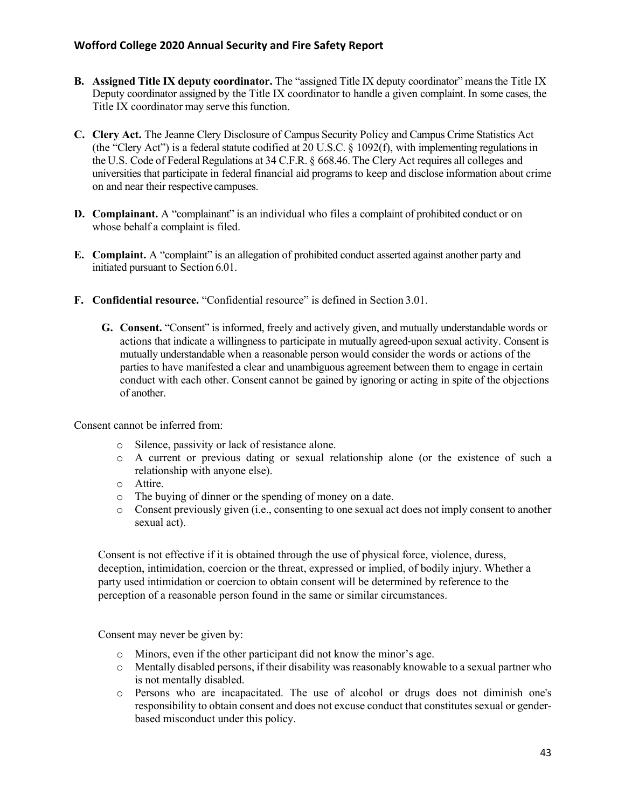- **B. Assigned Title IX deputy coordinator.** The "assigned Title IX deputy coordinator" meansthe Title IX Deputy coordinator assigned by the Title IX coordinator to handle a given complaint. In some cases, the Title IX coordinator may serve this function.
- **C. Clery Act.** The Jeanne Clery Disclosure of Campus Security Policy and Campus Crime Statistics Act (the "Clery Act") is a federal statute codified at 20 U.S.C. § 1092(f), with implementing regulations in the U.S. Code of Federal Regulations at 34 C.F.R. § 668.46. The Clery Act requires all colleges and universities that participate in federal financial aid programs to keep and disclose information about crime on and near their respective campuses.
- **D. Complainant.** A "complainant" is an individual who files a complaint of prohibited conduct or on whose behalf a complaint is filed.
- **E. Complaint.** A "complaint" is an allegation of prohibited conduct asserted against another party and initiated pursuant to Section 6.01.
- **F. Confidential resource.** "Confidential resource" is defined in Section 3.01.
	- **G. Consent.** "Consent" is informed, freely and actively given, and mutually understandable words or actions that indicate a willingness to participate in mutually agreed-upon sexual activity. Consent is mutually understandable when a reasonable person would consider the words or actions of the parties to have manifested a clear and unambiguous agreement between them to engage in certain conduct with each other. Consent cannot be gained by ignoring or acting in spite of the objections of another.

Consent cannot be inferred from:

- o Silence, passivity or lack of resistance alone.
- o A current or previous dating or sexual relationship alone (or the existence of such a relationship with anyone else).
- o Attire.
- o The buying of dinner or the spending of money on a date.
- o Consent previously given (i.e., consenting to one sexual act does not imply consent to another sexual act).

Consent is not effective if it is obtained through the use of physical force, violence, duress, deception, intimidation, coercion or the threat, expressed or implied, of bodily injury. Whether a party used intimidation or coercion to obtain consent will be determined by reference to the perception of a reasonable person found in the same or similar circumstances.

Consent may never be given by:

- o Minors, even if the other participant did not know the minor's age.
- o Mentally disabled persons, if their disability was reasonably knowable to a sexual partner who is not mentally disabled.
- o Persons who are incapacitated. The use of alcohol or drugs does not diminish one's responsibility to obtain consent and does not excuse conduct that constitutes sexual or genderbased misconduct under this policy.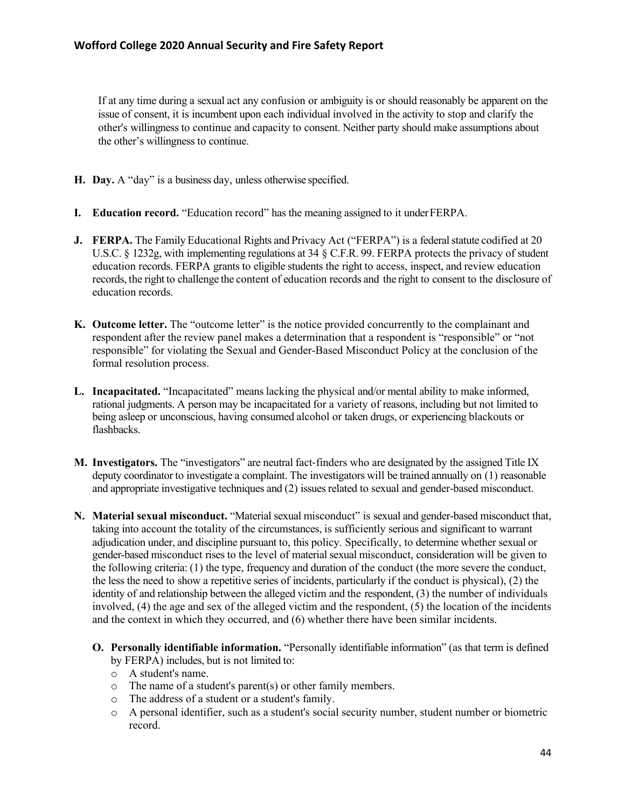If at any time during a sexual act any confusion or ambiguity is or should reasonably be apparent on the issue of consent, it is incumbent upon each individual involved in the activity to stop and clarify the other's willingness to continue and capacity to consent. Neither party should make assumptions about the other's willingness to continue.

- **H. Day.** A "day" is a business day, unless otherwise specified.
- **I. Education record.** "Education record" has the meaning assigned to it underFERPA.
- **J. FERPA.** The Family Educational Rights and Privacy Act ("FERPA") is a federal statute codified at 20 U.S.C. § 1232g, with implementing regulations at 34 § C.F.R. 99. FERPA protects the privacy of student education records. FERPA grants to eligible students the right to access, inspect, and review education records, the right to challenge the content of education records and the right to consent to the disclosure of education records.
- **K. Outcome letter.** The "outcome letter" is the notice provided concurrently to the complainant and respondent after the review panel makes a determination that a respondent is "responsible" or "not responsible" for violating the Sexual and Gender-Based Misconduct Policy at the conclusion of the formal resolution process.
- **L. Incapacitated.** "Incapacitated" means lacking the physical and/or mental ability to make informed, rational judgments. A person may be incapacitated for a variety of reasons, including but not limited to being asleep or unconscious, having consumed alcohol or taken drugs, or experiencing blackouts or flashbacks.
- **M. Investigators.** The "investigators" are neutral fact-finders who are designated by the assigned Title IX deputy coordinator to investigate a complaint. The investigators will be trained annually on (1) reasonable and appropriate investigative techniques and (2) issues related to sexual and gender-based misconduct.
- **N. Material sexual misconduct.** "Material sexual misconduct" is sexual and gender-based misconduct that, taking into account the totality of the circumstances, is sufficiently serious and significant to warrant adjudication under, and discipline pursuant to, this policy. Specifically, to determine whether sexual or gender-based misconduct rises to the level of material sexual misconduct, consideration will be given to the following criteria: (1) the type, frequency and duration of the conduct (the more severe the conduct, the less the need to show a repetitive series of incidents, particularly if the conduct is physical), (2) the identity of and relationship between the alleged victim and the respondent, (3) the number of individuals involved, (4) the age and sex of the alleged victim and the respondent, (5) the location of the incidents and the context in which they occurred, and (6) whether there have been similar incidents.
	- **O. Personally identifiable information.** "Personally identifiable information" (as that term is defined by FERPA) includes, but is not limited to:
		- o A student's name.
		- o The name of a student's parent(s) or other family members.
		- o The address of a student or a student's family.
		- o A personal identifier, such as a student's social security number, student number or biometric record.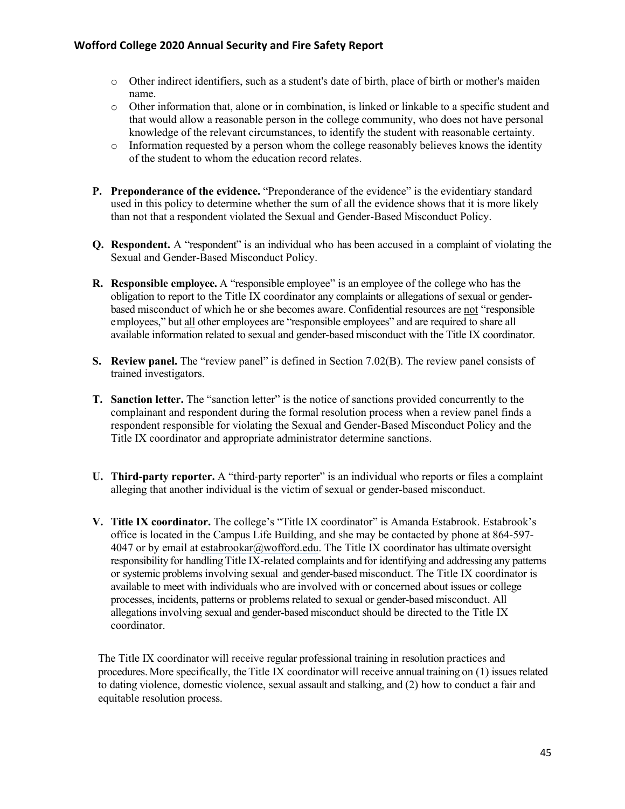- o Other indirect identifiers, such as a student's date of birth, place of birth or mother's maiden name.
- o Other information that, alone or in combination, is linked or linkable to a specific student and that would allow a reasonable person in the college community, who does not have personal knowledge of the relevant circumstances, to identify the student with reasonable certainty.
- o Information requested by a person whom the college reasonably believes knows the identity of the student to whom the education record relates.
- **P. Preponderance of the evidence.** "Preponderance of the evidence" is the evidentiary standard used in this policy to determine whether the sum of all the evidence shows that it is more likely than not that a respondent violated the Sexual and Gender-Based Misconduct Policy.
- **Q. Respondent.** A "respondent" is an individual who has been accused in a complaint of violating the Sexual and Gender-Based Misconduct Policy.
- **R. Responsible employee.** A "responsible employee" is an employee of the college who has the obligation to report to the Title IX coordinator any complaints or allegations of sexual or genderbased misconduct of which he or she becomes aware. Confidential resources are not "responsible employees," but all other employees are "responsible employees" and are required to share all available information related to sexual and gender-based misconduct with the Title IX coordinator.
- **S. Review panel.** The "review panel" is defined in Section 7.02(B). The review panel consists of trained investigators.
- **T. Sanction letter.** The "sanction letter" is the notice of sanctions provided concurrently to the complainant and respondent during the formal resolution process when a review panel finds a respondent responsible for violating the Sexual and Gender-Based Misconduct Policy and the Title IX coordinator and appropriate administrator determine sanctions.
- **U. Third**-**party reporter.** A "third-party reporter" is an individual who reports or files a complaint alleging that another individual is the victim of sexual or gender-based misconduct.
- **V. Title IX coordinator.** The college's "Title IX coordinator" is Amanda Estabrook. Estabrook's office is located in the Campus Life Building, and she may be contacted by phone at 864-597- 4047 or by email at estabrookar@wofford.edu. The Title IX coordinator has ultimate oversight responsibility for handling Title IX-related complaints and for identifying and addressing any patterns or systemic problems involving sexual and gender-based misconduct. The Title IX coordinator is available to meet with individuals who are involved with or concerned about issues or college processes, incidents, patterns or problems related to sexual or gender-based misconduct. All allegations involving sexual and gender-based misconduct should be directed to the Title IX coordinator.

The Title IX coordinator will receive regular professional training in resolution practices and procedures. More specifically, the Title IX coordinator will receive annual training on (1) issues related to dating violence, domestic violence, sexual assault and stalking, and (2) how to conduct a fair and equitable resolution process.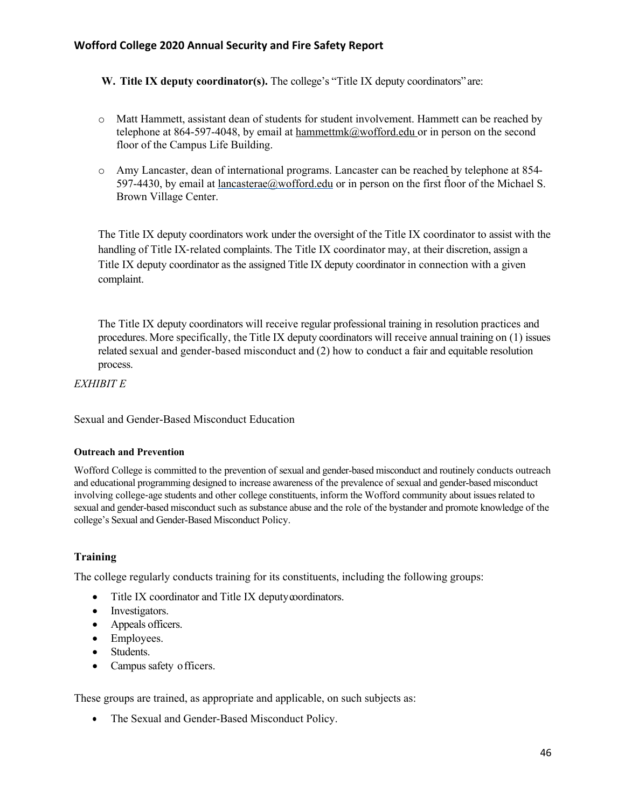**W. Title IX deputy coordinator(s).** The college's "Title IX deputy coordinators" are:

- o Matt Hammett, assistant dean of students for student involvement. Hammett can be reached by telephone at 864-597-4048, by email at hammettmk@wofford.edu or in person on the second floor of the Campus Life Building.
- o Amy Lancaster, dean of international programs. Lancaster can be reached by telephone at 854- 597-4430, by email at lancasterae@wofford.edu or in person on the first floor of the Michael S. Brown Village Center.

The Title IX deputy coordinators work under the oversight of the Title IX coordinator to assist with the handling of Title IX-related complaints. The Title IX coordinator may, at their discretion, assign a Title IX deputy coordinator as the assigned Title IX deputy coordinator in connection with a given complaint.

The Title IX deputy coordinators will receive regular professional training in resolution practices and procedures. More specifically, the Title IX deputy coordinators will receive annual training on (1) issues related sexual and gender-based misconduct and (2) how to conduct a fair and equitable resolution process.

#### *EXHIBIT E*

Sexual and Gender-Based Misconduct Education

#### **Outreach and Prevention**

Wofford College is committed to the prevention of sexual and gender-based misconduct and routinely conducts outreach and educational programming designed to increase awareness of the prevalence of sexual and gender-based misconduct involving college-age students and other college constituents, inform the Wofford community about issues related to sexual and gender-based misconduct such as substance abuse and the role of the bystander and promote knowledge of the college's Sexual and Gender-Based Misconduct Policy.

## **Training**

The college regularly conducts training for its constituents, including the following groups:

- Title IX coordinator and Title IX deputy coordinators.
- Investigators.
- Appeals officers.
- Employees.
- Students.
- Campus safety officers.

These groups are trained, as appropriate and applicable, on such subjects as:

• The Sexual and Gender-Based Misconduct Policy.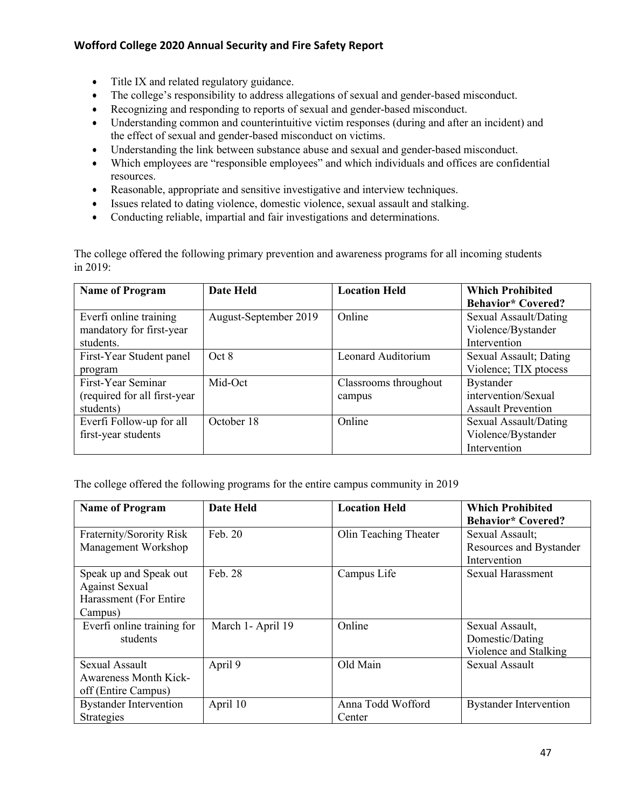- Title IX and related regulatory guidance.
- The college's responsibility to address allegations of sexual and gender-based misconduct.
- Recognizing and responding to reports of sexual and gender-based misconduct.
- Understanding common and counterintuitive victim responses (during and after an incident) and the effect of sexual and gender-based misconduct on victims.
- Understanding the link between substance abuse and sexual and gender-based misconduct.
- Which employees are "responsible employees" and which individuals and offices are confidential resources.
- Reasonable, appropriate and sensitive investigative and interview techniques.
- Issues related to dating violence, domestic violence, sexual assault and stalking.
- Conducting reliable, impartial and fair investigations and determinations.

The college offered the following primary prevention and awareness programs for all incoming students in 2019:

| <b>Name of Program</b>        | Date Held             | <b>Location Held</b>  | <b>Which Prohibited</b>   |
|-------------------------------|-----------------------|-----------------------|---------------------------|
|                               |                       |                       | <b>Behavior*</b> Covered? |
| Everfi online training        | August-September 2019 | Online                | Sexual Assault/Dating     |
| mandatory for first-year      |                       |                       | Violence/Bystander        |
| students.                     |                       |                       | Intervention              |
| First-Year Student panel      | Oct 8                 | Leonard Auditorium    | Sexual Assault; Dating    |
| program                       |                       |                       | Violence; TIX ptocess     |
| First-Year Seminar            | Mid-Oct               | Classrooms throughout | <b>Bystander</b>          |
| (required for all first-year) |                       | campus                | intervention/Sexual       |
| students)                     |                       |                       | <b>Assault Prevention</b> |
| Everfi Follow-up for all      | October 18            | Online                | Sexual Assault/Dating     |
| first-year students           |                       |                       | Violence/Bystander        |
|                               |                       |                       | Intervention              |

The college offered the following programs for the entire campus community in 2019

| <b>Name of Program</b>        | <b>Date Held</b>  | <b>Location Held</b>  | <b>Which Prohibited</b>       |
|-------------------------------|-------------------|-----------------------|-------------------------------|
|                               |                   |                       | <b>Behavior*</b> Covered?     |
| Fraternity/Sorority Risk      | Feb. $20$         | Olin Teaching Theater | Sexual Assault;               |
| Management Workshop           |                   |                       | Resources and Bystander       |
|                               |                   |                       | Intervention                  |
| Speak up and Speak out        | Feb. 28           | Campus Life           | Sexual Harassment             |
| <b>Against Sexual</b>         |                   |                       |                               |
| Harassment (For Entire        |                   |                       |                               |
| Campus)                       |                   |                       |                               |
| Everfi online training for    | March 1- April 19 | Online                | Sexual Assault,               |
| students                      |                   |                       | Domestic/Dating               |
|                               |                   |                       | Violence and Stalking         |
| Sexual Assault                | April 9           | Old Main              | <b>Sexual Assault</b>         |
| <b>Awareness Month Kick-</b>  |                   |                       |                               |
| off (Entire Campus)           |                   |                       |                               |
| <b>Bystander Intervention</b> | April 10          | Anna Todd Wofford     | <b>Bystander Intervention</b> |
| Strategies                    |                   | Center                |                               |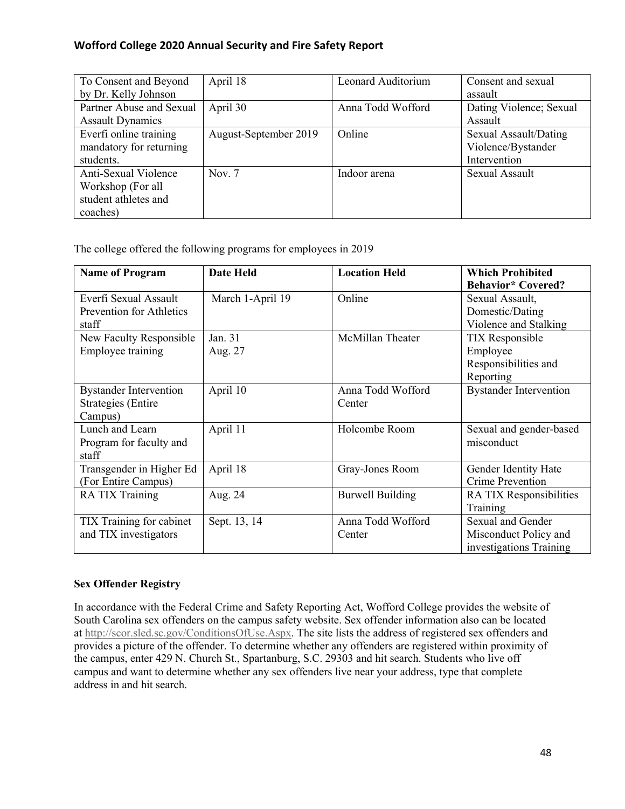| To Consent and Beyond    | April 18              | Leonard Auditorium | Consent and sexual      |
|--------------------------|-----------------------|--------------------|-------------------------|
| by Dr. Kelly Johnson     |                       |                    | assault                 |
| Partner Abuse and Sexual | April 30              | Anna Todd Wofford  | Dating Violence; Sexual |
| <b>Assault Dynamics</b>  |                       |                    | Assault                 |
| Everfi online training   | August-September 2019 | Online             | Sexual Assault/Dating   |
| mandatory for returning  |                       |                    | Violence/Bystander      |
| students.                |                       |                    | Intervention            |
| Anti-Sexual Violence     | Nov. $7$              | Indoor arena       | Sexual Assault          |
| Workshop (For all        |                       |                    |                         |
| student athletes and     |                       |                    |                         |
| coaches)                 |                       |                    |                         |

The college offered the following programs for employees in 2019

| <b>Name of Program</b>                                                | <b>Date Held</b>   | <b>Location Held</b>        | <b>Which Prohibited</b><br><b>Behavior*</b> Covered?                    |
|-----------------------------------------------------------------------|--------------------|-----------------------------|-------------------------------------------------------------------------|
| Everfi Sexual Assault<br>Prevention for Athletics<br>staff            | March 1-April 19   | Online                      | Sexual Assault,<br>Domestic/Dating<br>Violence and Stalking             |
| New Faculty Responsible<br>Employee training                          | Jan. 31<br>Aug. 27 | McMillan Theater            | <b>TIX</b> Responsible<br>Employee<br>Responsibilities and<br>Reporting |
| <b>Bystander Intervention</b><br><b>Strategies</b> (Entire<br>Campus) | April 10           | Anna Todd Wofford<br>Center | <b>Bystander Intervention</b>                                           |
| Lunch and Learn<br>Program for faculty and<br>staff                   | April 11           | Holcombe Room               | Sexual and gender-based<br>misconduct                                   |
| Transgender in Higher Ed<br>(For Entire Campus)                       | April 18           | Gray-Jones Room             | Gender Identity Hate<br><b>Crime Prevention</b>                         |
| RA TIX Training                                                       | Aug. 24            | <b>Burwell Building</b>     | RA TIX Responsibilities<br>Training                                     |
| TIX Training for cabinet<br>and TIX investigators                     | Sept. 13, 14       | Anna Todd Wofford<br>Center | Sexual and Gender<br>Misconduct Policy and<br>investigations Training   |

## **Sex Offender Registry**

In accordance with the Federal Crime and Safety Reporting Act, Wofford College provides the website of South Carolina sex offenders on the campus safety website. Sex offender information also can be located at http://scor.sled.sc.gov/ConditionsOfUse.Aspx. The site lists the address of registered sex offenders and provides a picture of the offender. To determine whether any offenders are registered within proximity of the campus, enter 429 N. Church St., Spartanburg, S.C. 29303 and hit search. Students who live off campus and want to determine whether any sex offenders live near your address, type that complete address in and hit search.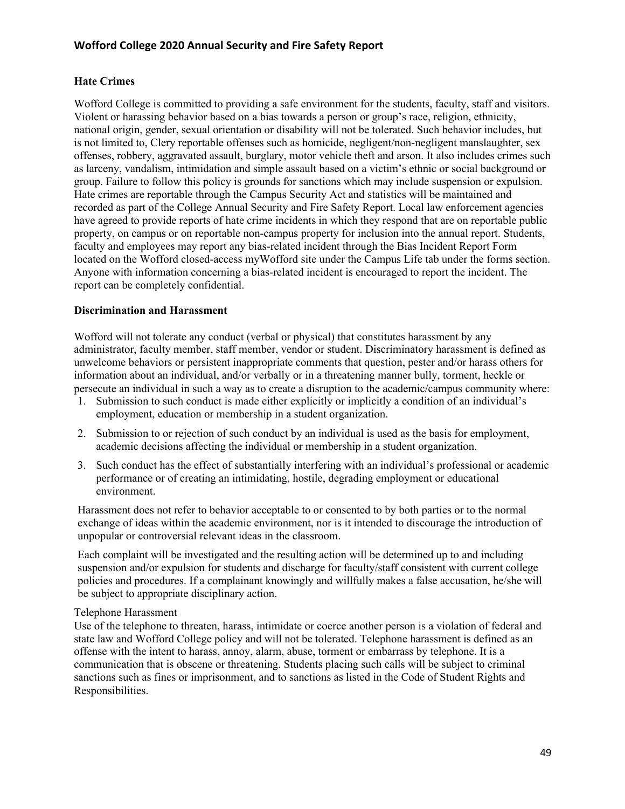#### **Hate Crimes**

Wofford College is committed to providing a safe environment for the students, faculty, staff and visitors. Violent or harassing behavior based on a bias towards a person or group's race, religion, ethnicity, national origin, gender, sexual orientation or disability will not be tolerated. Such behavior includes, but is not limited to, Clery reportable offenses such as homicide, negligent/non-negligent manslaughter, sex offenses, robbery, aggravated assault, burglary, motor vehicle theft and arson. It also includes crimes such as larceny, vandalism, intimidation and simple assault based on a victim's ethnic or social background or group. Failure to follow this policy is grounds for sanctions which may include suspension or expulsion. Hate crimes are reportable through the Campus Security Act and statistics will be maintained and recorded as part of the College Annual Security and Fire Safety Report. Local law enforcement agencies have agreed to provide reports of hate crime incidents in which they respond that are on reportable public property, on campus or on reportable non-campus property for inclusion into the annual report. Students, faculty and employees may report any bias-related incident through the Bias Incident Report Form located on the Wofford closed-access myWofford site under the Campus Life tab under the forms section. Anyone with information concerning a bias-related incident is encouraged to report the incident. The report can be completely confidential.

#### **Discrimination and Harassment**

Wofford will not tolerate any conduct (verbal or physical) that constitutes harassment by any administrator, faculty member, staff member, vendor or student. Discriminatory harassment is defined as unwelcome behaviors or persistent inappropriate comments that question, pester and/or harass others for information about an individual, and/or verbally or in a threatening manner bully, torment, heckle or persecute an individual in such a way as to create a disruption to the academic/campus community where:

- 1. Submission to such conduct is made either explicitly or implicitly a condition of an individual's employment, education or membership in a student organization.
- 2. Submission to or rejection of such conduct by an individual is used as the basis for employment, academic decisions affecting the individual or membership in a student organization.
- 3. Such conduct has the effect of substantially interfering with an individual's professional or academic performance or of creating an intimidating, hostile, degrading employment or educational environment.

Harassment does not refer to behavior acceptable to or consented to by both parties or to the normal exchange of ideas within the academic environment, nor is it intended to discourage the introduction of unpopular or controversial relevant ideas in the classroom.

Each complaint will be investigated and the resulting action will be determined up to and including suspension and/or expulsion for students and discharge for faculty/staff consistent with current college policies and procedures. If a complainant knowingly and willfully makes a false accusation, he/she will be subject to appropriate disciplinary action.

#### Telephone Harassment

Use of the telephone to threaten, harass, intimidate or coerce another person is a violation of federal and state law and Wofford College policy and will not be tolerated. Telephone harassment is defined as an offense with the intent to harass, annoy, alarm, abuse, torment or embarrass by telephone. It is a communication that is obscene or threatening. Students placing such calls will be subject to criminal sanctions such as fines or imprisonment, and to sanctions as listed in the Code of Student Rights and Responsibilities.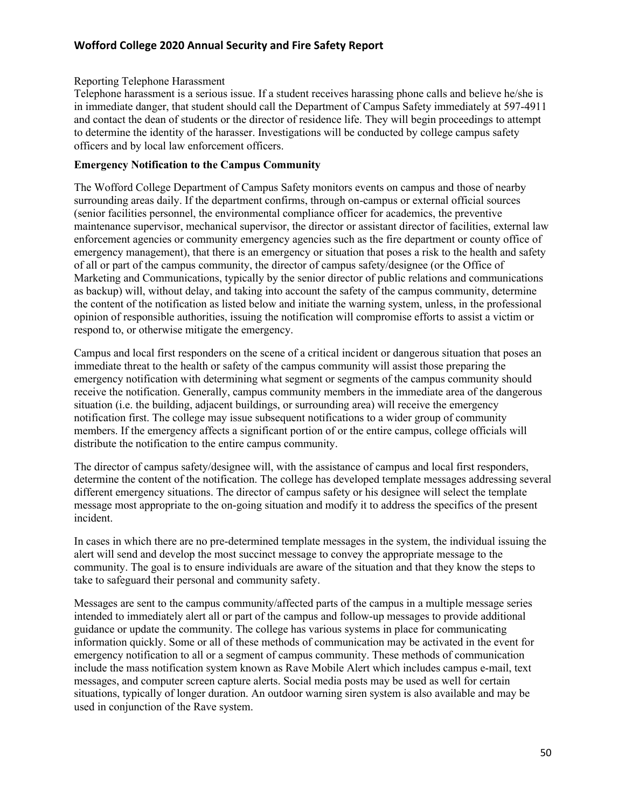#### Reporting Telephone Harassment

Telephone harassment is a serious issue. If a student receives harassing phone calls and believe he/she is in immediate danger, that student should call the Department of Campus Safety immediately at 597-4911 and contact the dean of students or the director of residence life. They will begin proceedings to attempt to determine the identity of the harasser. Investigations will be conducted by college campus safety officers and by local law enforcement officers.

#### **Emergency Notification to the Campus Community**

The Wofford College Department of Campus Safety monitors events on campus and those of nearby surrounding areas daily. If the department confirms, through on-campus or external official sources (senior facilities personnel, the environmental compliance officer for academics, the preventive maintenance supervisor, mechanical supervisor, the director or assistant director of facilities, external law enforcement agencies or community emergency agencies such as the fire department or county office of emergency management), that there is an emergency or situation that poses a risk to the health and safety of all or part of the campus community, the director of campus safety/designee (or the Office of Marketing and Communications, typically by the senior director of public relations and communications as backup) will, without delay, and taking into account the safety of the campus community, determine the content of the notification as listed below and initiate the warning system, unless, in the professional opinion of responsible authorities, issuing the notification will compromise efforts to assist a victim or respond to, or otherwise mitigate the emergency.

Campus and local first responders on the scene of a critical incident or dangerous situation that poses an immediate threat to the health or safety of the campus community will assist those preparing the emergency notification with determining what segment or segments of the campus community should receive the notification. Generally, campus community members in the immediate area of the dangerous situation (i.e. the building, adjacent buildings, or surrounding area) will receive the emergency notification first. The college may issue subsequent notifications to a wider group of community members. If the emergency affects a significant portion of or the entire campus, college officials will distribute the notification to the entire campus community.

The director of campus safety/designee will, with the assistance of campus and local first responders, determine the content of the notification. The college has developed template messages addressing several different emergency situations. The director of campus safety or his designee will select the template message most appropriate to the on-going situation and modify it to address the specifics of the present incident.

In cases in which there are no pre-determined template messages in the system, the individual issuing the alert will send and develop the most succinct message to convey the appropriate message to the community. The goal is to ensure individuals are aware of the situation and that they know the steps to take to safeguard their personal and community safety.

Messages are sent to the campus community/affected parts of the campus in a multiple message series intended to immediately alert all or part of the campus and follow-up messages to provide additional guidance or update the community. The college has various systems in place for communicating information quickly. Some or all of these methods of communication may be activated in the event for emergency notification to all or a segment of campus community. These methods of communication include the mass notification system known as Rave Mobile Alert which includes campus e-mail, text messages, and computer screen capture alerts. Social media posts may be used as well for certain situations, typically of longer duration. An outdoor warning siren system is also available and may be used in conjunction of the Rave system.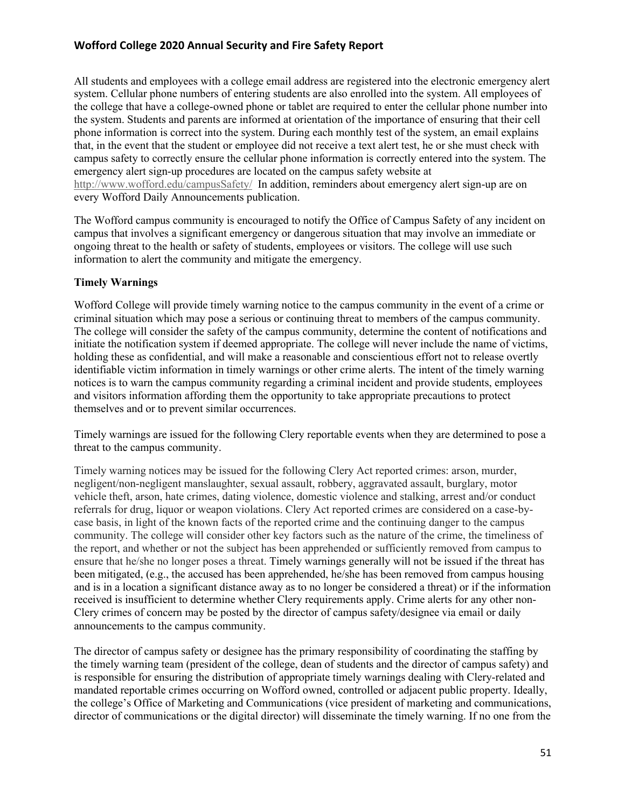All students and employees with a college email address are registered into the electronic emergency alert system. Cellular phone numbers of entering students are also enrolled into the system. All employees of the college that have a college-owned phone or tablet are required to enter the cellular phone number into the system. Students and parents are informed at orientation of the importance of ensuring that their cell phone information is correct into the system. During each monthly test of the system, an email explains that, in the event that the student or employee did not receive a text alert test, he or she must check with campus safety to correctly ensure the cellular phone information is correctly entered into the system. The emergency alert sign-up procedures are located on the campus safety website at http://www.wofford.edu/campusSafety/ In addition, reminders about emergency alert sign-up are on every Wofford Daily Announcements publication.

The Wofford campus community is encouraged to notify the Office of Campus Safety of any incident on campus that involves a significant emergency or dangerous situation that may involve an immediate or ongoing threat to the health or safety of students, employees or visitors. The college will use such information to alert the community and mitigate the emergency.

#### **Timely Warnings**

Wofford College will provide timely warning notice to the campus community in the event of a crime or criminal situation which may pose a serious or continuing threat to members of the campus community. The college will consider the safety of the campus community, determine the content of notifications and initiate the notification system if deemed appropriate. The college will never include the name of victims, holding these as confidential, and will make a reasonable and conscientious effort not to release overtly identifiable victim information in timely warnings or other crime alerts. The intent of the timely warning notices is to warn the campus community regarding a criminal incident and provide students, employees and visitors information affording them the opportunity to take appropriate precautions to protect themselves and or to prevent similar occurrences.

Timely warnings are issued for the following Clery reportable events when they are determined to pose a threat to the campus community.

Timely warning notices may be issued for the following Clery Act reported crimes: arson, murder, negligent/non-negligent manslaughter, sexual assault, robbery, aggravated assault, burglary, motor vehicle theft, arson, hate crimes, dating violence, domestic violence and stalking, arrest and/or conduct referrals for drug, liquor or weapon violations. Clery Act reported crimes are considered on a case-bycase basis, in light of the known facts of the reported crime and the continuing danger to the campus community. The college will consider other key factors such as the nature of the crime, the timeliness of the report, and whether or not the subject has been apprehended or sufficiently removed from campus to ensure that he/she no longer poses a threat. Timely warnings generally will not be issued if the threat has been mitigated, (e.g., the accused has been apprehended, he/she has been removed from campus housing and is in a location a significant distance away as to no longer be considered a threat) or if the information received is insufficient to determine whether Clery requirements apply. Crime alerts for any other non-Clery crimes of concern may be posted by the director of campus safety/designee via email or daily announcements to the campus community.

The director of campus safety or designee has the primary responsibility of coordinating the staffing by the timely warning team (president of the college, dean of students and the director of campus safety) and is responsible for ensuring the distribution of appropriate timely warnings dealing with Clery-related and mandated reportable crimes occurring on Wofford owned, controlled or adjacent public property. Ideally, the college's Office of Marketing and Communications (vice president of marketing and communications, director of communications or the digital director) will disseminate the timely warning. If no one from the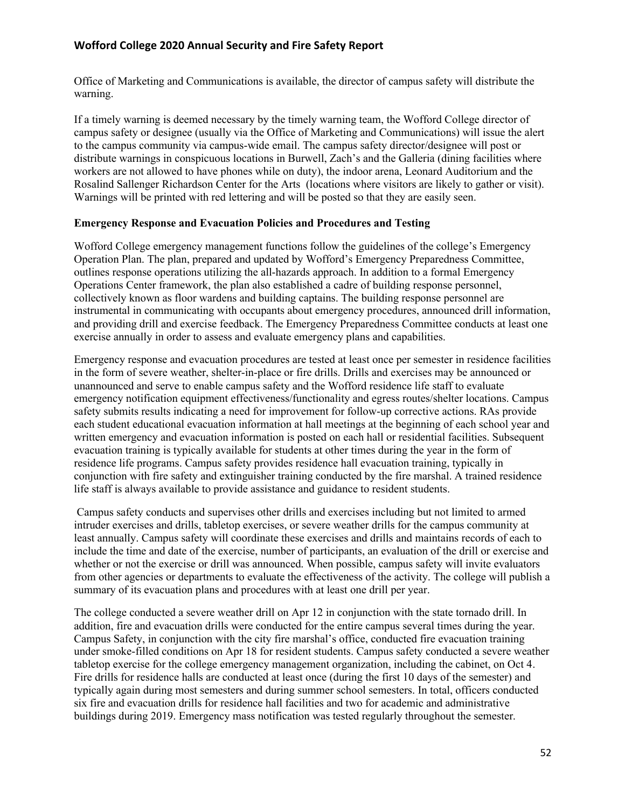Office of Marketing and Communications is available, the director of campus safety will distribute the warning.

If a timely warning is deemed necessary by the timely warning team, the Wofford College director of campus safety or designee (usually via the Office of Marketing and Communications) will issue the alert to the campus community via campus-wide email. The campus safety director/designee will post or distribute warnings in conspicuous locations in Burwell, Zach's and the Galleria (dining facilities where workers are not allowed to have phones while on duty), the indoor arena, Leonard Auditorium and the Rosalind Sallenger Richardson Center for the Arts (locations where visitors are likely to gather or visit). Warnings will be printed with red lettering and will be posted so that they are easily seen.

#### **Emergency Response and Evacuation Policies and Procedures and Testing**

Wofford College emergency management functions follow the guidelines of the college's Emergency Operation Plan. The plan, prepared and updated by Wofford's Emergency Preparedness Committee, outlines response operations utilizing the all-hazards approach. In addition to a formal Emergency Operations Center framework, the plan also established a cadre of building response personnel, collectively known as floor wardens and building captains. The building response personnel are instrumental in communicating with occupants about emergency procedures, announced drill information, and providing drill and exercise feedback. The Emergency Preparedness Committee conducts at least one exercise annually in order to assess and evaluate emergency plans and capabilities.

Emergency response and evacuation procedures are tested at least once per semester in residence facilities in the form of severe weather, shelter-in-place or fire drills. Drills and exercises may be announced or unannounced and serve to enable campus safety and the Wofford residence life staff to evaluate emergency notification equipment effectiveness/functionality and egress routes/shelter locations. Campus safety submits results indicating a need for improvement for follow-up corrective actions. RAs provide each student educational evacuation information at hall meetings at the beginning of each school year and written emergency and evacuation information is posted on each hall or residential facilities. Subsequent evacuation training is typically available for students at other times during the year in the form of residence life programs. Campus safety provides residence hall evacuation training, typically in conjunction with fire safety and extinguisher training conducted by the fire marshal. A trained residence life staff is always available to provide assistance and guidance to resident students.

Campus safety conducts and supervises other drills and exercises including but not limited to armed intruder exercises and drills, tabletop exercises, or severe weather drills for the campus community at least annually. Campus safety will coordinate these exercises and drills and maintains records of each to include the time and date of the exercise, number of participants, an evaluation of the drill or exercise and whether or not the exercise or drill was announced. When possible, campus safety will invite evaluators from other agencies or departments to evaluate the effectiveness of the activity. The college will publish a summary of its evacuation plans and procedures with at least one drill per year.

The college conducted a severe weather drill on Apr 12 in conjunction with the state tornado drill. In addition, fire and evacuation drills were conducted for the entire campus several times during the year. Campus Safety, in conjunction with the city fire marshal's office, conducted fire evacuation training under smoke-filled conditions on Apr 18 for resident students. Campus safety conducted a severe weather tabletop exercise for the college emergency management organization, including the cabinet, on Oct 4. Fire drills for residence halls are conducted at least once (during the first 10 days of the semester) and typically again during most semesters and during summer school semesters. In total, officers conducted six fire and evacuation drills for residence hall facilities and two for academic and administrative buildings during 2019. Emergency mass notification was tested regularly throughout the semester.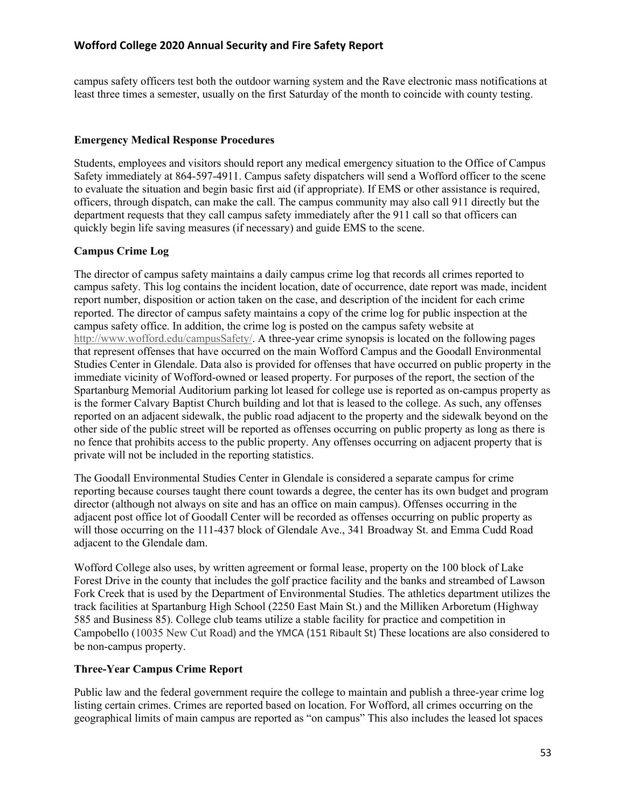campus safety officers test both the outdoor warning system and the Rave electronic mass notifications at least three times a semester, usually on the first Saturday of the month to coincide with county testing.

#### **Emergency Medical Response Procedures**

Students, employees and visitors should report any medical emergency situation to the Office of Campus Safety immediately at 864-597-4911. Campus safety dispatchers will send a Wofford officer to the scene to evaluate the situation and begin basic first aid (if appropriate). If EMS or other assistance is required, officers, through dispatch, can make the call. The campus community may also call 911 directly but the department requests that they call campus safety immediately after the 911 call so that officers can quickly begin life saving measures (if necessary) and guide EMS to the scene.

## **Campus Crime Log**

The director of campus safety maintains a daily campus crime log that records all crimes reported to campus safety. This log contains the incident location, date of occurrence, date report was made, incident report number, disposition or action taken on the case, and description of the incident for each crime reported. The director of campus safety maintains a copy of the crime log for public inspection at the campus safety office. In addition, the crime log is posted on the campus safety website at http://www.wofford.edu/campusSafety/. A three-year crime synopsis is located on the following pages that represent offenses that have occurred on the main Wofford Campus and the Goodall Environmental Studies Center in Glendale. Data also is provided for offenses that have occurred on public property in the immediate vicinity of Wofford-owned or leased property. For purposes of the report, the section of the Spartanburg Memorial Auditorium parking lot leased for college use is reported as on-campus property as is the former Calvary Baptist Church building and lot that is leased to the college. As such, any offenses reported on an adjacent sidewalk, the public road adjacent to the property and the sidewalk beyond on the other side of the public street will be reported as offenses occurring on public property as long as there is no fence that prohibits access to the public property. Any offenses occurring on adjacent property that is private will not be included in the reporting statistics.

The Goodall Environmental Studies Center in Glendale is considered a separate campus for crime reporting because courses taught there count towards a degree, the center has its own budget and program director (although not always on site and has an office on main campus). Offenses occurring in the adjacent post office lot of Goodall Center will be recorded as offenses occurring on public property as will those occurring on the 111-437 block of Glendale Ave., 341 Broadway St. and Emma Cudd Road adjacent to the Glendale dam.

Wofford College also uses, by written agreement or formal lease, property on the 100 block of Lake Forest Drive in the county that includes the golf practice facility and the banks and streambed of Lawson Fork Creek that is used by the Department of Environmental Studies. The athletics department utilizes the track facilities at Spartanburg High School (2250 East Main St.) and the Milliken Arboretum (Highway 585 and Business 85). College club teams utilize a stable facility for practice and competition in Campobello (10035 New Cut Road) and the YMCA (151 Ribault St) These locations are also considered to be non-campus property.

#### **Three-Year Campus Crime Report**

Public law and the federal government require the college to maintain and publish a three-year crime log listing certain crimes. Crimes are reported based on location. For Wofford, all crimes occurring on the geographical limits of main campus are reported as "on campus" This also includes the leased lot spaces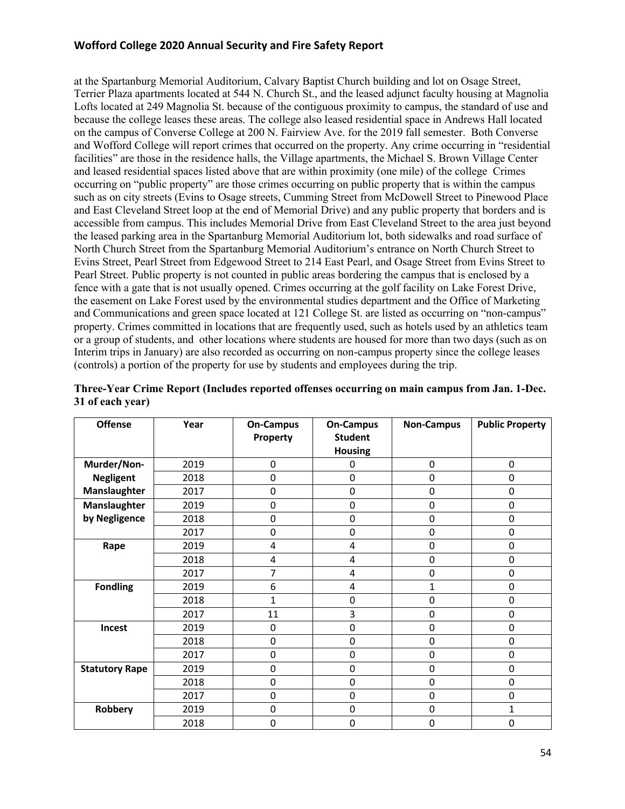at the Spartanburg Memorial Auditorium, Calvary Baptist Church building and lot on Osage Street, Terrier Plaza apartments located at 544 N. Church St., and the leased adjunct faculty housing at Magnolia Lofts located at 249 Magnolia St. because of the contiguous proximity to campus, the standard of use and because the college leases these areas. The college also leased residential space in Andrews Hall located on the campus of Converse College at 200 N. Fairview Ave. for the 2019 fall semester. Both Converse and Wofford College will report crimes that occurred on the property. Any crime occurring in "residential facilities" are those in the residence halls, the Village apartments, the Michael S. Brown Village Center and leased residential spaces listed above that are within proximity (one mile) of the college Crimes occurring on "public property" are those crimes occurring on public property that is within the campus such as on city streets (Evins to Osage streets, Cumming Street from McDowell Street to Pinewood Place and East Cleveland Street loop at the end of Memorial Drive) and any public property that borders and is accessible from campus. This includes Memorial Drive from East Cleveland Street to the area just beyond the leased parking area in the Spartanburg Memorial Auditorium lot, both sidewalks and road surface of North Church Street from the Spartanburg Memorial Auditorium's entrance on North Church Street to Evins Street, Pearl Street from Edgewood Street to 214 East Pearl, and Osage Street from Evins Street to Pearl Street. Public property is not counted in public areas bordering the campus that is enclosed by a fence with a gate that is not usually opened. Crimes occurring at the golf facility on Lake Forest Drive, the easement on Lake Forest used by the environmental studies department and the Office of Marketing and Communications and green space located at 121 College St. are listed as occurring on "non-campus" property. Crimes committed in locations that are frequently used, such as hotels used by an athletics team or a group of students, and other locations where students are housed for more than two days (such as on Interim trips in January) are also recorded as occurring on non-campus property since the college leases (controls) a portion of the property for use by students and employees during the trip.

| <b>Offense</b>        | Year | <b>On-Campus</b><br>Property | <b>On-Campus</b><br><b>Student</b><br><b>Housing</b> | <b>Non-Campus</b> | <b>Public Property</b> |
|-----------------------|------|------------------------------|------------------------------------------------------|-------------------|------------------------|
| Murder/Non-           | 2019 | 0                            | 0                                                    | $\pmb{0}$         | 0                      |
| <b>Negligent</b>      | 2018 | $\Omega$                     | $\Omega$                                             | 0                 | 0                      |
| Manslaughter          | 2017 | 0                            | 0                                                    | 0                 | $\mathbf 0$            |
| Manslaughter          | 2019 | $\Omega$                     | 0                                                    | 0                 | 0                      |
| by Negligence         | 2018 | 0                            | 0                                                    | 0                 | $\mathbf 0$            |
|                       | 2017 | 0                            | 0                                                    | $\mathbf 0$       | $\mathbf 0$            |
| Rape                  | 2019 | 4                            | 4                                                    | $\mathbf 0$       | $\mathbf 0$            |
|                       | 2018 | 4                            | $\overline{4}$                                       | $\pmb{0}$         | $\mathbf 0$            |
|                       | 2017 | 7                            | 4                                                    | 0                 | 0                      |
| <b>Fondling</b>       | 2019 | 6                            | 4                                                    | 1                 | $\mathbf 0$            |
|                       | 2018 | 1                            | 0                                                    | $\mathbf 0$       | $\mathbf 0$            |
|                       | 2017 | 11                           | 3                                                    | $\pmb{0}$         | $\mathbf 0$            |
| Incest                | 2019 | 0                            | $\mathbf 0$                                          | $\mathbf 0$       | $\mathbf 0$            |
|                       | 2018 | 0                            | 0                                                    | $\mathbf 0$       | $\mathbf 0$            |
|                       | 2017 | 0                            | 0                                                    | $\pmb{0}$         | $\mathbf 0$            |
| <b>Statutory Rape</b> | 2019 | 0                            | $\mathbf 0$                                          | $\mathbf 0$       | $\mathbf 0$            |
|                       | 2018 | 0                            | 0                                                    | $\mathbf 0$       | $\mathbf 0$            |
|                       | 2017 | $\Omega$                     | 0                                                    | 0                 | 0                      |
| Robbery               | 2019 | 0                            | 0                                                    | $\pmb{0}$         | 1                      |
|                       | 2018 | 0                            | 0                                                    | $\mathbf 0$       | $\Omega$               |

**Three-Year Crime Report (Includes reported offenses occurring on main campus from Jan. 1-Dec. 31 of each year)**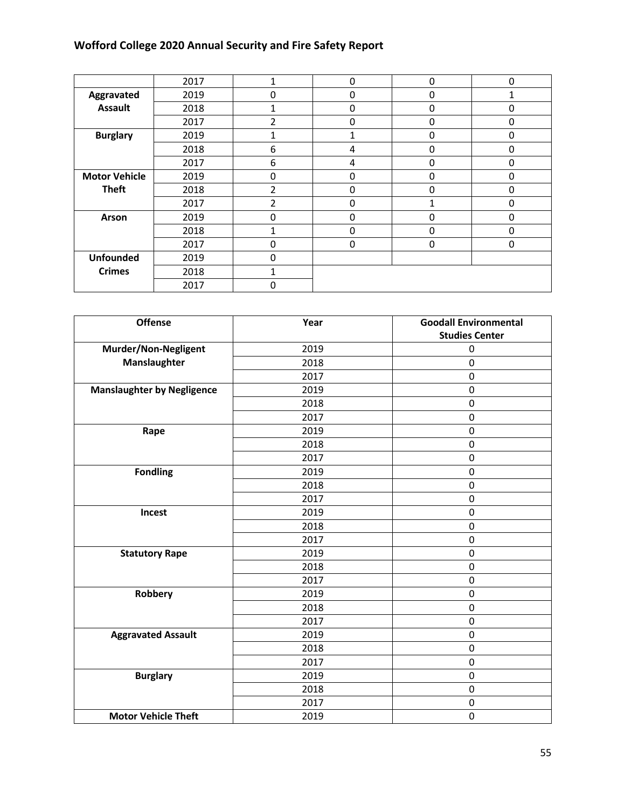|                      | 2017 |   | 0           | 0 | $\Omega$ |
|----------------------|------|---|-------------|---|----------|
| Aggravated           | 2019 | 0 | 0           | 0 |          |
| <b>Assault</b>       | 2018 |   | 0           | 0 | 0        |
|                      | 2017 | 2 | 0           | 0 | 0        |
| <b>Burglary</b>      | 2019 |   | 1           | 0 | 0        |
|                      | 2018 | 6 | 4           | 0 | 0        |
|                      | 2017 | 6 | 4           | 0 | 0        |
| <b>Motor Vehicle</b> | 2019 | 0 | 0           | 0 | 0        |
| <b>Theft</b>         | 2018 | 2 | 0           | 0 | 0        |
|                      | 2017 | 2 | 0           |   | 0        |
| Arson                | 2019 | 0 | 0           | 0 | 0        |
|                      | 2018 |   | $\mathbf 0$ | 0 | 0        |
|                      | 2017 | 0 | 0           | 0 | 0        |
| <b>Unfounded</b>     | 2019 | 0 |             |   |          |
| <b>Crimes</b>        | 2018 |   |             |   |          |
|                      | 2017 | 0 |             |   |          |

| <b>Offense</b>                    | Year | <b>Goodall Environmental</b><br><b>Studies Center</b> |
|-----------------------------------|------|-------------------------------------------------------|
| Murder/Non-Negligent              | 2019 | 0                                                     |
| Manslaughter                      | 2018 | $\mathbf 0$                                           |
|                                   | 2017 | $\mathbf 0$                                           |
| <b>Manslaughter by Negligence</b> | 2019 | $\pmb{0}$                                             |
|                                   | 2018 | $\mathbf 0$                                           |
|                                   | 2017 | $\pmb{0}$                                             |
| Rape                              | 2019 | $\mathbf 0$                                           |
|                                   | 2018 | $\mathbf 0$                                           |
|                                   | 2017 | $\pmb{0}$                                             |
| <b>Fondling</b>                   | 2019 | $\pmb{0}$                                             |
|                                   | 2018 | 0                                                     |
|                                   | 2017 | $\pmb{0}$                                             |
| Incest                            | 2019 | $\mathbf 0$                                           |
|                                   | 2018 | $\mathbf 0$                                           |
|                                   | 2017 | $\mathbf 0$                                           |
| <b>Statutory Rape</b>             | 2019 | $\mathbf 0$                                           |
|                                   | 2018 | $\mathbf 0$                                           |
|                                   | 2017 | $\mathbf 0$                                           |
| <b>Robbery</b>                    | 2019 | $\mathbf 0$                                           |
|                                   | 2018 | $\mathbf 0$                                           |
|                                   | 2017 | $\pmb{0}$                                             |
| <b>Aggravated Assault</b>         | 2019 | $\mathbf 0$                                           |
|                                   | 2018 | $\pmb{0}$                                             |
|                                   | 2017 | $\mathbf 0$                                           |
| <b>Burglary</b>                   | 2019 | $\mathbf 0$                                           |
|                                   | 2018 | $\pmb{0}$                                             |
|                                   | 2017 | $\pmb{0}$                                             |
| <b>Motor Vehicle Theft</b>        | 2019 | $\pmb{0}$                                             |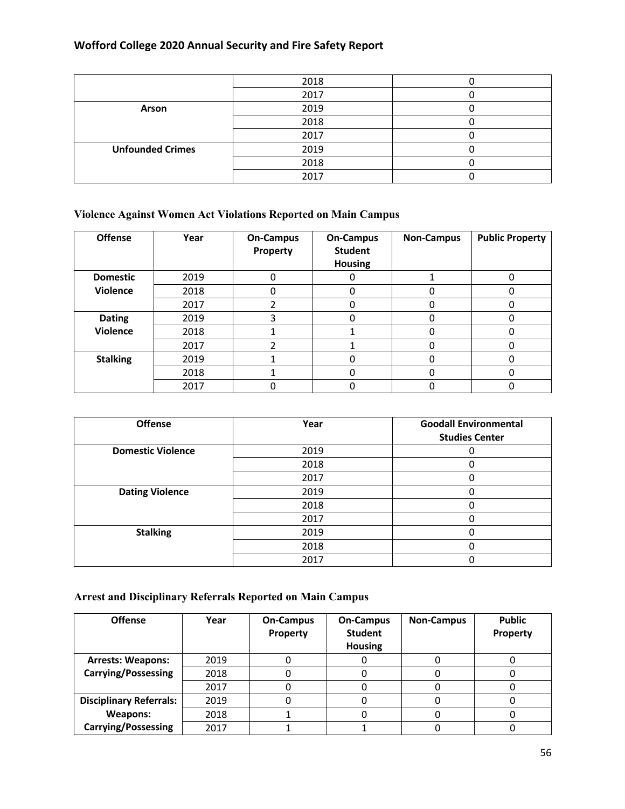|                         | 2018 |  |
|-------------------------|------|--|
|                         | 2017 |  |
| Arson                   | 2019 |  |
|                         | 2018 |  |
|                         | 2017 |  |
| <b>Unfounded Crimes</b> | 2019 |  |
|                         | 2018 |  |
|                         | 2017 |  |

# **Violence Against Women Act Violations Reported on Main Campus**

| <b>Offense</b>  | Year | <b>On-Campus</b><br>Property | <b>On-Campus</b><br><b>Student</b><br>Housing | <b>Non-Campus</b> | <b>Public Property</b> |
|-----------------|------|------------------------------|-----------------------------------------------|-------------------|------------------------|
| <b>Domestic</b> | 2019 | 0                            |                                               |                   | 0                      |
| <b>Violence</b> | 2018 | 0                            | 0                                             | 0                 | 0                      |
|                 | 2017 |                              | 0                                             | 0                 | 0                      |
| <b>Dating</b>   | 2019 |                              | 0                                             | 0                 |                        |
| <b>Violence</b> | 2018 |                              |                                               | 0                 |                        |
|                 | 2017 |                              |                                               | 0                 |                        |
| <b>Stalking</b> | 2019 |                              |                                               | ი                 |                        |
|                 | 2018 |                              |                                               |                   | 0                      |
|                 | 2017 |                              |                                               |                   |                        |

| <b>Offense</b>           | Year | <b>Goodall Environmental</b> |
|--------------------------|------|------------------------------|
|                          |      | <b>Studies Center</b>        |
| <b>Domestic Violence</b> | 2019 |                              |
|                          | 2018 |                              |
|                          | 2017 |                              |
| <b>Dating Violence</b>   | 2019 |                              |
|                          | 2018 |                              |
|                          | 2017 |                              |
| <b>Stalking</b>          | 2019 |                              |
|                          | 2018 |                              |
|                          | 2017 |                              |

# **Arrest and Disciplinary Referrals Reported on Main Campus**

| <b>Offense</b>                 | Year | <b>On-Campus</b><br>Property | <b>On-Campus</b><br><b>Student</b><br><b>Housing</b> | <b>Non-Campus</b> | <b>Public</b><br>Property |
|--------------------------------|------|------------------------------|------------------------------------------------------|-------------------|---------------------------|
| <b>Arrests: Weapons:</b>       | 2019 |                              |                                                      |                   |                           |
| <b>Carrying/Possessing</b>     | 2018 |                              |                                                      |                   |                           |
|                                | 2017 |                              |                                                      |                   |                           |
| <b>Disciplinary Referrals:</b> | 2019 |                              |                                                      |                   |                           |
| <b>Weapons:</b>                | 2018 |                              |                                                      |                   |                           |
| <b>Carrying/Possessing</b>     | 2017 |                              |                                                      |                   |                           |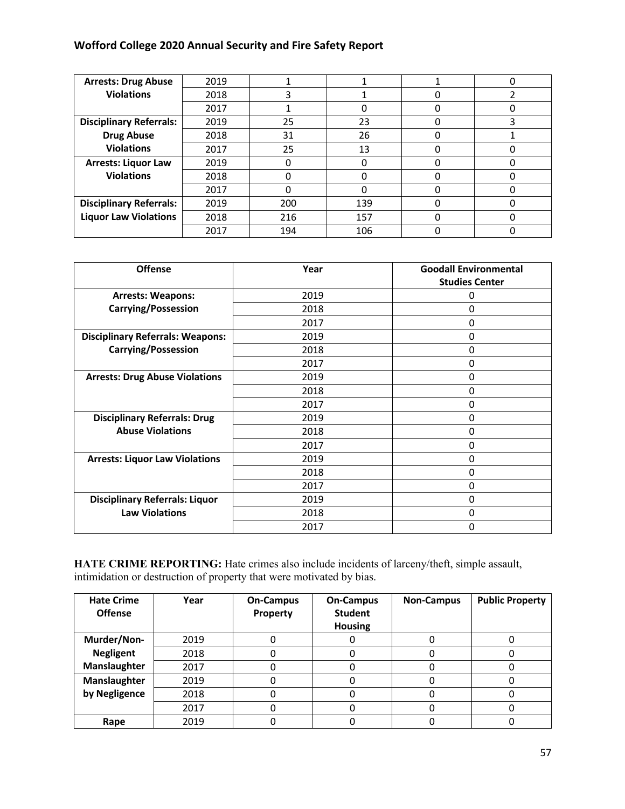| <b>Arrests: Drug Abuse</b>     | 2019 |     |     |   | 0 |
|--------------------------------|------|-----|-----|---|---|
| <b>Violations</b>              | 2018 |     |     |   |   |
|                                | 2017 |     |     |   |   |
| <b>Disciplinary Referrals:</b> | 2019 | 25  | 23  |   | 3 |
| <b>Drug Abuse</b>              | 2018 | 31  | 26  |   |   |
| <b>Violations</b>              | 2017 | 25  | 13  |   | 0 |
| <b>Arrests: Liquor Law</b>     | 2019 |     |     |   |   |
| <b>Violations</b>              | 2018 | O   |     | C |   |
|                                | 2017 | ი   |     |   |   |
| <b>Disciplinary Referrals:</b> | 2019 | 200 | 139 |   |   |
| <b>Liquor Law Violations</b>   | 2018 | 216 | 157 |   |   |
|                                | 2017 | 194 | 106 |   |   |

| <b>Offense</b>                          | Year | <b>Goodall Environmental</b><br><b>Studies Center</b> |
|-----------------------------------------|------|-------------------------------------------------------|
| <b>Arrests: Weapons:</b>                | 2019 | 0                                                     |
| <b>Carrying/Possession</b>              | 2018 | 0                                                     |
|                                         | 2017 | 0                                                     |
| <b>Disciplinary Referrals: Weapons:</b> | 2019 | 0                                                     |
| <b>Carrying/Possession</b>              | 2018 | 0                                                     |
|                                         | 2017 | 0                                                     |
| <b>Arrests: Drug Abuse Violations</b>   | 2019 | 0                                                     |
|                                         | 2018 | 0                                                     |
|                                         | 2017 | 0                                                     |
| <b>Disciplinary Referrals: Drug</b>     | 2019 | 0                                                     |
| <b>Abuse Violations</b>                 | 2018 | 0                                                     |
|                                         | 2017 | 0                                                     |
| <b>Arrests: Liquor Law Violations</b>   | 2019 | 0                                                     |
|                                         | 2018 | 0                                                     |
|                                         | 2017 | 0                                                     |
| <b>Disciplinary Referrals: Liquor</b>   | 2019 | $\Omega$                                              |
| <b>Law Violations</b>                   | 2018 | 0                                                     |
|                                         | 2017 | 0                                                     |

HATE CRIME REPORTING: Hate crimes also include incidents of larceny/theft, simple assault, intimidation or destruction of property that were motivated by bias.

| <b>Hate Crime</b><br><b>Offense</b> | Year | <b>On-Campus</b><br>Property | <b>On-Campus</b><br><b>Student</b><br><b>Housing</b> | <b>Non-Campus</b> | <b>Public Property</b> |
|-------------------------------------|------|------------------------------|------------------------------------------------------|-------------------|------------------------|
| Murder/Non-                         | 2019 |                              |                                                      |                   |                        |
| <b>Negligent</b>                    | 2018 |                              |                                                      |                   |                        |
| Manslaughter                        | 2017 |                              |                                                      |                   |                        |
| Manslaughter                        | 2019 |                              |                                                      |                   |                        |
| by Negligence                       | 2018 |                              |                                                      |                   |                        |
|                                     | 2017 |                              |                                                      |                   |                        |
| Rape                                | 2019 |                              |                                                      |                   |                        |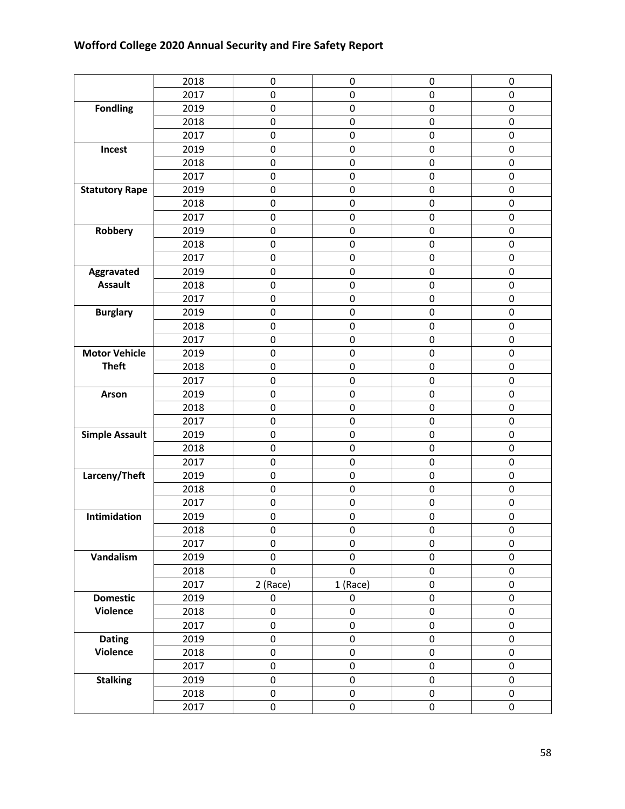|                       | 2018 | $\mathbf 0$ | 0           | $\mathbf 0$ | 0           |
|-----------------------|------|-------------|-------------|-------------|-------------|
|                       | 2017 | $\mathbf 0$ | $\pmb{0}$   | 0           | 0           |
| <b>Fondling</b>       | 2019 | $\mathbf 0$ | 0           | $\mathbf 0$ | 0           |
|                       | 2018 | $\mathbf 0$ | $\pmb{0}$   | $\pmb{0}$   | $\pmb{0}$   |
|                       | 2017 | $\mathbf 0$ | 0           | 0           | 0           |
| Incest                | 2019 | $\pmb{0}$   | $\pmb{0}$   | $\pmb{0}$   | $\pmb{0}$   |
|                       | 2018 | $\mathbf 0$ | 0           | 0           | 0           |
|                       | 2017 | $\mathbf 0$ | $\pmb{0}$   | $\mathbf 0$ | 0           |
| <b>Statutory Rape</b> | 2019 | $\mathbf 0$ | 0           | 0           | 0           |
|                       | 2018 | $\mathbf 0$ | 0           | 0           | 0           |
|                       | 2017 | 0           | 0           | $\pmb{0}$   | $\pmb{0}$   |
| Robbery               | 2019 | $\mathbf 0$ | 0           | $\mathbf 0$ | 0           |
|                       | 2018 | $\mathbf 0$ | 0           | 0           | 0           |
|                       | 2017 | $\mathbf 0$ | 0           | 0           | $\pmb{0}$   |
| Aggravated            | 2019 | $\pmb{0}$   | $\pmb{0}$   | $\pmb{0}$   | $\pmb{0}$   |
| <b>Assault</b>        | 2018 | $\mathbf 0$ | $\pmb{0}$   | 0           | 0           |
|                       | 2017 | $\mathbf 0$ | 0           | $\mathbf 0$ | 0           |
| <b>Burglary</b>       | 2019 | $\mathbf 0$ | 0           | 0           | 0           |
|                       | 2018 | $\mathbf 0$ | 0           | 0           | $\mathbf 0$ |
|                       | 2017 | 0           | 0           | $\pmb{0}$   | 0           |
| <b>Motor Vehicle</b>  | 2019 | $\mathbf 0$ | 0           | $\pmb{0}$   | 0           |
| <b>Theft</b>          | 2018 | $\mathbf 0$ | 0           | 0           | 0           |
|                       | 2017 | $\mathbf 0$ | 0           | 0           | 0           |
| Arson                 | 2019 | $\mathbf 0$ | $\pmb{0}$   | 0           | $\mathbf 0$ |
|                       | 2018 | $\mathbf 0$ | 0           | 0           | 0           |
|                       | 2017 | $\mathbf 0$ | 0           | $\mathbf 0$ | 0           |
| <b>Simple Assault</b> | 2019 | $\mathbf 0$ | 0           | 0           | 0           |
|                       | 2018 | $\pmb{0}$   | 0           | 0           | 0           |
|                       | 2017 | 0           | 0           | 0           | 0           |
| Larceny/Theft         | 2019 | $\mathbf 0$ | 0           | 0           | 0           |
|                       | 2018 | $\mathbf 0$ | 0           | 0           | 0           |
|                       | 2017 | $\mathbf 0$ | 0           | $\pmb{0}$   | 0           |
| Intimidation          | 2019 | 0           | 0           | 0           | 0           |
|                       | 2018 | 0           | 0           | 0           | 0           |
|                       | 2017 | 0           | 0           | 0           | 0           |
| Vandalism             | 2019 | $\pmb{0}$   | $\pmb{0}$   | $\pmb{0}$   | $\pmb{0}$   |
|                       | 2018 | $\pmb{0}$   | $\mathbf 0$ | $\pmb{0}$   | $\pmb{0}$   |
|                       | 2017 | 2 (Race)    | 1 (Race)    | 0           | $\pmb{0}$   |
| <b>Domestic</b>       | 2019 | 0           | $\pmb{0}$   | 0           | 0           |
| <b>Violence</b>       | 2018 | $\mathsf 0$ | 0           | $\mathsf 0$ | $\pmb{0}$   |
|                       | 2017 | $\mathbf 0$ | $\pmb{0}$   | $\pmb{0}$   | $\pmb{0}$   |
| <b>Dating</b>         | 2019 | $\mathbf 0$ | $\pmb{0}$   | 0           | $\pmb{0}$   |
| <b>Violence</b>       | 2018 | $\mathsf 0$ | $\pmb{0}$   | $\pmb{0}$   | $\pmb{0}$   |
|                       | 2017 | 0           | 0           | 0           | 0           |
| <b>Stalking</b>       | 2019 | $\mathbf 0$ | $\pmb{0}$   | $\pmb{0}$   | $\pmb{0}$   |
|                       | 2018 | $\mathsf 0$ | $\pmb{0}$   | $\pmb{0}$   | $\pmb{0}$   |
|                       | 2017 | $\pmb{0}$   | $\pmb{0}$   | 0           | 0           |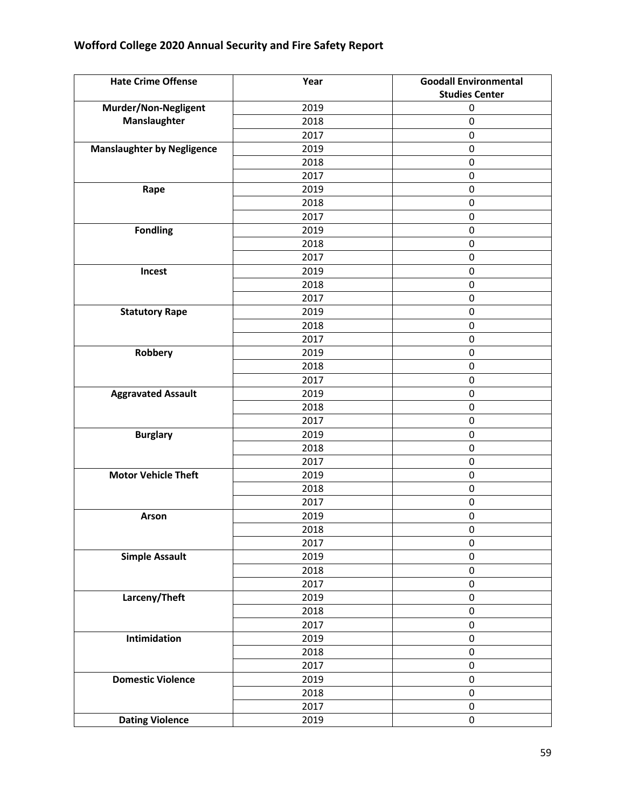| <b>Hate Crime Offense</b>         | Year | <b>Goodall Environmental</b> |
|-----------------------------------|------|------------------------------|
|                                   |      | <b>Studies Center</b>        |
| Murder/Non-Negligent              | 2019 | $\mathbf 0$                  |
| Manslaughter                      | 2018 | $\mathbf 0$                  |
|                                   | 2017 | $\pmb{0}$                    |
| <b>Manslaughter by Negligence</b> | 2019 | $\pmb{0}$                    |
|                                   | 2018 | $\pmb{0}$                    |
|                                   | 2017 | $\pmb{0}$                    |
| Rape                              | 2019 | $\mathbf 0$                  |
|                                   | 2018 | $\pmb{0}$                    |
|                                   | 2017 | $\pmb{0}$                    |
| <b>Fondling</b>                   | 2019 | $\pmb{0}$                    |
|                                   | 2018 | $\pmb{0}$                    |
|                                   | 2017 | $\pmb{0}$                    |
| Incest                            | 2019 | $\pmb{0}$                    |
|                                   | 2018 | $\pmb{0}$                    |
|                                   | 2017 | $\mathbf 0$                  |
| <b>Statutory Rape</b>             | 2019 | $\mathbf 0$                  |
|                                   | 2018 | $\pmb{0}$                    |
|                                   | 2017 | $\pmb{0}$                    |
| Robbery                           | 2019 | $\pmb{0}$                    |
|                                   | 2018 | $\pmb{0}$                    |
|                                   | 2017 | $\pmb{0}$                    |
| <b>Aggravated Assault</b>         | 2019 | $\pmb{0}$                    |
|                                   | 2018 | $\pmb{0}$                    |
|                                   | 2017 | $\pmb{0}$                    |
| <b>Burglary</b>                   | 2019 | $\mathbf 0$                  |
|                                   | 2018 | $\pmb{0}$                    |
|                                   | 2017 | $\pmb{0}$                    |
| <b>Motor Vehicle Theft</b>        | 2019 | 0                            |
|                                   | 2018 | $\pmb{0}$                    |
|                                   | 2017 | $\pmb{0}$                    |
| Arson                             | 2019 | $\pmb{0}$                    |
|                                   | 2018 | $\mathbf 0$                  |
|                                   | 2017 | $\pmb{0}$                    |
| <b>Simple Assault</b>             | 2019 | $\pmb{0}$                    |
|                                   | 2018 | $\pmb{0}$                    |
|                                   | 2017 | $\pmb{0}$                    |
| Larceny/Theft                     | 2019 | $\pmb{0}$                    |
|                                   | 2018 | $\pmb{0}$                    |
|                                   | 2017 | $\mathbf 0$                  |
| Intimidation                      | 2019 | $\pmb{0}$                    |
|                                   | 2018 | $\pmb{0}$                    |
|                                   | 2017 | $\pmb{0}$                    |
| <b>Domestic Violence</b>          | 2019 | $\pmb{0}$                    |
|                                   | 2018 | $\pmb{0}$                    |
|                                   | 2017 | $\pmb{0}$                    |
| <b>Dating Violence</b>            | 2019 | $\pmb{0}$                    |
|                                   |      |                              |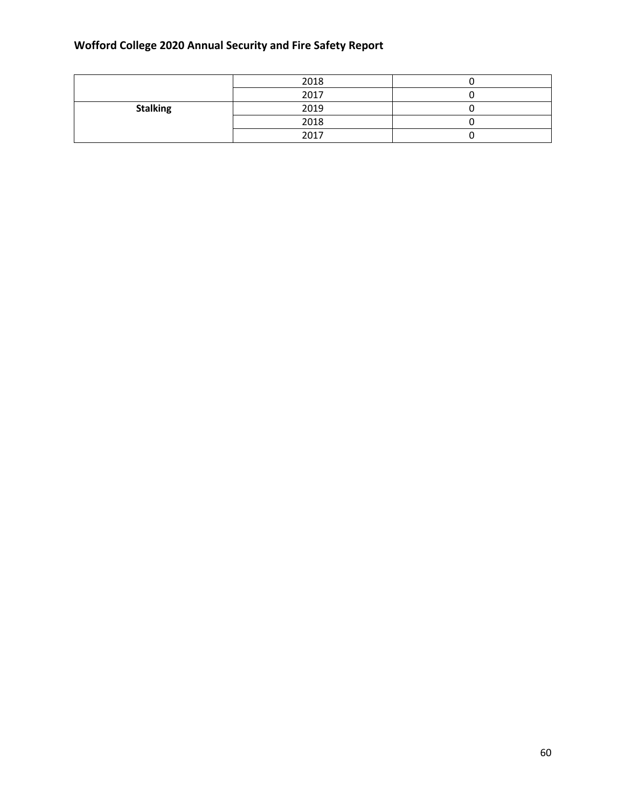|                 | 2018 |  |
|-----------------|------|--|
|                 | 2017 |  |
| <b>Stalking</b> | 2019 |  |
|                 | 2018 |  |
|                 | 2017 |  |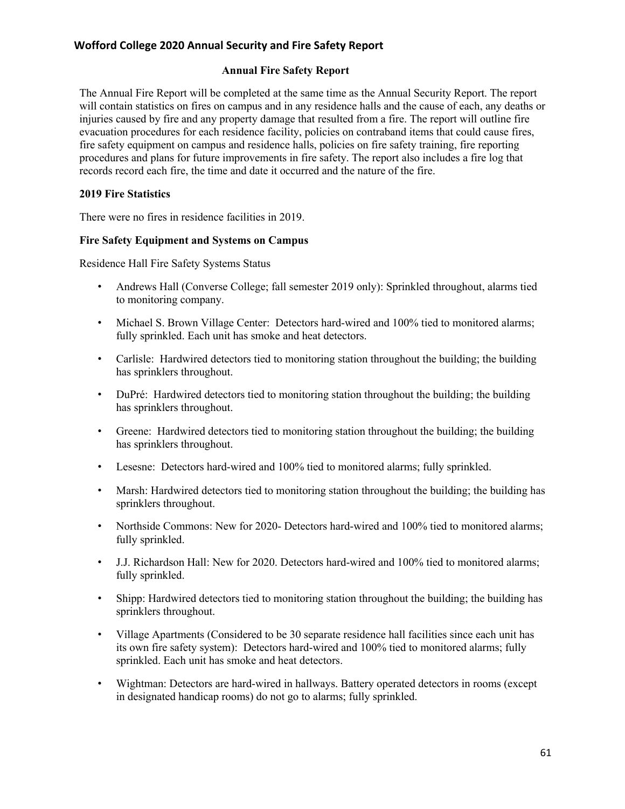#### **Annual Fire Safety Report**

The Annual Fire Report will be completed at the same time as the Annual Security Report. The report will contain statistics on fires on campus and in any residence halls and the cause of each, any deaths or injuries caused by fire and any property damage that resulted from a fire. The report will outline fire evacuation procedures for each residence facility, policies on contraband items that could cause fires, fire safety equipment on campus and residence halls, policies on fire safety training, fire reporting procedures and plans for future improvements in fire safety. The report also includes a fire log that records record each fire, the time and date it occurred and the nature of the fire.

#### **2019 Fire Statistics**

There were no fires in residence facilities in 2019.

#### **Fire Safety Equipment and Systems on Campus**

Residence Hall Fire Safety Systems Status

- Andrews Hall (Converse College; fall semester 2019 only): Sprinkled throughout, alarms tied to monitoring company.
- Michael S. Brown Village Center: Detectors hard-wired and 100% tied to monitored alarms; fully sprinkled. Each unit has smoke and heat detectors.
- Carlisle: Hardwired detectors tied to monitoring station throughout the building; the building has sprinklers throughout.
- DuPré: Hardwired detectors tied to monitoring station throughout the building; the building has sprinklers throughout.
- Greene: Hardwired detectors tied to monitoring station throughout the building; the building has sprinklers throughout.
- Lesesne: Detectors hard-wired and 100% tied to monitored alarms; fully sprinkled.
- Marsh: Hardwired detectors tied to monitoring station throughout the building; the building has sprinklers throughout.
- Northside Commons: New for 2020- Detectors hard-wired and 100% tied to monitored alarms; fully sprinkled.
- J.J. Richardson Hall: New for 2020. Detectors hard-wired and 100% tied to monitored alarms; fully sprinkled.
- Shipp: Hardwired detectors tied to monitoring station throughout the building; the building has sprinklers throughout.
- Village Apartments (Considered to be 30 separate residence hall facilities since each unit has its own fire safety system): Detectors hard-wired and 100% tied to monitored alarms; fully sprinkled. Each unit has smoke and heat detectors.
- Wightman: Detectors are hard-wired in hallways. Battery operated detectors in rooms (except in designated handicap rooms) do not go to alarms; fully sprinkled.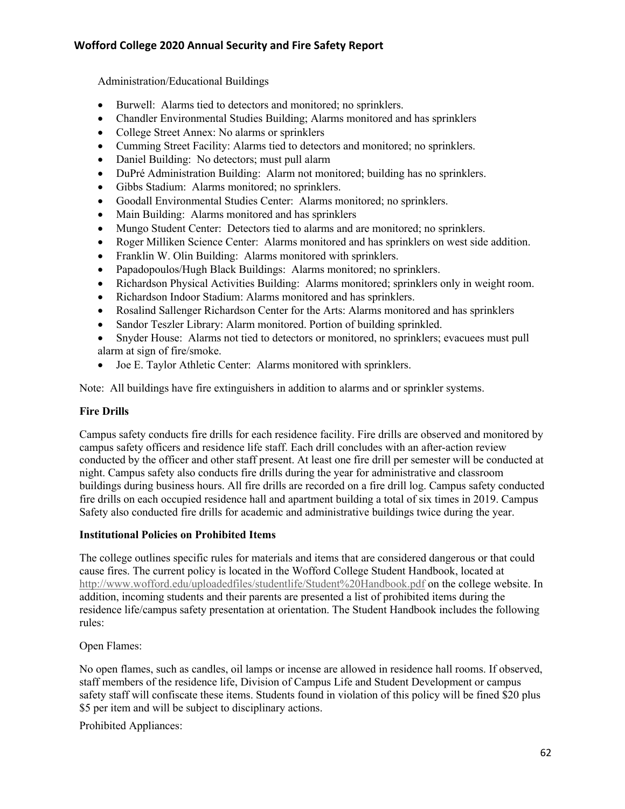Administration/Educational Buildings

- Burwell: Alarms tied to detectors and monitored; no sprinklers.
- Chandler Environmental Studies Building; Alarms monitored and has sprinklers
- College Street Annex: No alarms or sprinklers
- Cumming Street Facility: Alarms tied to detectors and monitored; no sprinklers.
- Daniel Building: No detectors; must pull alarm
- DuPré Administration Building: Alarm not monitored; building has no sprinklers.
- Gibbs Stadium: Alarms monitored; no sprinklers.
- Goodall Environmental Studies Center: Alarms monitored; no sprinklers.
- Main Building: Alarms monitored and has sprinklers
- Mungo Student Center: Detectors tied to alarms and are monitored; no sprinklers.
- Roger Milliken Science Center: Alarms monitored and has sprinklers on west side addition.
- Franklin W. Olin Building: Alarms monitored with sprinklers.
- Papadopoulos/Hugh Black Buildings: Alarms monitored; no sprinklers.
- Richardson Physical Activities Building: Alarms monitored; sprinklers only in weight room.
- Richardson Indoor Stadium: Alarms monitored and has sprinklers.
- Rosalind Sallenger Richardson Center for the Arts: Alarms monitored and has sprinklers
- Sandor Teszler Library: Alarm monitored. Portion of building sprinkled.
- Snyder House: Alarms not tied to detectors or monitored, no sprinklers; evacuees must pull alarm at sign of fire/smoke.
- Joe E. Taylor Athletic Center: Alarms monitored with sprinklers.

Note: All buildings have fire extinguishers in addition to alarms and or sprinkler systems.

#### **Fire Drills**

Campus safety conducts fire drills for each residence facility. Fire drills are observed and monitored by campus safety officers and residence life staff. Each drill concludes with an after-action review conducted by the officer and other staff present. At least one fire drill per semester will be conducted at night. Campus safety also conducts fire drills during the year for administrative and classroom buildings during business hours. All fire drills are recorded on a fire drill log. Campus safety conducted fire drills on each occupied residence hall and apartment building a total of six times in 2019. Campus Safety also conducted fire drills for academic and administrative buildings twice during the year.

#### **Institutional Policies on Prohibited Items**

The college outlines specific rules for materials and items that are considered dangerous or that could cause fires. The current policy is located in the Wofford College Student Handbook, located at http://www.wofford.edu/uploadedfiles/studentlife/Student%20Handbook.pdf on the college website. In addition, incoming students and their parents are presented a list of prohibited items during the residence life/campus safety presentation at orientation. The Student Handbook includes the following rules:

Open Flames:

No open flames, such as candles, oil lamps or incense are allowed in residence hall rooms. If observed, staff members of the residence life, Division of Campus Life and Student Development or campus safety staff will confiscate these items. Students found in violation of this policy will be fined \$20 plus \$5 per item and will be subject to disciplinary actions.

Prohibited Appliances: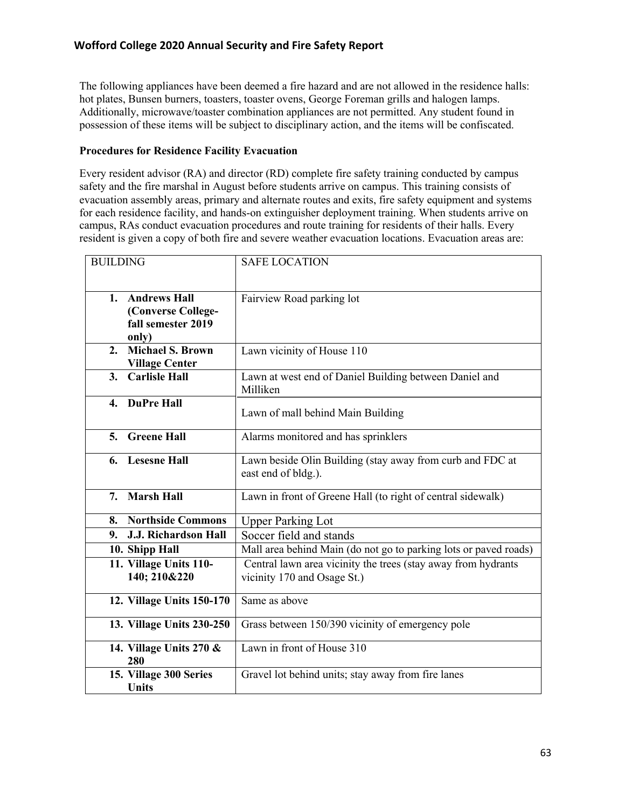The following appliances have been deemed a fire hazard and are not allowed in the residence halls: hot plates, Bunsen burners, toasters, toaster ovens, George Foreman grills and halogen lamps. Additionally, microwave/toaster combination appliances are not permitted. Any student found in possession of these items will be subject to disciplinary action, and the items will be confiscated.

#### **Procedures for Residence Facility Evacuation**

Every resident advisor (RA) and director (RD) complete fire safety training conducted by campus safety and the fire marshal in August before students arrive on campus. This training consists of evacuation assembly areas, primary and alternate routes and exits, fire safety equipment and systems for each residence facility, and hands-on extinguisher deployment training. When students arrive on campus, RAs conduct evacuation procedures and route training for residents of their halls. Every resident is given a copy of both fire and severe weather evacuation locations. Evacuation areas are:

| <b>BUILDING</b>                                                      | <b>SAFE LOCATION</b>                                                                         |
|----------------------------------------------------------------------|----------------------------------------------------------------------------------------------|
| 1. Andrews Hall<br>(Converse College-<br>fall semester 2019<br>only) | Fairview Road parking lot                                                                    |
| <b>Michael S. Brown</b><br>$2_{-}$<br><b>Village Center</b>          | Lawn vicinity of House 110                                                                   |
| <b>Carlisle Hall</b><br>3.                                           | Lawn at west end of Daniel Building between Daniel and<br>Milliken                           |
| 4. DuPre Hall                                                        | Lawn of mall behind Main Building                                                            |
| <b>Greene Hall</b><br>5.                                             | Alarms monitored and has sprinklers                                                          |
| 6. Lesesne Hall                                                      | Lawn beside Olin Building (stay away from curb and FDC at<br>east end of bldg.).             |
| <b>Marsh Hall</b><br>7.                                              | Lawn in front of Greene Hall (to right of central sidewalk)                                  |
| 8. Northside Commons                                                 | <b>Upper Parking Lot</b>                                                                     |
| <b>J.J. Richardson Hall</b><br>9.                                    | Soccer field and stands                                                                      |
| 10. Shipp Hall                                                       | Mall area behind Main (do not go to parking lots or paved roads)                             |
| 11. Village Units 110-<br>140; 210&220                               | Central lawn area vicinity the trees (stay away from hydrants<br>vicinity 170 and Osage St.) |
| 12. Village Units 150-170                                            | Same as above                                                                                |
| 13. Village Units 230-250                                            | Grass between 150/390 vicinity of emergency pole                                             |
| 14. Village Units $270 \&$<br>280                                    | Lawn in front of House 310                                                                   |
| 15. Village 300 Series<br><b>Units</b>                               | Gravel lot behind units; stay away from fire lanes                                           |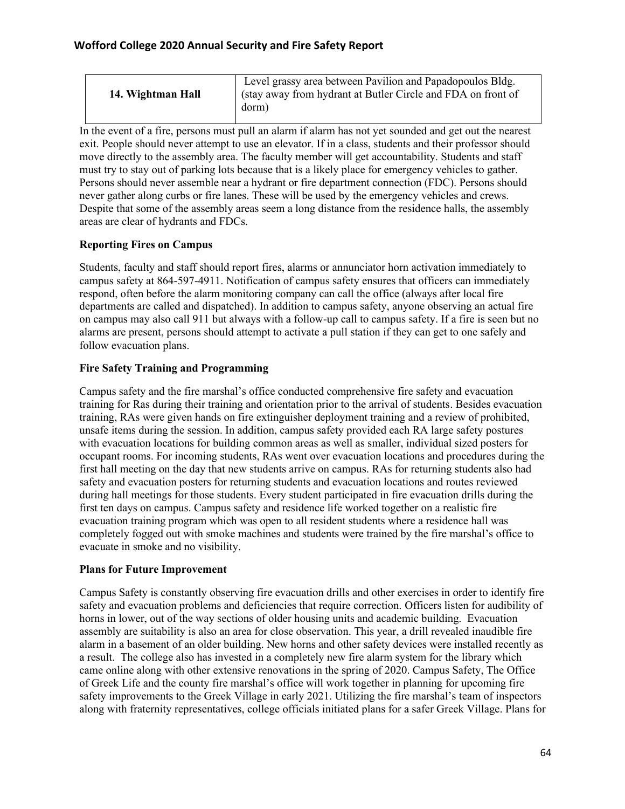| Level grassy area between Pavilion and Papadopoulos Bldg.<br>(stay away from hydrant at Butler Circle and FDA on front of<br>14. Wightman Hall<br>dorm) |
|---------------------------------------------------------------------------------------------------------------------------------------------------------|
|---------------------------------------------------------------------------------------------------------------------------------------------------------|

In the event of a fire, persons must pull an alarm if alarm has not yet sounded and get out the nearest exit. People should never attempt to use an elevator. If in a class, students and their professor should move directly to the assembly area. The faculty member will get accountability. Students and staff must try to stay out of parking lots because that is a likely place for emergency vehicles to gather. Persons should never assemble near a hydrant or fire department connection (FDC). Persons should never gather along curbs or fire lanes. These will be used by the emergency vehicles and crews. Despite that some of the assembly areas seem a long distance from the residence halls, the assembly areas are clear of hydrants and FDCs.

## **Reporting Fires on Campus**

Students, faculty and staff should report fires, alarms or annunciator horn activation immediately to campus safety at 864-597-4911. Notification of campus safety ensures that officers can immediately respond, often before the alarm monitoring company can call the office (always after local fire departments are called and dispatched). In addition to campus safety, anyone observing an actual fire on campus may also call 911 but always with a follow-up call to campus safety. If a fire is seen but no alarms are present, persons should attempt to activate a pull station if they can get to one safely and follow evacuation plans.

## **Fire Safety Training and Programming**

Campus safety and the fire marshal's office conducted comprehensive fire safety and evacuation training for Ras during their training and orientation prior to the arrival of students. Besides evacuation training, RAs were given hands on fire extinguisher deployment training and a review of prohibited, unsafe items during the session. In addition, campus safety provided each RA large safety postures with evacuation locations for building common areas as well as smaller, individual sized posters for occupant rooms. For incoming students, RAs went over evacuation locations and procedures during the first hall meeting on the day that new students arrive on campus. RAs for returning students also had safety and evacuation posters for returning students and evacuation locations and routes reviewed during hall meetings for those students. Every student participated in fire evacuation drills during the first ten days on campus. Campus safety and residence life worked together on a realistic fire evacuation training program which was open to all resident students where a residence hall was completely fogged out with smoke machines and students were trained by the fire marshal's office to evacuate in smoke and no visibility.

## **Plans for Future Improvement**

Campus Safety is constantly observing fire evacuation drills and other exercises in order to identify fire safety and evacuation problems and deficiencies that require correction. Officers listen for audibility of horns in lower, out of the way sections of older housing units and academic building. Evacuation assembly are suitability is also an area for close observation. This year, a drill revealed inaudible fire alarm in a basement of an older building. New horns and other safety devices were installed recently as a result. The college also has invested in a completely new fire alarm system for the library which came online along with other extensive renovations in the spring of 2020. Campus Safety, The Office of Greek Life and the county fire marshal's office will work together in planning for upcoming fire safety improvements to the Greek Village in early 2021. Utilizing the fire marshal's team of inspectors along with fraternity representatives, college officials initiated plans for a safer Greek Village. Plans for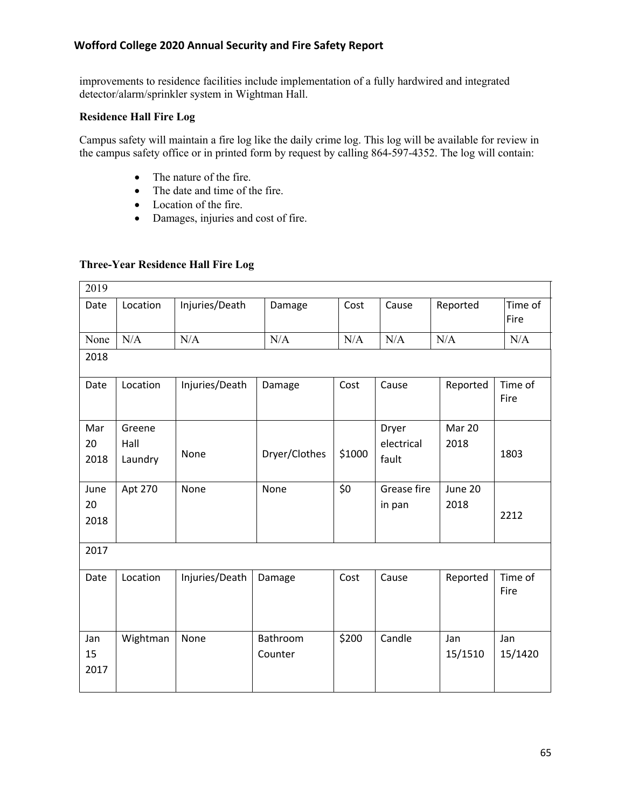improvements to residence facilities include implementation of a fully hardwired and integrated detector/alarm/sprinkler system in Wightman Hall.

#### **Residence Hall Fire Log**

Campus safety will maintain a fire log like the daily crime log. This log will be available for review in the campus safety office or in printed form by request by calling 864-597-4352. The log will contain:

- The nature of the fire.
- The date and time of the fire.
- Location of the fire.
- Damages, injuries and cost of fire.

#### **Three-Year Residence Hall Fire Log**

| 2019               |                           |                |                     |        |                              |                 |                 |
|--------------------|---------------------------|----------------|---------------------|--------|------------------------------|-----------------|-----------------|
| Date               | Location                  | Injuries/Death | Damage              | Cost   | Cause                        | Reported        | Time of<br>Fire |
| None               | N/A                       | N/A            | N/A                 | N/A    | N/A                          | N/A             | N/A             |
| 2018               |                           |                |                     |        |                              |                 |                 |
| Date               | Location                  | Injuries/Death | Damage              | Cost   | Cause                        | Reported        | Time of<br>Fire |
| Mar<br>20<br>2018  | Greene<br>Hall<br>Laundry | None           | Dryer/Clothes       | \$1000 | Dryer<br>electrical<br>fault | Mar 20<br>2018  | 1803            |
| June<br>20<br>2018 | Apt 270                   | None           | None                | \$0    | Grease fire<br>in pan        | June 20<br>2018 | 2212            |
| 2017               |                           |                |                     |        |                              |                 |                 |
| Date               | Location                  | Injuries/Death | Damage              | Cost   | Cause                        | Reported        | Time of<br>Fire |
| Jan<br>15<br>2017  | Wightman                  | None           | Bathroom<br>Counter | \$200  | Candle                       | Jan<br>15/1510  | Jan<br>15/1420  |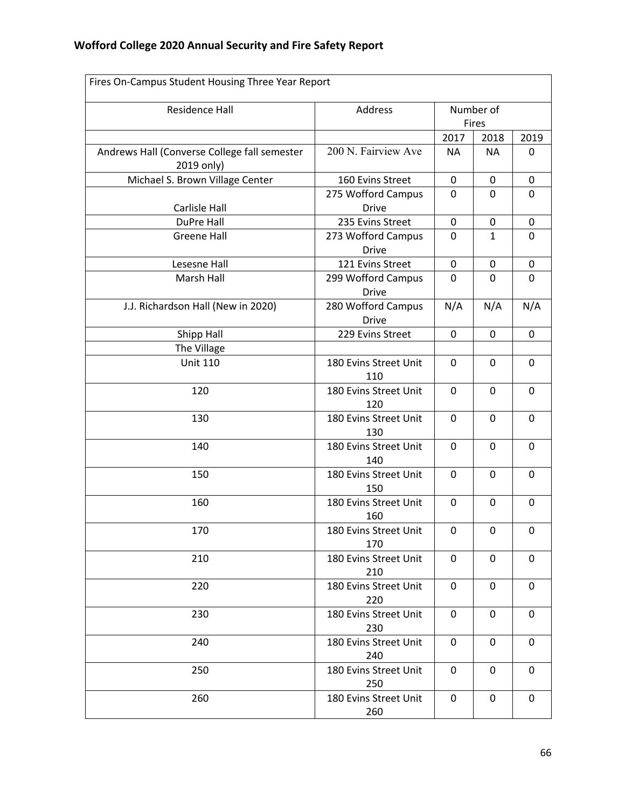| Fires On-Campus Student Housing Three Year Report          |                                    |                    |              |             |
|------------------------------------------------------------|------------------------------------|--------------------|--------------|-------------|
| <b>Residence Hall</b>                                      | Address                            | Number of<br>Fires |              |             |
|                                                            |                                    | 2017               | 2018         | 2019        |
| Andrews Hall (Converse College fall semester<br>2019 only) | 200 N. Fairview Ave                | <b>NA</b>          | <b>NA</b>    | 0           |
| Michael S. Brown Village Center                            | 160 Evins Street                   | $\pmb{0}$          | 0            | $\mathbf 0$ |
| <b>Carlisle Hall</b>                                       | 275 Wofford Campus<br><b>Drive</b> | 0                  | 0            | 0           |
| DuPre Hall                                                 | 235 Evins Street                   | 0                  | 0            | 0           |
| <b>Greene Hall</b>                                         | 273 Wofford Campus<br><b>Drive</b> | 0                  | $\mathbf{1}$ | 0           |
| Lesesne Hall                                               | 121 Evins Street                   | 0                  | 0            | $\pmb{0}$   |
| Marsh Hall                                                 | 299 Wofford Campus<br><b>Drive</b> | 0                  | 0            | 0           |
| J.J. Richardson Hall (New in 2020)                         | 280 Wofford Campus<br><b>Drive</b> | N/A                | N/A          | N/A         |
| Shipp Hall                                                 | 229 Evins Street                   | $\mathbf 0$        | 0            | 0           |
| The Village                                                |                                    |                    |              |             |
| <b>Unit 110</b>                                            | 180 Evins Street Unit<br>110       | 0                  | 0            | 0           |
| 120                                                        | 180 Evins Street Unit<br>120       | 0                  | 0            | 0           |
| 130                                                        | 180 Evins Street Unit<br>130       | 0                  | 0            | $\mathbf 0$ |
| 140                                                        | 180 Evins Street Unit<br>140       | 0                  | 0            | 0           |
| 150                                                        | 180 Evins Street Unit<br>150       | 0                  | 0            | $\mathbf 0$ |
| 160                                                        | 180 Evins Street Unit<br>160       | 0                  | 0            | $\mathbf 0$ |
| 170                                                        | 180 Evins Street Unit<br>170       | 0                  | 0            | 0           |
| 210                                                        | 180 Evins Street Unit<br>210       | 0                  | 0            | 0           |
| 220                                                        | 180 Evins Street Unit<br>220       | 0                  | 0            | 0           |
| 230                                                        | 180 Evins Street Unit<br>230       | 0                  | 0            | 0           |
| 240                                                        | 180 Evins Street Unit<br>240       | 0                  | 0            | 0           |
| 250                                                        | 180 Evins Street Unit<br>250       | 0                  | 0            | 0           |
| 260                                                        | 180 Evins Street Unit<br>260       | 0                  | 0            | 0           |